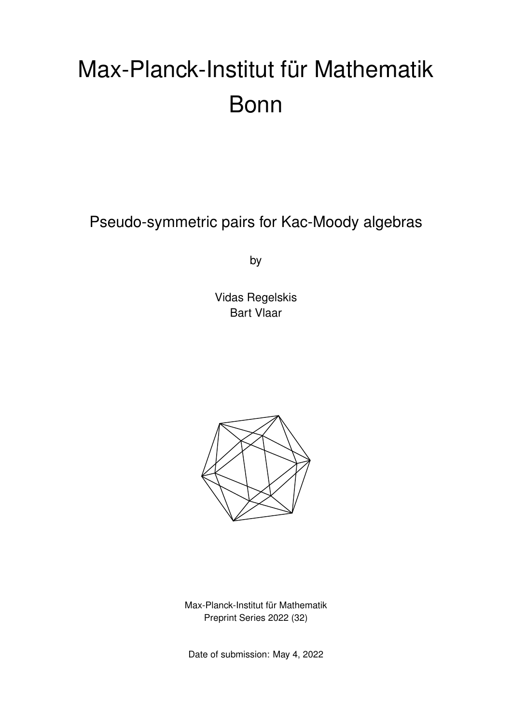# Max-Planck-Institut für Mathematik Bonn

Pseudo-symmetric pairs for Kac-Moody algebras

by

Vidas Regelskis Bart Vlaar



Max-Planck-Institut für Mathematik Preprint Series 2022 (32)

Date of submission: May 4, 2022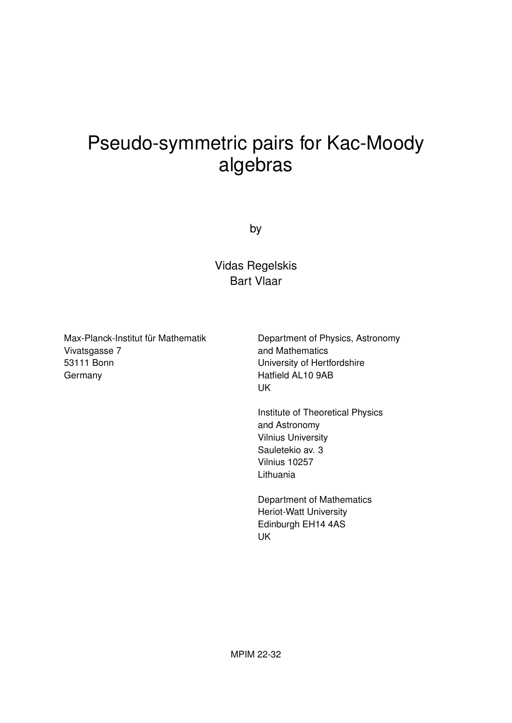# Pseudo-symmetric pairs for Kac-Moody algebras

by

Vidas Regelskis Bart Vlaar

Max-Planck-Institut für Mathematik Vivatsgasse 7 53111 Bonn **Germany** 

Department of Physics, Astronomy and Mathematics University of Hertfordshire Hatfield AL10 9AB UK

Institute of Theoretical Physics and Astronomy Vilnius University Sauletekio av. 3 Vilnius 10257 Lithuania

Department of Mathematics Heriot-Watt University Edinburgh EH14 4AS UK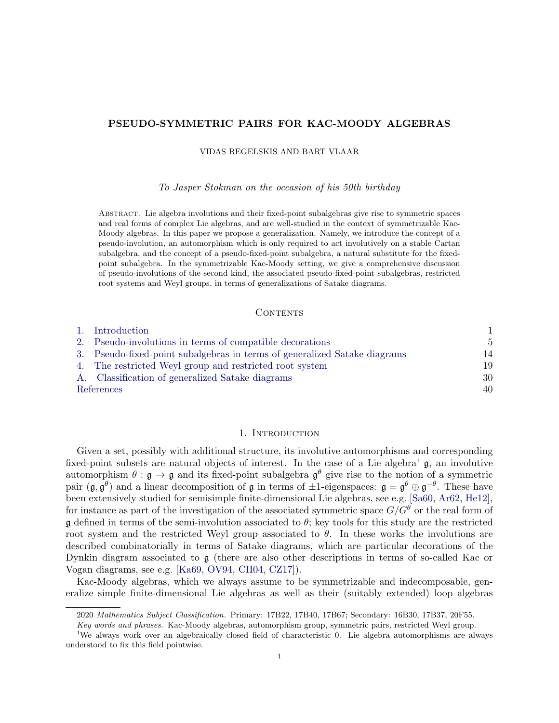# PSEUDO-SYMMETRIC PAIRS FOR KAC-MOODY ALGEBRAS

VIDAS REGELSKIS AND BART VLAAR

To Jasper Stokman on the occasion of his 50th birthday

Abstract. Lie algebra involutions and their fixed-point subalgebras give rise to symmetric spaces and real forms of complex Lie algebras, and are well-studied in the context of symmetrizable Kac-Moody algebras. In this paper we propose a generalization. Namely, we introduce the concept of a pseudo-involution, an automorphism which is only required to act involutively on a stable Cartan subalgebra, and the concept of a pseudo-fixed-point subalgebra, a natural substitute for the fixedpoint subalgebra. In the symmetrizable Kac-Moody setting, we give a comprehensive discussion of pseudo-involutions of the second kind, the associated pseudo-fixed-point subalgebras, restricted root systems and Weyl groups, in terms of generalizations of Satake diagrams.

# **CONTENTS**

| 1. Introduction                                                           |                |
|---------------------------------------------------------------------------|----------------|
| 2. Pseudo-involutions in terms of compatible decorations                  | $\overline{5}$ |
| 3. Pseudo-fixed-point subalgebras in terms of generalized Satake diagrams | 14             |
| 4. The restricted Weyl group and restricted root system                   | 19             |
| A. Classification of generalized Satake diagrams                          | 30             |
| References                                                                | 40             |

#### 1. INTRODUCTION

<span id="page-2-0"></span>Given a set, possibly with additional structure, its involutive automorphisms and corresponding fixed-point subsets are natural objects of interest. In the case of a Lie algebra<sup>[1](#page-2-1)</sup>  $\mathfrak{g}$ , an involutive automorphism  $\theta : \mathfrak{g} \to \mathfrak{g}$  and its fixed-point subalgebra  $\mathfrak{g}^{\theta}$  give rise to the notion of a symmetric pair  $(\mathfrak{g}, \mathfrak{g}^\theta)$  and a linear decomposition of  $\mathfrak g$  in terms of  $\pm 1$ -eigenspaces:  $\mathfrak g = \mathfrak g^\theta \oplus \mathfrak g^{-\theta}$ . These have been extensively studied for semisimple finite-dimensional Lie algebras, see e.g. [\[Sa60,](#page-43-0) [Ar62,](#page-41-1) [He12\]](#page-42-0), for instance as part of the investigation of the associated symmetric space  $G/G^{\theta}$  or the real form of g defined in terms of the semi-involution associated to  $\theta$ ; key tools for this study are the restricted root system and the restricted Weyl group associated to  $\theta$ . In these works the involutions are described combinatorially in terms of Satake diagrams, which are particular decorations of the Dynkin diagram associated to g (there are also other descriptions in terms of so-called Kac or Vogan diagrams, see e.g. [\[Ka69,](#page-42-1) [OV94,](#page-43-1) [CH04,](#page-41-2) [CZ17\]](#page-41-3)).

Kac-Moody algebras, which we always assume to be symmetrizable and indecomposable, generalize simple finite-dimensional Lie algebras as well as their (suitably extended) loop algebras

<sup>2020</sup> Mathematics Subject Classification. Primary: 17B22, 17B40, 17B67; Secondary: 16B30, 17B37, 20F55.

<span id="page-2-1"></span>Key words and phrases. Kac-Moody algebras, automorphism group, symmetric pairs, restricted Weyl group.

<sup>1</sup>We always work over an algebraically closed field of characteristic 0. Lie algebra automorphisms are always understood to fix this field pointwise.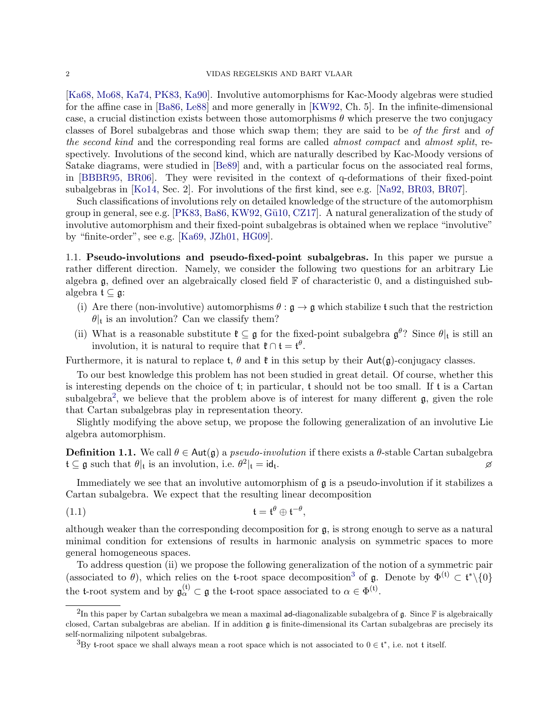[\[Ka68,](#page-42-2) [Mo68,](#page-42-3) [Ka74,](#page-42-4) [PK83,](#page-43-2) [Ka90\]](#page-42-5). Involutive automorphisms for Kac-Moody algebras were studied for the affine case in [\[Ba86,](#page-41-4) [Le88\]](#page-42-6) and more generally in [\[KW92,](#page-42-7) Ch. 5]. In the infinite-dimensional case, a crucial distinction exists between those automorphisms  $\theta$  which preserve the two conjugacy classes of Borel subalgebras and those which swap them; they are said to be of the first and of the second kind and the corresponding real forms are called *almost compact* and *almost split*, respectively. Involutions of the second kind, which are naturally described by Kac-Moody versions of Satake diagrams, were studied in [\[Be89\]](#page-41-5) and, with a particular focus on the associated real forms, in [\[BBBR95,](#page-41-6) [BR06\]](#page-41-7). They were revisited in the context of q-deformations of their fixed-point subalgebras in [\[Ko14,](#page-42-8) Sec. 2]. For involutions of the first kind, see e.g. [\[Na92,](#page-43-3) [BR03,](#page-41-8) [BR07\]](#page-41-9).

Such classifications of involutions rely on detailed knowledge of the structure of the automorphism group in general, see e.g.  $[PK83, Ba86, KW92, Gü10, CZ17]$  $[PK83, Ba86, KW92, Gü10, CZ17]$  $[PK83, Ba86, KW92, Gü10, CZ17]$  $[PK83, Ba86, KW92, Gü10, CZ17]$  $[PK83, Ba86, KW92, Gü10, CZ17]$  $[PK83, Ba86, KW92, Gü10, CZ17]$  $[PK83, Ba86, KW92, Gü10, CZ17]$ . A natural generalization of the study of involutive automorphism and their fixed-point subalgebras is obtained when we replace "involutive" by "finite-order", see e.g. [\[Ka69,](#page-42-1) [JZh01,](#page-42-10) [HG09\]](#page-42-11).

1.1. Pseudo-involutions and pseudo-fixed-point subalgebras. In this paper we pursue a rather different direction. Namely, we consider the following two questions for an arbitrary Lie algebra  $\mathfrak g$ , defined over an algebraically closed field  $\mathbb F$  of characteristic 0, and a distinguished subalgebra  $\mathfrak{t} \subseteq \mathfrak{g}$ :

- (i) Are there (non-involutive) automorphisms  $\theta : \mathfrak{g} \to \mathfrak{g}$  which stabilize t such that the restriction  $\theta|_t$  is an involution? Can we classify them?
- (ii) What is a reasonable substitute  $\mathfrak{k} \subseteq \mathfrak{g}$  for the fixed-point subalgebra  $\mathfrak{g}^{\theta}$ ? Since  $\theta|_{\mathfrak{t}}$  is still an involution, it is natural to require that  $\mathfrak{k} \cap \mathfrak{t} = \mathfrak{t}^{\theta}$ .

Furthermore, it is natural to replace t,  $\theta$  and  $\ell$  in this setup by their  $Aut(g)$ -conjugacy classes.

To our best knowledge this problem has not been studied in great detail. Of course, whether this is interesting depends on the choice of  $t$ ; in particular,  $t$  should not be too small. If  $t$  is a Cartan subalgebra<sup>[2](#page-3-0)</sup>, we believe that the problem above is of interest for many different  $\mathfrak{g}$ , given the role that Cartan subalgebras play in representation theory.

Slightly modifying the above setup, we propose the following generalization of an involutive Lie algebra automorphism.

**Definition 1.1.** We call  $\theta \in \text{Aut}(\mathfrak{g})$  a *pseudo-involution* if there exists a  $\theta$ -stable Cartan subalgebra  $\mathfrak{t} \subseteq \mathfrak{g}$  such that  $\theta|_{\mathfrak{t}}$  is an involution, i.e.  $\theta^2|_{\mathfrak{t}} = \mathsf{id}_{\mathfrak{t}}$ . As a set of the set of the set of the set of the set of the set of the set of the set of the set of the set of the set of the set of the set of the set of the set of the set of the set of the set of the set of the set o

Immediately we see that an involutive automorphism of  $\mathfrak g$  is a pseudo-involution if it stabilizes a Cartan subalgebra. We expect that the resulting linear decomposition

(1.1) t = t <sup>θ</sup> ⊕ t −θ ,

although weaker than the corresponding decomposition for g, is strong enough to serve as a natural minimal condition for extensions of results in harmonic analysis on symmetric spaces to more general homogeneous spaces.

To address question (ii) we propose the following generalization of the notion of a symmetric pair (associated to  $\theta$ ), which relies on the t-root space decomposition<sup>[3](#page-3-1)</sup> of g. Denote by  $\Phi^{(t)} \subset \mathfrak{t}^*\setminus\{0\}$ the t-root system and by  $\mathfrak{g}_{\alpha}^{(t)} \subset \mathfrak{g}$  the t-root space associated to  $\alpha \in \Phi^{(t)}$ .

<span id="page-3-0"></span> $^2$ In this paper by Cartan subalgebra we mean a maximal ad-diagonalizable subalgebra of g. Since F is algebraically closed, Cartan subalgebras are abelian. If in addition g is finite-dimensional its Cartan subalgebras are precisely its self-normalizing nilpotent subalgebras.

<span id="page-3-1"></span><sup>&</sup>lt;sup>3</sup>By t-root space we shall always mean a root space which is not associated to  $0 \in \mathfrak{t}^*$ , i.e. not t itself.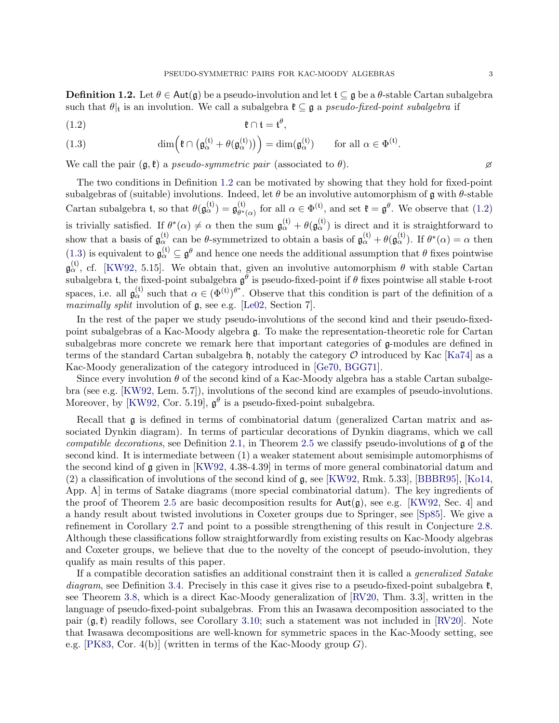<span id="page-4-0"></span>**Definition 1.2.** Let  $\theta \in \text{Aut}(\mathfrak{g})$  be a pseudo-involution and let  $\mathfrak{t} \subseteq \mathfrak{g}$  be a  $\theta$ -stable Cartan subalgebra such that  $\theta|_t$  is an involution. We call a subalgebra  $\mathfrak{k} \subseteq \mathfrak{g}$  a pseudo-fixed-point subalgebra if

<span id="page-4-1"></span>
$$
\mathfrak{k} \cap \mathfrak{t} = \mathfrak{t}^{\theta},
$$

<span id="page-4-2"></span>(1.3) 
$$
\dim\left(\mathfrak{k}\cap\left(\mathfrak{g}_{\alpha}^{(\mathfrak{t})}+\theta(\mathfrak{g}_{\alpha}^{(\mathfrak{t})})\right)\right)=\dim(\mathfrak{g}_{\alpha}^{(\mathfrak{t})}) \qquad \text{for all } \alpha\in\Phi^{(\mathfrak{t})}.
$$

We call the pair  $(\mathfrak{g},\mathfrak{k})$  a pseudo-symmetric pair (associated to  $\theta$ ).

The two conditions in Definition [1.2](#page-4-0) can be motivated by showing that they hold for fixed-point subalgebras of (suitable) involutions. Indeed, let  $\theta$  be an involutive automorphism of g with  $\theta$ -stable Cartan subalgebra t, so that  $\theta(\mathfrak{g}_{\alpha}^{(t)}) = \mathfrak{g}_{\theta^*}^{(t)}$  $\theta^*_{\theta^*(\alpha)}$  for all  $\alpha \in \Phi^{(\mathfrak{t})}$ , and set  $\mathfrak{k} = \mathfrak{g}^{\theta}$ . We observe that [\(1.2\)](#page-4-1) is trivially satisfied. If  $\theta^*(\alpha) \neq \alpha$  then the sum  $\mathfrak{g}_{\alpha}^{(\mathfrak{t})} + \theta(\mathfrak{g}_{\alpha}^{(\mathfrak{t})})$  is direct and it is straightforward to show that a basis of  $\mathfrak{g}_{\alpha}^{(t)}$  can be  $\theta$ -symmetrized to obtain a basis of  $\mathfrak{g}_{\alpha}^{(t)} + \theta(\mathfrak{g}_{\alpha}^{(t)})$ . If  $\theta^*(\alpha) = \alpha$  then [\(1.3\)](#page-4-2) is equivalent to  $\mathfrak{g}_{\alpha}^{(t)} \subseteq \mathfrak{g}^{\theta}$  and hence one needs the additional assumption that  $\theta$  fixes pointwise  $\mathfrak{g}^{(t)}_{\alpha}$ , cf. [\[KW92,](#page-42-7) 5.15]. We obtain that, given an involutive automorphism  $\theta$  with stable Cartan subalgebra t, the fixed-point subalgebra  $\mathfrak{g}^{\theta}$  is pseudo-fixed-point if  $\theta$  fixes pointwise all stable t-root spaces, i.e. all  $\mathfrak{g}_{\alpha}^{(t)}$  such that  $\alpha \in (\Phi^{(t)})^{\theta^*}$ . Observe that this condition is part of the definition of a maximally split involution of  $\mathfrak{g}$ , see e.g. [\[Le02,](#page-42-12) Section 7].

In the rest of the paper we study pseudo-involutions of the second kind and their pseudo-fixedpoint subalgebras of a Kac-Moody algebra g. To make the representation-theoretic role for Cartan subalgebras more concrete we remark here that important categories of g-modules are defined in terms of the standard Cartan subalgebra h, notably the category  $\mathcal O$  introduced by Kac [\[Ka74\]](#page-42-4) as a Kac-Moody generalization of the category introduced in [\[Ge70,](#page-42-13) [BGG71\]](#page-41-10).

Since every involution  $\theta$  of the second kind of a Kac-Moody algebra has a stable Cartan subalgebra (see e.g. [\[KW92,](#page-42-7) Lem. 5.7]), involutions of the second kind are examples of pseudo-involutions. Moreover, by [\[KW92,](#page-42-7) Cor. 5.19],  $\mathfrak{g}^{\theta}$  is a pseudo-fixed-point subalgebra.

Recall that g is defined in terms of combinatorial datum (generalized Cartan matrix and associated Dynkin diagram). In terms of particular decorations of Dynkin diagrams, which we call compatible decorations, see Definition [2.1,](#page-10-0) in Theorem [2.5](#page-11-0) we classify pseudo-involutions of  $\mathfrak g$  of the second kind. It is intermediate between (1) a weaker statement about semisimple automorphisms of the second kind of g given in [\[KW92,](#page-42-7) 4.38-4.39] in terms of more general combinatorial datum and (2) a classification of involutions of the second kind of  $\mathfrak{g}$ , see [\[KW92,](#page-42-7) Rmk. 5.33], [\[BBBR95\]](#page-41-6), [\[Ko14,](#page-42-8) App. A] in terms of Satake diagrams (more special combinatorial datum). The key ingredients of the proof of Theorem [2.5](#page-11-0) are basic decomposition results for  $Aut(\mathfrak{g})$ , see e.g. [\[KW92,](#page-42-7) Sec. 4] and a handy result about twisted involutions in Coxeter groups due to Springer, see [\[Sp85\]](#page-43-4). We give a refinement in Corollary [2.7](#page-12-0) and point to a possible strengthening of this result in Conjecture [2.8.](#page-12-1) Although these classifications follow straightforwardly from existing results on Kac-Moody algebras and Coxeter groups, we believe that due to the novelty of the concept of pseudo-involution, they qualify as main results of this paper.

If a compatible decoration satisfies an additional constraint then it is called a generalized Satake diagram, see Definition [3.4.](#page-16-0) Precisely in this case it gives rise to a pseudo-fixed-point subalgebra  $\mathfrak{k}$ . see Theorem [3.8,](#page-18-0) which is a direct Kac-Moody generalization of [\[RV20,](#page-43-5) Thm. 3.3], written in the language of pseudo-fixed-point subalgebras. From this an Iwasawa decomposition associated to the pair  $(g, \ell)$  readily follows, see Corollary [3.10;](#page-19-0) such a statement was not included in [\[RV20\]](#page-43-5). Note that Iwasawa decompositions are well-known for symmetric spaces in the Kac-Moody setting, see e.g. [\[PK83,](#page-43-2) Cor. 4(b)] (written in terms of the Kac-Moody group G).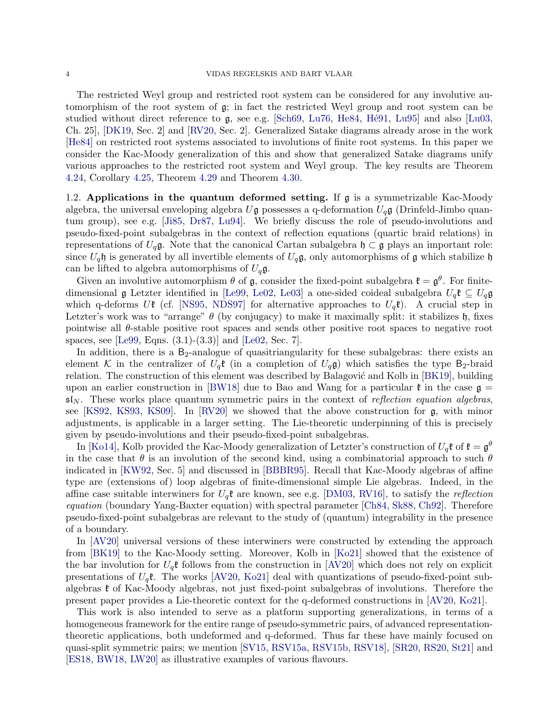The restricted Weyl group and restricted root system can be considered for any involutive automorphism of the root system of g; in fact the restricted Weyl group and root system can be studied without direct reference to  $g$ , see e.g. [\[Sch69,](#page-43-6) [Lu76,](#page-42-14) [He84,](#page-42-15) Hé91, [Lu95\]](#page-42-17) and also [\[Lu03,](#page-42-18) Ch. 25], [\[DK19,](#page-42-19) Sec. 2] and [\[RV20,](#page-43-5) Sec. 2]. Generalized Satake diagrams already arose in the work [\[He84\]](#page-42-15) on restricted root systems associated to involutions of finite root systems. In this paper we consider the Kac-Moody generalization of this and show that generalized Satake diagrams unify various approaches to the restricted root system and Weyl group. The key results are Theorem [4.24,](#page-29-0) Corollary [4.25,](#page-29-1) Theorem [4.29](#page-30-0) and Theorem [4.30.](#page-30-1)

1.2. Applications in the quantum deformed setting. If g is a symmetrizable Kac-Moody algebra, the universal enveloping algebra  $U\mathfrak{g}$  possesses a q-deformation  $U_q\mathfrak{g}$  (Drinfeld-Jimbo quantum group), see e.g. [\[Ji85,](#page-42-20) [Dr87,](#page-42-21) [Lu94\]](#page-42-22). We briefly discuss the role of pseudo-involutions and pseudo-fixed-point subalgebras in the context of reflection equations (quartic braid relations) in representations of  $U_q$ g. Note that the canonical Cartan subalgebra  $\mathfrak{h} \subset \mathfrak{g}$  plays an important role: since  $U_q$ h is generated by all invertible elements of  $U_q$ g, only automorphisms of g which stabilize h can be lifted to algebra automorphisms of  $U_q$ g.

Given an involutive automorphism  $\theta$  of  $\mathfrak{g}$ , consider the fixed-point subalgebra  $\mathfrak{k} = \mathfrak{g}^{\theta}$ . For finitedimensional  $\mathfrak g$  Letzter identified in [\[Le99,](#page-42-23) [Le02,](#page-42-12) [Le03\]](#page-42-24) a one-sided coideal subalgebra  $U_q\mathfrak k \subseteq U_q\mathfrak g$ which q-deforms Ut (cf. [\[NS95,](#page-43-7) [NDS97\]](#page-43-8) for alternative approaches to  $U_q\mathfrak{k}$ ). A crucial step in Letzter's work was to "arrange"  $\theta$  (by conjugacy) to make it maximally split: it stabilizes h, fixes pointwise all  $\theta$ -stable positive root spaces and sends other positive root spaces to negative root spaces, see [\[Le99,](#page-42-23) Eqns. (3.1)-(3.3)] and [\[Le02,](#page-42-12) Sec. 7].

In addition, there is a  $B_2$ -analogue of quasitriangularity for these subalgebras: there exists an element K in the centralizer of  $U_q$ **t** (in a completion of  $U_q$ **g**) which satisfies the type B<sub>2</sub>-braid relation. The construction of this element was described by Balagović and Kolb in [\[BK19\]](#page-41-11), building upon an earlier construction in [\[BW18\]](#page-41-12) due to Bao and Wang for a particular  $\mathfrak{k}$  in the case  $\mathfrak{g} =$  $\mathfrak{sl}_N$ . These works place quantum symmetric pairs in the context of reflection equation algebras, see [\[KS92,](#page-42-25) [KS93,](#page-42-26) [KS09\]](#page-42-27). In [\[RV20\]](#page-43-5) we showed that the above construction for g, with minor adjustments, is applicable in a larger setting. The Lie-theoretic underpinning of this is precisely given by pseudo-involutions and their pseudo-fixed-point subalgebras.

In [\[Ko14\]](#page-42-8), Kolb provided the Kac-Moody generalization of Letzter's construction of  $U_q\mathfrak{k}$  of  $\mathfrak{k}=\mathfrak{g}^\theta$ in the case that  $\theta$  is an involution of the second kind, using a combinatorial approach to such  $\theta$ indicated in [\[KW92,](#page-42-7) Sec. 5] and discussed in [\[BBBR95\]](#page-41-6). Recall that Kac-Moody algebras of affine type are (extensions of) loop algebras of finite-dimensional simple Lie algebras. Indeed, in the affine case suitable interwiners for  $U_q$ **t** are known, see e.g. [\[DM03,](#page-42-28) [RV16\]](#page-43-9), to satisfy the *reflection* equation (boundary Yang-Baxter equation) with spectral parameter [\[Ch84,](#page-41-13) [Sk88,](#page-43-10) [Ch92\]](#page-41-14). Therefore pseudo-fixed-point subalgebras are relevant to the study of (quantum) integrability in the presence of a boundary.

In [\[AV20\]](#page-41-15) universal versions of these interwiners were constructed by extending the approach from [\[BK19\]](#page-41-11) to the Kac-Moody setting. Moreover, Kolb in [\[Ko21\]](#page-42-29) showed that the existence of the bar involution for  $U_q$ t follows from the construction in [\[AV20\]](#page-41-15) which does not rely on explicit presentations of  $U_q$ **t**. The works [\[AV20,](#page-41-15) [Ko21\]](#page-42-29) deal with quantizations of pseudo-fixed-point subalgebras  $\mathfrak k$  of Kac-Moody algebras, not just fixed-point subalgebras of involutions. Therefore the present paper provides a Lie-theoretic context for the q-deformed constructions in [\[AV20,](#page-41-15) [Ko21\]](#page-42-29).

This work is also intended to serve as a platform supporting generalizations, in terms of a homogeneous framework for the entire range of pseudo-symmetric pairs, of advanced representationtheoretic applications, both undeformed and q-deformed. Thus far these have mainly focused on quasi-split symmetric pairs; we mention [\[SV15,](#page-43-11) [RSV15a,](#page-43-12) [RSV15b,](#page-43-13) [RSV18\]](#page-43-14), [\[SR20,](#page-43-15) [RS20,](#page-43-16) [St21\]](#page-43-17) and [\[ES18,](#page-42-30) [BW18,](#page-41-12) [LW20\]](#page-42-31) as illustrative examples of various flavours.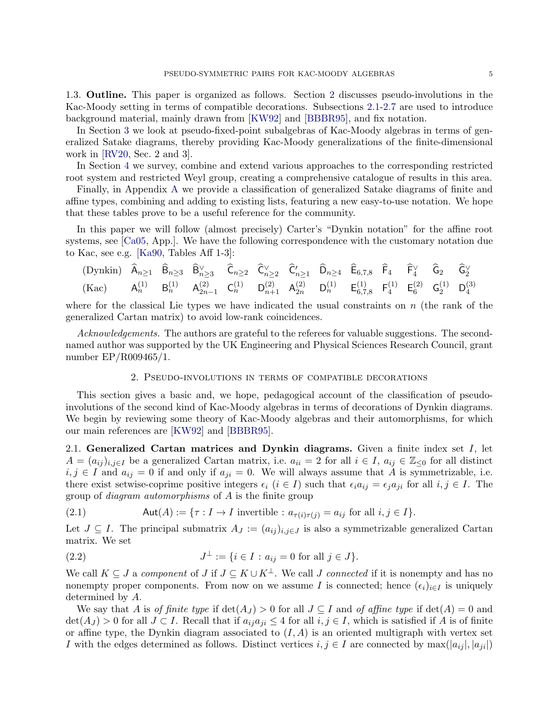1.3. Outline. This paper is organized as follows. Section [2](#page-6-0) discusses pseudo-involutions in the Kac-Moody setting in terms of compatible decorations. Subsections [2.1-](#page-6-1)[2.7](#page-9-0) are used to introduce background material, mainly drawn from [\[KW92\]](#page-42-7) and [\[BBBR95\]](#page-41-6), and fix notation.

In Section [3](#page-15-0) we look at pseudo-fixed-point subalgebras of Kac-Moody algebras in terms of generalized Satake diagrams, thereby providing Kac-Moody generalizations of the finite-dimensional work in [\[RV20,](#page-43-5) Sec. 2 and 3].

In Section [4](#page-20-0) we survey, combine and extend various approaches to the corresponding restricted root system and restricted Weyl group, creating a comprehensive catalogue of results in this area.

Finally, in Appendix [A](#page-31-0) we provide a classification of generalized Satake diagrams of finite and affine types, combining and adding to existing lists, featuring a new easy-to-use notation. We hope that these tables prove to be a useful reference for the community.

In this paper we will follow (almost precisely) Carter's "Dynkin notation" for the affine root systems, see [\[Ca05,](#page-41-16) App.]. We have the following correspondence with the customary notation due to Kac, see e.g. [\[Ka90,](#page-42-5) Tables Aff 1-3]:

$$
\begin{array}{ccccccccccccc} \text{(Dynkin)} & \widehat{A}_{n \geq 1} & \widehat{B}_{n \geq 3} & \widehat{B}_{n \geq 3}^{\vee} & \widehat{C}_{n \geq 2} & \widehat{C}_{n \geq 2}^{\vee} & \widehat{C}_{n \geq 1}^{\prime} & \widehat{D}_{n \geq 4} & \widehat{E}_{6,7,8} & \widehat{F}_{4} & \widehat{F}_{4}^{\vee} & \widehat{G}_{2} & \widehat{G}_{2}^{\vee} \\ \text{(Kac)} & A_{n}^{(1)} & B_{n}^{(1)} & A_{2n-1}^{(2)} & C_{n}^{(1)} & D_{n+1}^{(2)} & A_{2n}^{(2)} & D_{n}^{(1)} & E_{6,7,8}^{(1)} & F_{4}^{(1)} & E_{6}^{(2)} & G_{2}^{(1)} & D_{4}^{(3)} \end{array}
$$

where for the classical Lie types we have indicated the usual constraints on  $n$  (the rank of the generalized Cartan matrix) to avoid low-rank coincidences.

Acknowledgements. The authors are grateful to the referees for valuable suggestions. The secondnamed author was supported by the UK Engineering and Physical Sciences Research Council, grant number EP/R009465/1.

## 2. Pseudo-involutions in terms of compatible decorations

<span id="page-6-0"></span>This section gives a basic and, we hope, pedagogical account of the classification of pseudoinvolutions of the second kind of Kac-Moody algebras in terms of decorations of Dynkin diagrams. We begin by reviewing some theory of Kac-Moody algebras and their automorphisms, for which our main references are [\[KW92\]](#page-42-7) and [\[BBBR95\]](#page-41-6).

<span id="page-6-1"></span>2.1. Generalized Cartan matrices and Dynkin diagrams. Given a finite index set  $I$ , let  $A = (a_{ij})_{i,j\in I}$  be a generalized Cartan matrix, i.e.  $a_{ii} = 2$  for all  $i \in I$ ,  $a_{ij} \in \mathbb{Z}_{\leq 0}$  for all distinct  $i, j \in I$  and  $a_{ij} = 0$  if and only if  $a_{ji} = 0$ . We will always assume that A is symmetrizable, i.e. there exist setwise-coprime positive integers  $\epsilon_i$   $(i \in I)$  such that  $\epsilon_i a_{ij} = \epsilon_j a_{ji}$  for all  $i, j \in I$ . The group of diagram automorphisms of A is the finite group

(2.1) 
$$
\mathsf{Aut}(A) := \{ \tau : I \to I \text{ invertible} : a_{\tau(i)\tau(j)} = a_{ij} \text{ for all } i, j \in I \}.
$$

Let  $J \subseteq I$ . The principal submatrix  $A_J := (a_{ij})_{i,j \in J}$  is also a symmetrizable generalized Cartan matrix. We set

(2.2) 
$$
J^{\perp} := \{ i \in I : a_{ij} = 0 \text{ for all } j \in J \}.
$$

We call  $K \subseteq J$  a component of  $J$  if  $J \subseteq K \cup K^{\perp}$ . We call  $J$  connected if it is nonempty and has no nonempty proper components. From now on we assume I is connected; hence  $(\epsilon_i)_{i\in I}$  is uniquely determined by A.

We say that A is of finite type if  $\det(A_J) > 0$  for all  $J \subseteq I$  and of affine type if  $\det(A) = 0$  and  $\det(A_J) > 0$  for all  $J \subset I$ . Recall that if  $a_{ij}a_{ji} \leq 4$  for all  $i, j \in I$ , which is satisfied if A is of finite or affine type, the Dynkin diagram associated to  $(I, A)$  is an oriented multigraph with vertex set I with the edges determined as follows. Distinct vertices  $i, j \in I$  are connected by  $\max(|a_{ij}|, |a_{ji}|)$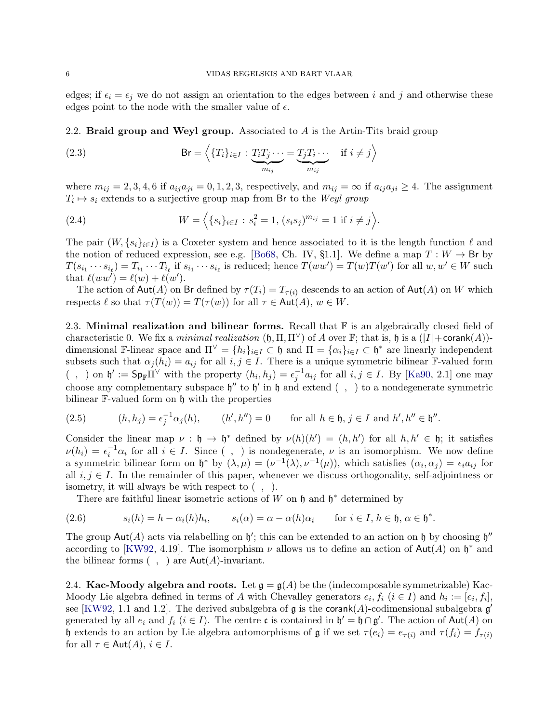edges; if  $\epsilon_i = \epsilon_j$  we do not assign an orientation to the edges between i and j and otherwise these edges point to the node with the smaller value of  $\epsilon$ .

<span id="page-7-0"></span>2.2. Braid group and Weyl group. Associated to  $A$  is the Artin-Tits braid group

(2.3) 
$$
\mathsf{Br} = \left\langle \{T_i\}_{i \in I} : \underbrace{T_i T_j \cdots}_{m_{ij}} = \underbrace{T_j T_i \cdots}_{m_{ij}} \quad \text{if } i \neq j \right\rangle
$$

where  $m_{ij} = 2, 3, 4, 6$  if  $a_{ij}a_{ji} = 0, 1, 2, 3$ , respectively, and  $m_{ij} = \infty$  if  $a_{ij}a_{ji} \ge 4$ . The assignment  $T_i \mapsto s_i$  extends to a surjective group map from Br to the Weyl group

(2.4) 
$$
W = \left\langle \{s_i\}_{i \in I} : s_i^2 = 1, (s_i s_j)^{m_{ij}} = 1 \text{ if } i \neq j \right\rangle.
$$

The pair  $(W, \{s_i\}_{i\in I})$  is a Coxeter system and hence associated to it is the length function  $\ell$  and the notion of reduced expression, see e.g. [\[Bo68,](#page-41-17) Ch. IV, §1.1]. We define a map  $T: W \to \mathsf{Br}$  by  $T(s_{i_1}\cdots s_{i_\ell})=T_{i_1}\cdots T_{i_\ell}$  if  $s_{i_1}\cdots s_{i_\ell}$  is reduced; hence  $T(ww')=T(w)T(w')$  for all  $w,w'\in W$  such that  $\ell(ww') = \ell(w) + \ell(w')$ .

The action of Aut(A) on Br defined by  $\tau(T_i) = T_{\tau(i)}$  descends to an action of Aut(A) on W which respects  $\ell$  so that  $\tau(T(w)) = T(\tau(w))$  for all  $\tau \in \text{Aut}(A), w \in W$ .

2.3. Minimal realization and bilinear forms. Recall that  $\mathbb F$  is an algebraically closed field of characteristic 0. We fix a minimal realization  $(\mathfrak{h}, \Pi, \Pi^{\vee})$  of A over F; that is,  $\mathfrak{h}$  is a  $(|I| + \text{corank}(A))$ dimensional F-linear space and  $\Pi^{\vee} = \{h_i\}_{i \in I} \subset \mathfrak{h}$  and  $\Pi = \{\alpha_i\}_{i \in I} \subset \mathfrak{h}^*$  are linearly independent subsets such that  $\alpha_j(h_i) = a_{ij}$  for all  $i, j \in I$ . There is a unique symmetric bilinear F-valued form  $( , )$  on  $\mathfrak{h}' := \mathsf{Sp}_{\mathbb{F}}\Pi^\vee$  with the property  $(h_i, h_j) = \epsilon_j^{-1} a_{ij}$  for all  $i, j \in I$ . By [\[Ka90,](#page-42-5) 2.1] one may choose any complementary subspace  $\mathfrak{h}''$  to  $\mathfrak{h}'$  in  $\mathfrak{h}$  and extend (, ) to a nondegenerate symmetric bilinear **F**-valued form on  $\mathfrak h$  with the properties

(2.5) 
$$
(h, h_j) = \epsilon_j^{-1} \alpha_j(h), \qquad (h', h'') = 0 \qquad \text{for all } h \in \mathfrak{h}, j \in I \text{ and } h', h'' \in \mathfrak{h}''.
$$

Consider the linear map  $\nu : \mathfrak{h} \to \mathfrak{h}^*$  defined by  $\nu(h)(h') = (h, h')$  for all  $h, h' \in \mathfrak{h}$ ; it satisfies  $\nu(h_i) = \epsilon_i^{-1} \alpha_i$  for all  $i \in I$ . Since (, ) is nondegenerate,  $\nu$  is an isomorphism. We now define a symmetric bilinear form on  $\mathfrak{h}^*$  by  $(\lambda, \mu) = (\nu^{-1}(\lambda), \nu^{-1}(\mu))$ , which satisfies  $(\alpha_i, \alpha_j) = \epsilon_i a_{ij}$  for all  $i, j \in I$ . In the remainder of this paper, whenever we discuss orthogonality, self-adjointness or isometry, it will always be with respect to  $( , )$ .

There are faithful linear isometric actions of W on  $\mathfrak h$  and  $\mathfrak h^*$  determined by

(2.6) 
$$
s_i(h) = h - \alpha_i(h)h_i, \qquad s_i(\alpha) = \alpha - \alpha(h)\alpha_i \qquad \text{for } i \in I, h \in \mathfrak{h}, \alpha \in \mathfrak{h}^*.
$$

The group  $\text{Aut}(A)$  acts via relabelling on  $\mathfrak{h}'$ ; this can be extended to an action on  $\mathfrak h$  by choosing  $\mathfrak{h}''$ according to [\[KW92,](#page-42-7) 4.19]. The isomorphism  $\nu$  allows us to define an action of Aut(A) on  $\mathfrak{h}^*$  and the bilinear forms  $( , )$  are  $\mathsf{Aut}(A)$ -invariant.

2.4. Kac-Moody algebra and roots. Let  $\mathfrak{g} = \mathfrak{g}(A)$  be the (indecomposable symmetrizable) Kac-Moody Lie algebra defined in terms of A with Chevalley generators  $e_i, f_i$   $(i \in I)$  and  $h_i := [e_i, f_i]$ , see [\[KW92,](#page-42-7) 1.1 and 1.2]. The derived subalgebra of  $\mathfrak g$  is the corank(A)-codimensional subalgebra  $\mathfrak g'$ generated by all  $e_i$  and  $f_i$   $(i \in I)$ . The centre c is contained in  $\mathfrak{h}' = \mathfrak{h} \cap \mathfrak{g}'$ . The action of Aut $(A)$  on h extends to an action by Lie algebra automorphisms of  $\mathfrak g$  if we set  $\tau(e_i) = e_{\tau(i)}$  and  $\tau(f_i) = f_{\tau(i)}$ for all  $\tau \in \text{Aut}(A), i \in I$ .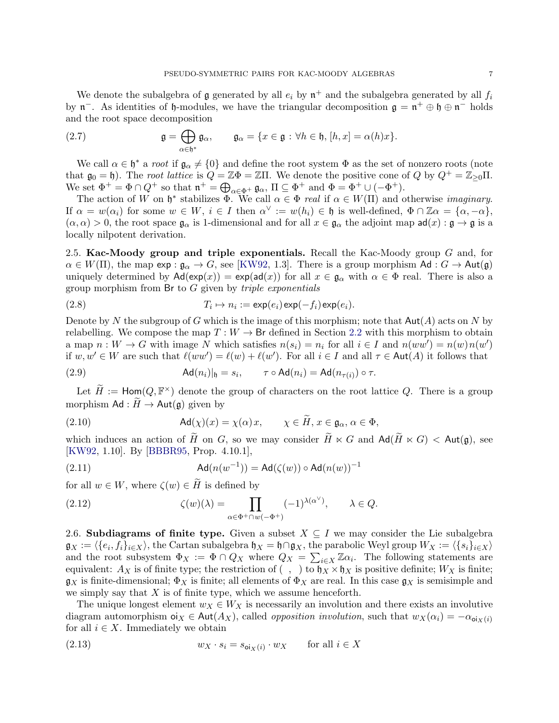We denote the subalgebra of  $\mathfrak g$  generated by all  $e_i$  by  $\mathfrak n^+$  and the subalgebra generated by all  $f_i$ by  $\mathfrak{n}^-$ . As identities of  $\mathfrak{h}$ -modules, we have the triangular decomposition  $\mathfrak{g} = \mathfrak{n}^+ \oplus \mathfrak{h} \oplus \mathfrak{n}^-$  holds and the root space decomposition

<span id="page-8-1"></span>(2.7) 
$$
\mathfrak{g} = \bigoplus_{\alpha \in \mathfrak{h}^*} \mathfrak{g}_{\alpha}, \qquad \mathfrak{g}_{\alpha} = \{x \in \mathfrak{g} : \forall h \in \mathfrak{h}, [h, x] = \alpha(h)x\}.
$$

We call  $\alpha \in \mathfrak{h}^*$  a root if  $\mathfrak{g}_{\alpha} \neq \{0\}$  and define the root system  $\Phi$  as the set of nonzero roots (note that  $\mathfrak{g}_0 = \mathfrak{h}$ ). The root lattice is  $Q = \mathbb{Z}\Phi = \mathbb{Z}\Pi$ . We denote the positive cone of Q by  $Q^+ = \mathbb{Z}_{\geq 0}\Pi$ . We set  $\Phi^+ = \Phi \cap Q^+$  so that  $\mathfrak{n}^+ = \bigoplus_{\alpha \in \Phi^+} \mathfrak{g}_{\alpha}$ ,  $\Pi \subseteq \Phi^+$  and  $\Phi = \Phi^+ \cup (-\Phi^+)$ .

The action of W on  $\mathfrak{h}^*$  stabilizes  $\Phi$ . We call  $\alpha \in \Phi$  real if  $\alpha \in W(\Pi)$  and otherwise *imaginary*. If  $\alpha = w(\alpha_i)$  for some  $w \in W$ ,  $i \in I$  then  $\alpha^{\vee} := w(h_i) \in \mathfrak{h}$  is well-defined,  $\Phi \cap \mathbb{Z} \alpha = {\alpha, -\alpha},$  $(\alpha, \alpha) > 0$ , the root space  $\mathfrak{g}_{\alpha}$  is 1-dimensional and for all  $x \in \mathfrak{g}_{\alpha}$  the adjoint map  $ad(x) : \mathfrak{g} \to \mathfrak{g}$  is a locally nilpotent derivation.

2.5. Kac-Moody group and triple exponentials. Recall the Kac-Moody group  $G$  and, for  $\alpha \in W(\Pi)$ , the map  $\exp : \mathfrak{g}_{\alpha} \to G$ , see [\[KW92,](#page-42-7) 1.3]. There is a group morphism Ad :  $G \to \text{Aut}(\mathfrak{g})$ uniquely determined by  $\mathsf{Ad}(\exp(x)) = \exp(\mathsf{ad}(x))$  for all  $x \in \mathfrak{g}_{\alpha}$  with  $\alpha \in \Phi$  real. There is also a group morphism from  $\mathsf{Br}$  to  $G$  given by *triple exponentials* 

(2.8) 
$$
T_i \mapsto n_i := \exp(e_i) \exp(-f_i) \exp(e_i).
$$

Denote by N the subgroup of G which is the image of this morphism; note that  $Aut(A)$  acts on N by relabelling. We compose the map  $T: W \to \mathsf{Br}$  defined in Section [2.2](#page-7-0) with this morphism to obtain a map  $n: W \to G$  with image N which satisfies  $n(s_i) = n_i$  for all  $i \in I$  and  $n(ww') = n(w)n(w')$ if  $w, w' \in W$  are such that  $\ell(ww') = \ell(w) + \ell(w')$ . For all  $i \in I$  and all  $\tau \in \text{Aut}(A)$  it follows that

(2.9) 
$$
\mathsf{Ad}(n_i)|_{\mathfrak{h}} = s_i, \qquad \tau \circ \mathsf{Ad}(n_i) = \mathsf{Ad}(n_{\tau(i)}) \circ \tau.
$$

Let  $\widetilde{H} := \text{Hom}(Q, \mathbb{F}^{\times})$  denote the group of characters on the root lattice Q. There is a group morphism  $\mathsf{Ad} : H \to \mathsf{Aut}(\mathfrak{g})$  given by

(2.10) 
$$
\mathsf{Ad}(\chi)(x) = \chi(\alpha)x, \qquad \chi \in \widetilde{H}, x \in \mathfrak{g}_{\alpha}, \alpha \in \Phi,
$$

which induces an action of  $\widetilde{H}$  on G, so we may consider  $\widetilde{H} \ltimes G$  and  $\mathsf{Ad}(\widetilde{H} \ltimes G) < \mathsf{Aut}(\mathfrak{g})$ , see [\[KW92,](#page-42-7) 1.10]. By [\[BBBR95,](#page-41-6) Prop. 4.10.1],

<span id="page-8-0"></span>(2.11) 
$$
Ad(n(w^{-1})) = Ad(\zeta(w)) \circ Ad(n(w))^{-1}
$$

for all  $w \in W$ , where  $\zeta(w) \in \widetilde{H}$  is defined by

(2.12) 
$$
\zeta(w)(\lambda) = \prod_{\alpha \in \Phi^+ \cap w(-\Phi^+)} (-1)^{\lambda(\alpha^{\vee})}, \quad \lambda \in Q.
$$

2.6. Subdiagrams of finite type. Given a subset  $X \subseteq I$  we may consider the Lie subalgebra  $\mathfrak{g}_X:=\langle\{e_i,f_i\}_{i\in X}\rangle,$  the Cartan subalgebra  $\mathfrak{h}_X=\mathfrak{h}\cap\mathfrak{g}_X,$  the parabolic Weyl group  $W_X:=\langle\{s_i\}_{i\in X}\rangle$ and the root subsystem  $\Phi_X := \Phi \cap Q_X$  where  $Q_X = \sum_{i \in X} \mathbb{Z} \alpha_i$ . The following statements are equivalent:  $A_X$  is of finite type; the restriction of  $( \ , \ )$  to  $\mathfrak{h}_X \times \mathfrak{h}_X$  is positive definite;  $W_X$  is finite;  $\mathfrak{g}_X$  is finite-dimensional;  $\Phi_X$  is finite; all elements of  $\Phi_X$  are real. In this case  $\mathfrak{g}_X$  is semisimple and we simply say that  $X$  is of finite type, which we assume henceforth.

The unique longest element  $w_X \in W_X$  is necessarily an involution and there exists an involutive diagram automorphism  $o_iX \in Aut(A_X)$ , called *opposition involution*, such that  $w_X(\alpha_i) = -\alpha_{oi_X(i)}$ for all  $i \in X$ . Immediately we obtain

<span id="page-8-2"></span>(2.13) 
$$
w_X \cdot s_i = s_{\text{o}i_X(i)} \cdot w_X \quad \text{for all } i \in X
$$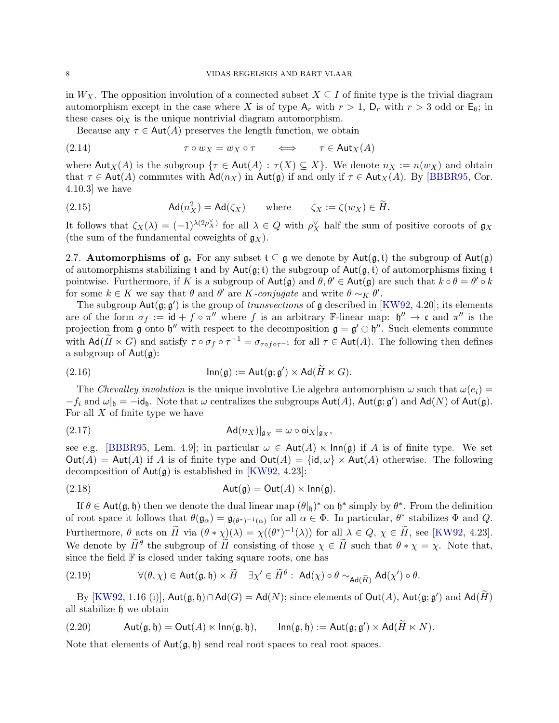in  $W_X$ . The opposition involution of a connected subset  $X \subseteq I$  of finite type is the trivial diagram automorphism except in the case where X is of type  $A_r$  with  $r > 1$ ,  $D_r$  with  $r > 3$  odd or  $E_6$ ; in these cases  $o_{X}$  is the unique nontrivial diagram automorphism.

<span id="page-9-6"></span>Because any  $\tau \in \text{Aut}(A)$  preserves the length function, we obtain

(2.14) 
$$
\tau \circ w_X = w_X \circ \tau \qquad \Longleftrightarrow \qquad \tau \in \text{Aut}_X(A)
$$

where  $\text{Aut}_X(A)$  is the subgroup  $\{\tau \in \text{Aut}(A) : \tau(X) \subseteq X\}$ . We denote  $n_X := n(w_X)$  and obtain that  $\tau \in \text{Aut}(A)$  commutes with  $\text{Ad}(n_X)$  in Aut(g) if and only if  $\tau \in \text{Aut}_X(A)$ . By [\[BBBR95,](#page-41-6) Cor. 4.10.3] we have

<span id="page-9-4"></span>(2.15) 
$$
\mathsf{Ad}(n_X^2) = \mathsf{Ad}(\zeta_X) \quad \text{where} \quad \zeta_X := \zeta(w_X) \in \widetilde{H}.
$$

It follows that  $\zeta_X(\lambda) = (-1)^{\lambda(2\rho_X^{\vee})}$  for all  $\lambda \in Q$  with  $\rho_X^{\vee}$  half the sum of positive coroots of  $\mathfrak{g}_X$ (the sum of the fundamental coweights of  $g_X$ ).

<span id="page-9-0"></span>2.7. Automorphisms of g. For any subset  $t \subseteq g$  we denote by Aut $(g, t)$  the subgroup of Aut $(g)$ of automorphisms stabilizing t and by  $Aut(g, t)$  the subgroup of  $Aut(g, t)$  of automorphisms fixing t pointwise. Furthermore, if K is a subgroup of  $\text{Aut}(\mathfrak{g})$  and  $\theta, \theta' \in \text{Aut}(\mathfrak{g})$  are such that  $k \circ \theta = \theta' \circ k$ for some  $k \in K$  we say that  $\theta$  and  $\theta'$  are K-conjugate and write  $\theta \sim_K \theta'$ .

The subgroup  $Aut(g; g')$  is the group of *transvections* of g described in [\[KW92,](#page-42-7) 4.20]; its elements are of the form  $\sigma_f := id + f \circ \pi''$  where f is an arbitrary F-linear map:  $\mathfrak{h}'' \to \mathfrak{c}$  and  $\pi''$  is the projection from g onto  $\mathfrak{h}''$  with respect to the decomposition  $\mathfrak{g} = \mathfrak{g}' \oplus \mathfrak{h}''$ . Such elements commute with  $\mathsf{Ad}(\widetilde{H}\ltimes G)$  and satisfy  $\tau\circ\sigma_f\circ\tau^{-1}=\sigma_{\tau\circ f\circ\tau^{-1}}$  for all  $\tau\in\mathsf{Aut}(A)$ . The following then defines a subgroup of  $Aut(\mathfrak{g})$ :

(2.16) 
$$
\mathsf{Inn}(\mathfrak{g}) := \mathsf{Aut}(\mathfrak{g}; \mathfrak{g}') \times \mathsf{Ad}(\widetilde{H} \ltimes G).
$$

The Chevalley involution is the unique involutive Lie algebra automorphism  $\omega$  such that  $\omega(e_i)$  =  $-f_i$  and  $\omega|_{\mathfrak{h}} = -id_{\mathfrak{h}}$ . Note that  $\omega$  centralizes the subgroups  $Aut(A)$ ,  $Aut(\mathfrak{g}; \mathfrak{g}')$  and  $Ad(N)$  of  $Aut(\mathfrak{g})$ . For all  $X$  of finite type we have

<span id="page-9-1"></span>(2.17) 
$$
\mathsf{Ad}(n_X)|_{\mathfrak{g}_X} = \omega \circ \mathsf{oi}_X|_{\mathfrak{g}_X},
$$

see e.g. [\[BBBR95,](#page-41-6) Lem. 4.9]; in particular  $\omega \in \text{Aut}(A) \ltimes \text{Inn(g)}$  if A is of finite type. We set  $Out(A) = Aut(A)$  if A is of finite type and  $Out(A) = \{id, \omega\} \times Aut(A)$  otherwise. The following decomposition of  $Aut(\mathfrak{g})$  is established in [\[KW92,](#page-42-7) 4.23]:

<span id="page-9-5"></span>
$$
(2.18) \t\t Aut(\mathfrak{g}) = Out(A) \ltimes Inn(\mathfrak{g}).
$$

If  $\theta \in \text{Aut}(\mathfrak{g}, \mathfrak{h})$  then we denote the dual linear map  $(\theta |_{\mathfrak{h}})^*$  on  $\mathfrak{h}^*$  simply by  $\theta^*$ . From the definition of root space it follows that  $\theta(\mathfrak{g}_{\alpha}) = \mathfrak{g}_{(\theta^*)^{-1}(\alpha)}$  for all  $\alpha \in \Phi$ . In particular,  $\theta^*$  stabilizes  $\Phi$  and  $Q$ . Furthermore,  $\theta$  acts on  $\widetilde{H}$  via  $(\theta * \chi)(\lambda) = \chi((\theta^*)^{-1}(\lambda))$  for all  $\lambda \in Q$ ,  $\chi \in \widetilde{H}$ , see [\[KW92,](#page-42-7) 4.23]. We denote by  $\widetilde{H}^{\theta}$  the subgroup of  $\widetilde{H}$  consisting of those  $\chi \in \widetilde{H}$  such that  $\theta * \chi = \chi$ . Note that, since the field  $F$  is closed under taking square roots, one has

<span id="page-9-3"></span>(2.19) 
$$
\forall (\theta, \chi) \in \text{Aut}(\mathfrak{g}, \mathfrak{h}) \times \widetilde{H} \quad \exists \chi' \in \widetilde{H}^{\theta} : \text{Ad}(\chi) \circ \theta \sim_{\text{Ad}(\widetilde{H})} \text{Ad}(\chi') \circ \theta.
$$

By  $[\text{KW92, 1.16 (i)], Aut(\mathfrak{g}, \mathfrak{h}) \cap \text{Ad}(G) = \text{Ad}(N);$  since elements of  $\text{Out}(A)$ ,  $\text{Aut}(\mathfrak{g}; \mathfrak{g}')$  and  $\text{Ad}(\widetilde{H})$ all stabilize h we obtain

<span id="page-9-2"></span>(2.20) 
$$
\mathsf{Aut}(\mathfrak{g},\mathfrak{h})=\mathsf{Out}(A)\ltimes\mathsf{Inn}(\mathfrak{g},\mathfrak{h}),\qquad\mathsf{Inn}(\mathfrak{g},\mathfrak{h}):=\mathsf{Aut}(\mathfrak{g};\mathfrak{g}')\times\mathsf{Ad}(\widetilde{H}\ltimes N).
$$

Note that elements of  $Aut(g, \mathfrak{h})$  send real root spaces to real root spaces.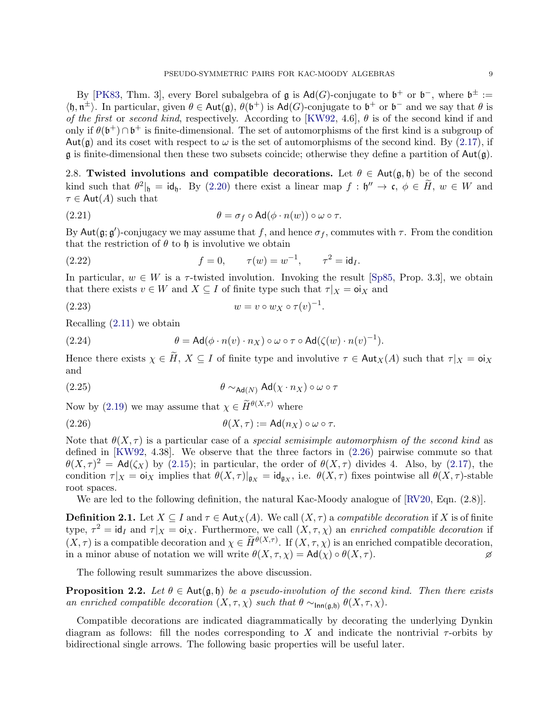By [\[PK83,](#page-43-2) Thm. 3], every Borel subalgebra of **g** is  $\text{Ad}(G)$ -conjugate to  $\mathfrak{b}^+$  or  $\mathfrak{b}^-$ , where  $\mathfrak{b}^{\pm} :=$  $\langle \mathfrak{h}, \mathfrak{n}^{\pm} \rangle$ . In particular, given  $\theta \in \text{Aut}(\mathfrak{g}), \theta(\mathfrak{b}^+)$  is  $\text{Ad}(G)$ -conjugate to  $\mathfrak{b}^+$  or  $\mathfrak{b}^-$  and we say that  $\theta$  is of the first or second kind, respectively. According to [\[KW92,](#page-42-7) 4.6],  $\theta$  is of the second kind if and only if  $\theta(\mathfrak{b}^+) \cap \mathfrak{b}^+$  is finite-dimensional. The set of automorphisms of the first kind is a subgroup of Aut(g) and its coset with respect to  $\omega$  is the set of automorphisms of the second kind. By [\(2.17\)](#page-9-1), if  $\mathfrak g$  is finite-dimensional then these two subsets coincide; otherwise they define a partition of  $\text{Aut}(\mathfrak g)$ .

<span id="page-10-3"></span>2.8. Twisted involutions and compatible decorations. Let  $\theta \in Aut(\mathfrak{g}, \mathfrak{h})$  be of the second kind such that  $\theta^2|_{\mathfrak{h}} = id_{\mathfrak{h}}$ . By [\(2.20\)](#page-9-2) there exist a linear map  $f : \mathfrak{h}'' \to \mathfrak{c}, \phi \in \widetilde{H}$ ,  $w \in W$  and  $\tau \in \text{Aut}(A)$  such that

(2.21) 
$$
\theta = \sigma_f \circ \text{Ad}(\phi \cdot n(w)) \circ \omega \circ \tau.
$$

By Aut $(\mathfrak{g}; \mathfrak{g}')$ -conjugacy we may assume that f, and hence  $\sigma_f$ , commutes with  $\tau$ . From the condition that the restriction of  $\theta$  to  $\mathfrak h$  is involutive we obtain

(2.22) 
$$
f = 0
$$
,  $\tau(w) = w^{-1}$ ,  $\tau^2 = id_I$ .

In particular,  $w \in W$  is a  $\tau$ -twisted involution. Invoking the result [\[Sp85,](#page-43-4) Prop. 3.3], we obtain that there exists  $v \in W$  and  $X \subseteq I$  of finite type such that  $\tau|_X = o_i_X$  and

$$
(2.23) \t\t w = v \circ w_X \circ \tau(v)^{-1}.
$$

Recalling [\(2.11\)](#page-8-0) we obtain

(2.24) 
$$
\theta = \mathrm{Ad}(\phi \cdot n(v) \cdot n_X) \circ \omega \circ \tau \circ \mathrm{Ad}(\zeta(w) \cdot n(v)^{-1}).
$$

Hence there exists  $\chi \in \tilde{H}$ ,  $X \subseteq I$  of finite type and involutive  $\tau \in \text{Aut}_X(A)$  such that  $\tau|_X = \text{o}$ i $_X$ and

(2.25) 
$$
\theta \sim_{\text{Ad}(N)} \text{Ad}(\chi \cdot n_X) \circ \omega \circ \tau
$$

Now by [\(2.19\)](#page-9-3) we may assume that  $\chi \in \widetilde{H}^{\theta(X,\tau)}$  where

<span id="page-10-1"></span>(2.26) 
$$
\theta(X,\tau) := \mathsf{Ad}(n_X) \circ \omega \circ \tau.
$$

Note that  $\theta(X,\tau)$  is a particular case of a *special semisimple automorphism of the second kind* as defined in [\[KW92,](#page-42-7) 4.38]. We observe that the three factors in [\(2.26\)](#page-10-1) pairwise commute so that  $\theta(X,\tau)^2 = \mathsf{Ad}(\zeta_X)$  by [\(2.15\)](#page-9-4); in particular, the order of  $\theta(X,\tau)$  divides 4. Also, by [\(2.17\)](#page-9-1), the condition  $\tau|_X = \mathsf{oi}_X$  implies that  $\theta(X, \tau)|_{\mathfrak{g}_X} = \mathsf{id}_{\mathfrak{g}_X}$ , i.e.  $\theta(X, \tau)$  fixes pointwise all  $\theta(X, \tau)$ -stable root spaces.

We are led to the following definition, the natural Kac-Moody analogue of [\[RV20,](#page-43-5) Eqn.  $(2.8)$ ].

<span id="page-10-0"></span>**Definition 2.1.** Let  $X \subseteq I$  and  $\tau \in \text{Aut}_X(A)$ . We call  $(X, \tau)$  a compatible decoration if X is of finite type,  $\tau^2 = id_I$  and  $\tau|_X = \text{o}i_X$ . Furthermore, we call  $(X, \tau, \chi)$  an enriched compatible decoration if  $(X, \tau)$  is a compatible decoration and  $\chi \in \widetilde{H}^{\theta(X,\tau)}$ . If  $(X, \tau, \chi)$  is an enriched compatible decoration, in a minor abuse of notation we will write  $\theta(X, \tau, \chi) = \mathsf{Ad}(\chi) \circ \theta(X, \tau)$ .

The following result summarizes the above discussion.

<span id="page-10-2"></span>**Proposition 2.2.** Let  $\theta \in \text{Aut}(\mathfrak{g},\mathfrak{h})$  be a pseudo-involution of the second kind. Then there exists an enriched compatible decoration  $(X, \tau, \chi)$  such that  $\theta \sim_{\mathsf{Inn}(\mathfrak{g},\mathfrak{h})} \theta(X, \tau, \chi)$ .

Compatible decorations are indicated diagrammatically by decorating the underlying Dynkin diagram as follows: fill the nodes corresponding to X and indicate the nontrivial  $\tau$ -orbits by bidirectional single arrows. The following basic properties will be useful later.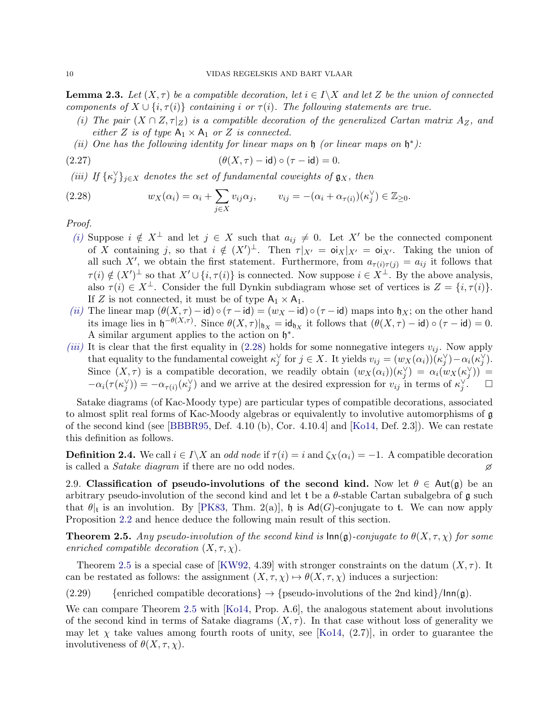<span id="page-11-7"></span>**Lemma 2.3.** Let  $(X, \tau)$  be a compatible decoration, let  $i \in I \backslash X$  and let Z be the union of connected components of  $X \cup \{i, \tau(i)\}$  containing i or  $\tau(i)$ . The following statements are true.

- <span id="page-11-1"></span>(i) The pair  $(X \cap Z, \tau|_Z)$  is a compatible decoration of the generalized Cartan matrix  $A_Z$ , and either Z is of type  $A_1 \times A_1$  or Z is connected.
- <span id="page-11-6"></span><span id="page-11-2"></span>(ii) One has the following identity for linear maps on  $\mathfrak h$  (or linear maps on  $\mathfrak h^*$ ):

$$
(2.27) \qquad \qquad (\theta(X,\tau)-\mathrm{id})\circ(\tau-\mathrm{id})=0.
$$

<span id="page-11-3"></span>(iii) If  $\{\kappa_j^\vee\}_{j\in X}$  denotes the set of fundamental coweights of  $\mathfrak{g}_X$ , then

<span id="page-11-4"></span>(2.28) 
$$
w_X(\alpha_i) = \alpha_i + \sum_{j \in X} v_{ij}\alpha_j, \qquad v_{ij} = -(\alpha_i + \alpha_{\tau(i)})(\kappa_j^{\vee}) \in \mathbb{Z}_{\geq 0}.
$$

Proof.

- [\(i\)](#page-11-1) Suppose  $i \notin X^{\perp}$  and let  $j \in X$  such that  $a_{ij} \neq 0$ . Let X' be the connected component of X containing j, so that  $i \notin (X')^{\perp}$ . Then  $\tau|_{X'} = \mathsf{o}i_X|_{X'} = \mathsf{o}i_{X'}$ . Taking the union of all such X', we obtain the first statement. Furthermore, from  $a_{\tau(i)\tau(j)} = a_{ij}$  it follows that  $\tau(i) \notin (X')^{\perp}$  so that  $X' \cup \{i, \tau(i)\}\$ is connected. Now suppose  $i \in X^{\perp}$ . By the above analysis, also  $\tau(i) \in X^{\perp}$ . Consider the full Dynkin subdiagram whose set of vertices is  $Z = \{i, \tau(i)\}.$ If Z is not connected, it must be of type  $A_1 \times A_1$ .
- [\(ii\)](#page-11-2) The linear map  $(\theta(X, \tau) \text{id}) \circ (\tau \text{id}) = (w_X \text{id}) \circ (\tau \text{id})$  maps into  $\mathfrak{h}_X$ ; on the other hand its image lies in  $\mathfrak{h}^{-\theta(X,\tau)}$ . Since  $\theta(X,\tau)|_{\mathfrak{h}_X} = \mathsf{id}_{\mathfrak{h}_X}$  it follows that  $(\theta(X,\tau) - \mathsf{id}) \circ (\tau - \mathsf{id}) = 0$ . A similar argument applies to the action on  $\mathfrak{h}^*$ .
- [\(iii\)](#page-11-3) It is clear that the first equality in [\(2.28\)](#page-11-4) holds for some nonnegative integers  $v_{ij}$ . Now apply that equality to the fundamental coweight  $\kappa_j^{\vee}$  for  $j \in X$ . It yields  $v_{ij} = (w_X(\alpha_i))(\kappa_j^{\vee}) - \alpha_i(\kappa_j^{\vee})$ . Since  $(X, \tau)$  is a compatible decoration, we readily obtain  $(w_X(\alpha_i))(\kappa_j^{\vee}) = \alpha_i(w_X(\kappa_j^{\vee}))$  $-\alpha_i(\tau(\kappa_j^{\vee})) = -\alpha_{\tau(i)}(\kappa_j^{\vee})$  and we arrive at the desired expression for  $v_{ij}$  in terms of  $\kappa_j^{\vee}$  $\Box$

Satake diagrams (of Kac-Moody type) are particular types of compatible decorations, associated to almost split real forms of Kac-Moody algebras or equivalently to involutive automorphisms of g of the second kind (see [\[BBBR95,](#page-41-6) Def. 4.10 (b), Cor. 4.10.4] and [\[Ko14,](#page-42-8) Def. 2.3]). We can restate this definition as follows.

<span id="page-11-5"></span>**Definition 2.4.** We call  $i \in I\backslash X$  an *odd node* if  $\tau(i) = i$  and  $\zeta_X(\alpha_i) = -1$ . A compatible decoration is called a *Satake diagram* if there are no odd nodes.  $\varnothing$ 

2.9. Classification of pseudo-involutions of the second kind. Now let  $\theta \in Aut(\mathfrak{g})$  be an arbitrary pseudo-involution of the second kind and let t be a  $\theta$ -stable Cartan subalgebra of g such that  $\theta|_t$  is an involution. By [\[PK83,](#page-43-2) Thm. 2(a)],  $\mathfrak{h}$  is  $\mathsf{Ad}(G)$ -conjugate to t. We can now apply Proposition [2.2](#page-10-2) and hence deduce the following main result of this section.

<span id="page-11-0"></span>**Theorem 2.5.** Any pseudo-involution of the second kind is  $\text{Inn}(g)$ -conjugate to  $\theta(X, \tau, \chi)$  for some enriched compatible decoration  $(X, \tau, \chi)$ .

Theorem [2.5](#page-11-0) is a special case of [\[KW92,](#page-42-7) 4.39] with stronger constraints on the datum  $(X, \tau)$ . It can be restated as follows: the assignment  $(X, \tau, \chi) \mapsto \theta(X, \tau, \chi)$  induces a surjection:

(2.29) {enriched compatible decorations}  $\rightarrow$  {pseudo-involutions of the 2nd kind}/lnn(g).

We can compare Theorem [2.5](#page-11-0) with [\[Ko14,](#page-42-8) Prop. A.6], the analogous statement about involutions of the second kind in terms of Satake diagrams  $(X, \tau)$ . In that case without loss of generality we may let  $\chi$  take values among fourth roots of unity, see [\[Ko14,](#page-42-8) (2.7)], in order to guarantee the involutiveness of  $\theta(X, \tau, \chi)$ .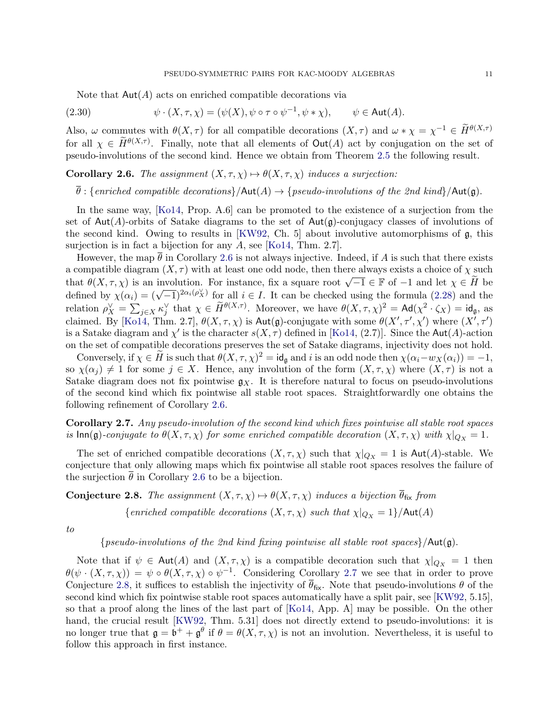<span id="page-12-3"></span>Note that  $Aut(A)$  acts on enriched compatible decorations via

(2.30) 
$$
\psi \cdot (X, \tau, \chi) = (\psi(X), \psi \circ \tau \circ \psi^{-1}, \psi * \chi), \qquad \psi \in \text{Aut}(A).
$$

Also,  $\omega$  commutes with  $\theta(X,\tau)$  for all compatible decorations  $(X,\tau)$  and  $\omega * \chi = \chi^{-1} \in \widetilde{H}^{\theta(X,\tau)}$ for all  $\chi \in \widetilde{H}^{\theta(X,\tau)}$ . Finally, note that all elements of  $\text{Out}(A)$  act by conjugation on the set of pseudo-involutions of the second kind. Hence we obtain from Theorem [2.5](#page-11-0) the following result.

<span id="page-12-2"></span>**Corollary 2.6.** The assignment  $(X, \tau, \chi) \mapsto \theta(X, \tau, \chi)$  induces a surjection:

 $\overline{\theta}$ : {enriched compatible decorations}/ $\mathsf{Aut}(A) \to \{pseudo-involutions of the 2nd kind\}/\mathsf{Aut}(\mathfrak{g}).$ 

In the same way, [\[Ko14,](#page-42-8) Prop. A.6] can be promoted to the existence of a surjection from the set of  $Aut(A)$ -orbits of Satake diagrams to the set of  $Aut(\mathfrak{g})$ -conjugacy classes of involutions of the second kind. Owing to results in [\[KW92,](#page-42-7) Ch. 5] about involutive automorphisms of g, this surjection is in fact a bijection for any A, see [\[Ko14,](#page-42-8) Thm. 2.7].

However, the map  $\bar{\theta}$  in Corollary [2.6](#page-12-2) is not always injective. Indeed, if A is such that there exists a compatible diagram  $(X, \tau)$  with at least one odd node, then there always exists a choice of  $\chi$  such that  $\theta(X, \tau, \chi)$  is an involution. For instance, fix a square root  $\sqrt{-1} \in \mathbb{F}$  of  $-1$  and let  $\chi \in \tilde{H}$  be defined by  $\chi(\alpha_i) = (\sqrt{-1})^{2\alpha_i(\rho_X^{\vee})}$  for all  $i \in I$ . It can be checked using the formula [\(2.28\)](#page-11-4) and the relation  $\rho_X^{\vee} = \sum_{j \in X} \kappa_j^{\vee}$  that  $\chi \in \widetilde{H}^{\theta(X,\tau)}$ . Moreover, we have  $\theta(X,\tau,\chi)^2 = \mathsf{Ad}(\chi^2 \cdot \zeta_X) = \mathsf{id}_{\mathfrak{g}}$ , as claimed. By [\[Ko14,](#page-42-8) Thm. 2.7],  $\theta(X, \tau, \chi)$  is Aut(g)-conjugate with some  $\theta(X', \tau', \chi')$  where  $(X', \tau')$ is a Satake diagram and  $\chi'$  is the character  $s(X, \tau)$  defined in [\[Ko14,](#page-42-8) (2.7)]. Since the Aut(A)-action on the set of compatible decorations preserves the set of Satake diagrams, injectivity does not hold.

Conversely, if  $\chi \in \tilde{H}$  is such that  $\theta(X, \tau, \chi)^2 = id_{\mathfrak{g}}$  and i is an odd node then  $\chi(\alpha_i - w_X(\alpha_i)) = -1$ , so  $\chi(\alpha_j) \neq 1$  for some  $j \in X$ . Hence, any involution of the form  $(X, \tau, \chi)$  where  $(X, \tau)$  is not a Satake diagram does not fix pointwise  $g_X$ . It is therefore natural to focus on pseudo-involutions of the second kind which fix pointwise all stable root spaces. Straightforwardly one obtains the following refinement of Corollary [2.6.](#page-12-2)

<span id="page-12-0"></span>Corollary 2.7. Any pseudo-involution of the second kind which fixes pointwise all stable root spaces is  $\text{Inn}(\mathfrak{g})$ -conjugate to  $\theta(X,\tau,\chi)$  for some enriched compatible decoration  $(X,\tau,\chi)$  with  $\chi|_{Q_X} = 1$ .

The set of enriched compatible decorations  $(X, \tau, \chi)$  such that  $\chi|_{Q_X} = 1$  is Aut(A)-stable. We conjecture that only allowing maps which fix pointwise all stable root spaces resolves the failure of the surjection  $\bar{\theta}$  in Corollary [2.6](#page-12-2) to be a bijection.

<span id="page-12-1"></span>**Conjecture 2.8.** The assignment  $(X, \tau, \chi) \mapsto \theta(X, \tau, \chi)$  induces a bijection  $\overline{\theta}_{fix}$  from

{enriched compatible decorations  $(X, \tau, \chi)$  such that  $\chi|_{Q_X} = 1$ }/Aut(A)

to

{pseudo-involutions of the 2nd kind fixing pointwise all stable root spaces}/ $Aut(g)$ .

Note that if  $\psi \in \text{Aut}(A)$  and  $(X, \tau, \chi)$  is a compatible decoration such that  $\chi|_{Q_X} = 1$  then  $\theta(\psi \cdot (X, \tau, \chi)) = \psi \circ \theta(X, \tau, \chi) \circ \psi^{-1}$ . Considering Corollary [2.7](#page-12-0) we see that in order to prove Conjecture [2.8,](#page-12-1) it suffices to establish the injectivity of  $\bar{\theta}_{fix}$ . Note that pseudo-involutions  $\theta$  of the second kind which fix pointwise stable root spaces automatically have a split pair, see [\[KW92,](#page-42-7) 5.15], so that a proof along the lines of the last part of [\[Ko14,](#page-42-8) App. A] may be possible. On the other hand, the crucial result [\[KW92,](#page-42-7) Thm. 5.31] does not directly extend to pseudo-involutions: it is no longer true that  $\mathfrak{g} = \mathfrak{b}^+ + \mathfrak{g}^\theta$  if  $\theta = \theta(X, \tau, \chi)$  is not an involution. Nevertheless, it is useful to follow this approach in first instance.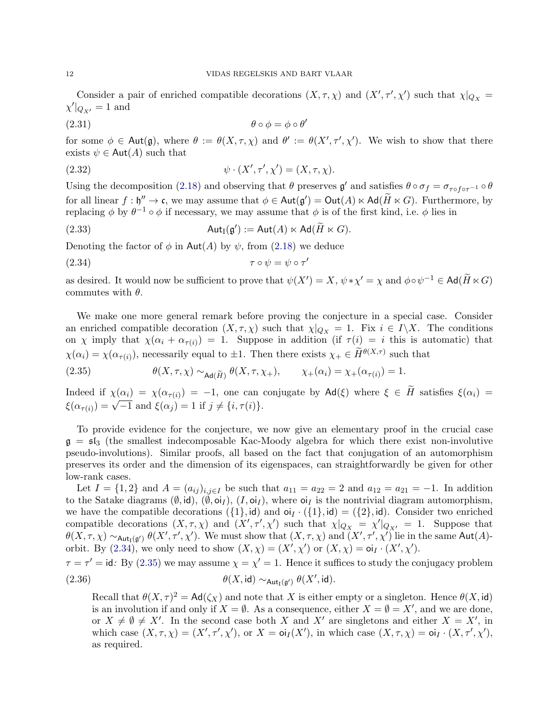Consider a pair of enriched compatible decorations  $(X, \tau, \chi)$  and  $(X', \tau', \chi')$  such that  $\chi|_{Q_X} =$  $\chi' |_{Q_{X'}} = 1$  and

<span id="page-13-2"></span>
$$
\theta \circ \phi = \phi \circ \theta'
$$

for some  $\phi \in \text{Aut}(\mathfrak{g})$ , where  $\theta := \theta(X, \tau, \chi)$  and  $\theta' := \theta(X', \tau', \chi')$ . We wish to show that there exists  $\psi \in \text{Aut}(A)$  such that

(2.32) 
$$
\psi \cdot (X', \tau', \chi') = (X, \tau, \chi).
$$

Using the decomposition [\(2.18\)](#page-9-5) and observing that  $\theta$  preserves  $\mathfrak{g}'$  and satisfies  $\theta \circ \sigma_f = \sigma_{\tau \circ f \circ \tau^{-1}} \circ \theta$ for all linear  $f : \mathfrak{h}'' \to \mathfrak{c}$ , we may assume that  $\phi \in \text{Aut}(\mathfrak{g}') = \text{Out}(A) \ltimes \text{Ad}(\widetilde{H} \ltimes G)$ . Furthermore, by replacing  $\phi$  by  $\theta^{-1} \circ \phi$  if necessary, we may assume that  $\phi$  is of the first kind, i.e.  $\phi$  lies in

(2.33) 
$$
\operatorname{Aut}_{\mathrm{I}}(\mathfrak{g}') := \operatorname{Aut}(A) \ltimes \operatorname{Ad}(\widetilde{H} \ltimes G).
$$

Denoting the factor of  $\phi$  in Aut(A) by  $\psi$ , from [\(2.18\)](#page-9-5) we deduce

<span id="page-13-0"></span>
$$
(2.34) \t\t\t\t\t\t\tau \circ \psi = \psi \circ \tau'
$$

as desired. It would now be sufficient to prove that  $\psi(X') = X$ ,  $\psi * \chi' = \chi$  and  $\phi \circ \psi^{-1} \in \text{Ad}(\widetilde{H} \ltimes G)$ commutes with  $\theta$ .

We make one more general remark before proving the conjecture in a special case. Consider an enriched compatible decoration  $(X, \tau, \chi)$  such that  $\chi|_{Q_X} = 1$ . Fix  $i \in I \backslash X$ . The conditions on  $\chi$  imply that  $\chi(\alpha_i + \alpha_{\tau(i)}) = 1$ . Suppose in addition (if  $\tau(i) = i$  this is automatic) that  $\chi(\alpha_i) = \chi(\alpha_{\tau(i)})$ , necessarily equal to  $\pm 1$ . Then there exists  $\chi_+ \in \widetilde{H}^{\theta(X,\tau)}$  such that

<span id="page-13-1"></span>(2.35) 
$$
\theta(X,\tau,\chi) \sim_{\text{Ad}(\widetilde{H})} \theta(X,\tau,\chi_+), \qquad \chi_+(\alpha_i) = \chi_+(\alpha_{\tau(i)}) = 1.
$$

Indeed if  $\chi(\alpha_i) = \chi(\alpha_{\tau(i)}) = -1$ , one can conjugate by  $\mathsf{Ad}(\xi)$  where  $\xi \in H$  satisfies  $\xi(\alpha_i) =$  $\zeta(\alpha_{\tau(i)}) = \sqrt{-1}$  and  $\xi(\alpha_j) = 1$  if  $j \neq \{i, \tau(i)\}.$ 

To provide evidence for the conjecture, we now give an elementary proof in the crucial case  $g = \mathfrak{sl}_3$  (the smallest indecomposable Kac-Moody algebra for which there exist non-involutive pseudo-involutions). Similar proofs, all based on the fact that conjugation of an automorphism preserves its order and the dimension of its eigenspaces, can straightforwardly be given for other low-rank cases.

Let  $I = \{1, 2\}$  and  $A = (a_{ij})_{i,j \in I}$  be such that  $a_{11} = a_{22} = 2$  and  $a_{12} = a_{21} = -1$ . In addition to the Satake diagrams  $(\emptyset, id)$ ,  $(\emptyset, o_i), (I, o_i)$ , where  $o_i$  is the nontrivial diagram automorphism, we have the compatible decorations  $({1}, id)$  and  $oi_I \cdot ({1}, id) = ({2}, id)$ . Consider two enriched compatible decorations  $(X, \tau, \chi)$  and  $(X', \tau', \chi')$  such that  $\chi|_{Q_X} = \chi'|_{Q_{X'}} = 1$ . Suppose that  $\theta(X,\tau,\chi) \sim_{\mathsf{Aut}_{\mathrm{I}}(\mathfrak{g}')} \theta(X',\tau',\chi')$ . We must show that  $(X,\tau,\chi)$  and  $(X',\tau',\chi')$  lie in the same  $\mathsf{Aut}(A)$ orbit. By  $(2.34)$ , we only need to show  $(X, \chi) = (X', \chi')$  or  $(X, \chi) = oI_I \cdot (X', \chi')$ .

 $\tau = \tau' = id$ : By [\(2.35\)](#page-13-1) we may assume  $\chi = \chi' = 1$ . Hence it suffices to study the conjugacy problem (2.36)  $\theta(X, \text{id}) \sim_{\text{Aut}_I(\mathfrak{g}')} \theta(X', \text{id}).$ 

Recall that  $\theta(X, \tau)^2 = \mathsf{Ad}(\zeta_X)$  and note that X is either empty or a singleton. Hence  $\theta(X, id)$ is an involution if and only if  $X = \emptyset$ . As a consequence, either  $X = \emptyset = X'$ , and we are done, or  $X \neq \emptyset \neq X'$ . In the second case both X and X' are singletons and either  $X = X'$ , in which case  $(X, \tau, \chi) = (X', \tau', \chi'),$  or  $X = \text{o}i_I(X'),$  in which case  $(X, \tau, \chi) = \text{o}i_I \cdot (X, \tau', \chi'),$ as required.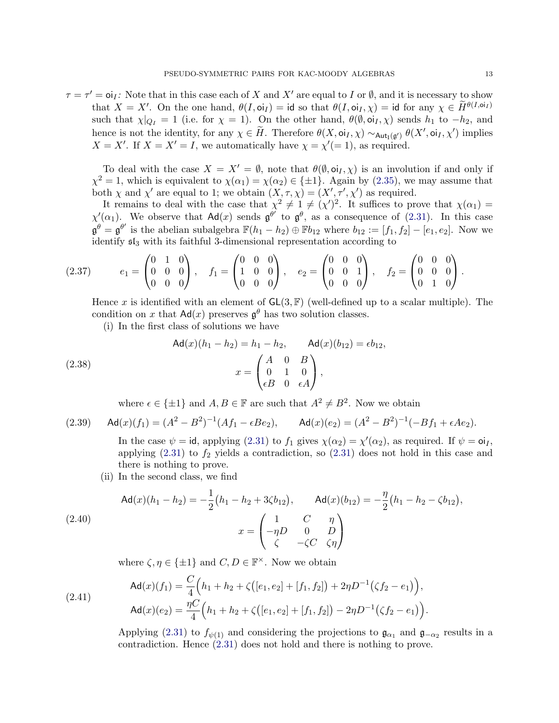$\tau = \tau' = o_i$ : Note that in this case each of X and X' are equal to I or  $\emptyset$ , and it is necessary to show that  $X = X'$ . On the one hand,  $\theta(I, \text{o}i_I) = \text{id}$  so that  $\theta(I, \text{o}i_I, \chi) = \text{id}$  for any  $\chi \in \widetilde{H}^{\theta(I, \text{o}i_I)}$ such that  $\chi|_{Q_I} = 1$  (i.e. for  $\chi = 1$ ). On the other hand,  $\theta(\emptyset, \text{o}i_I, \chi)$  sends  $h_1$  to  $-h_2$ , and hence is not the identity, for any  $\chi \in \tilde{H}$ . Therefore  $\theta(X, \text{oi}_I, \chi) \sim_{\text{Aut}_I(\mathfrak{g}')} \theta(X', \text{oi}_I, \chi')$  implies  $X = X'$ . If  $X = X' = I$ , we automatically have  $\chi = \chi' = 1$ , as required.

To deal with the case  $X = X' = \emptyset$ , note that  $\theta(\emptyset, o_i, \chi)$  is an involution if and only if  $\chi^2 = 1$ , which is equivalent to  $\chi(\alpha_1) = \chi(\alpha_2) \in {\pm 1}$ . Again by [\(2.35\)](#page-13-1), we may assume that both  $\chi$  and  $\chi'$  are equal to 1; we obtain  $(X, \tau, \chi) = (X', \tau', \chi')$  as required.

It remains to deal with the case that  $\chi^2 \neq 1 \neq (\chi')^2$ . It suffices to prove that  $\chi(\alpha_1)$  $\chi'(\alpha_1)$ . We observe that  $\mathsf{Ad}(x)$  sends  $\mathfrak{g}^{\theta'}$  to  $\mathfrak{g}^{\theta}$ , as a consequence of [\(2.31\)](#page-13-2). In this case  $\mathfrak{g}^{\theta} = \mathfrak{g}^{\theta'}$  is the abelian subalgebra  $\mathbb{F}(h_1 - h_2) \oplus \mathbb{F}b_{12}$  where  $b_{12} := [f_1, f_2] - [e_1, e_2]$ . Now we identify sl<sup>3</sup> with its faithful 3-dimensional representation according to

$$
(2.37) \t e_1 = \begin{pmatrix} 0 & 1 & 0 \\ 0 & 0 & 0 \\ 0 & 0 & 0 \end{pmatrix}, \t f_1 = \begin{pmatrix} 0 & 0 & 0 \\ 1 & 0 & 0 \\ 0 & 0 & 0 \end{pmatrix}, \t e_2 = \begin{pmatrix} 0 & 0 & 0 \\ 0 & 0 & 1 \\ 0 & 0 & 0 \end{pmatrix}, \t f_2 = \begin{pmatrix} 0 & 0 & 0 \\ 0 & 0 & 0 \\ 0 & 1 & 0 \end{pmatrix}.
$$

Hence x is identified with an element of  $GL(3, \mathbb{F})$  (well-defined up to a scalar multiple). The condition on x that  $\mathsf{Ad}(x)$  preserves  $\mathfrak{g}^{\theta}$  has two solution classes.

(i) In the first class of solutions we have

(2.38) 
$$
\mathsf{Ad}(x)(h_1 - h_2) = h_1 - h_2, \qquad \mathsf{Ad}(x)(b_{12}) = \epsilon b_{12},
$$

$$
x = \begin{pmatrix} A & 0 & B \\ 0 & 1 & 0 \\ \epsilon B & 0 & \epsilon A \end{pmatrix},
$$

where  $\epsilon \in {\pm 1}$  and  $A, B \in \mathbb{F}$  are such that  $A^2 \neq B^2$ . Now we obtain

(2.39) 
$$
\mathsf{Ad}(x)(f_1) = (A^2 - B^2)^{-1}(Af_1 - \epsilon Be_2), \qquad \mathsf{Ad}(x)(e_2) = (A^2 - B^2)^{-1}(-Bf_1 + \epsilon Ae_2).
$$

In the case  $\psi = id$ , applying [\(2.31\)](#page-13-2) to  $f_1$  gives  $\chi(\alpha_2) = \chi'(\alpha_2)$ , as required. If  $\psi = \text{o}i_I$ , applying  $(2.31)$  to  $f_2$  yields a contradiction, so  $(2.31)$  does not hold in this case and there is nothing to prove.

(ii) In the second class, we find

$$
\mathsf{Ad}(x)(h_1 - h_2) = -\frac{1}{2}(h_1 - h_2 + 3\zeta b_{12}), \qquad \mathsf{Ad}(x)(b_{12}) = -\frac{\eta}{2}(h_1 - h_2 - \zeta b_{12}),
$$
\n
$$
x = \begin{pmatrix} 1 & C & \eta \\ -\eta D & 0 & D \\ \zeta & -\zeta C & \zeta \eta \end{pmatrix}
$$

where  $\zeta, \eta \in {\pm 1}$  and  $C, D \in \mathbb{F}^{\times}$ . Now we obtain

(2.41) 
$$
\mathsf{Ad}(x)(f_1) = \frac{C}{4} \Big( h_1 + h_2 + \zeta \big( [e_1, e_2] + [f_1, f_2] \big) + 2\eta D^{-1} \big( \zeta f_2 - e_1 \big) \Big),
$$

$$
\mathsf{Ad}(x)(e_2) = \frac{\eta C}{4} \Big( h_1 + h_2 + \zeta \big( [e_1, e_2] + [f_1, f_2] \big) - 2\eta D^{-1} \big( \zeta f_2 - e_1 \big) \Big).
$$

Applying [\(2.31\)](#page-13-2) to  $f_{\psi(1)}$  and considering the projections to  $\mathfrak{g}_{\alpha_1}$  and  $\mathfrak{g}_{-\alpha_2}$  results in a contradiction. Hence [\(2.31\)](#page-13-2) does not hold and there is nothing to prove.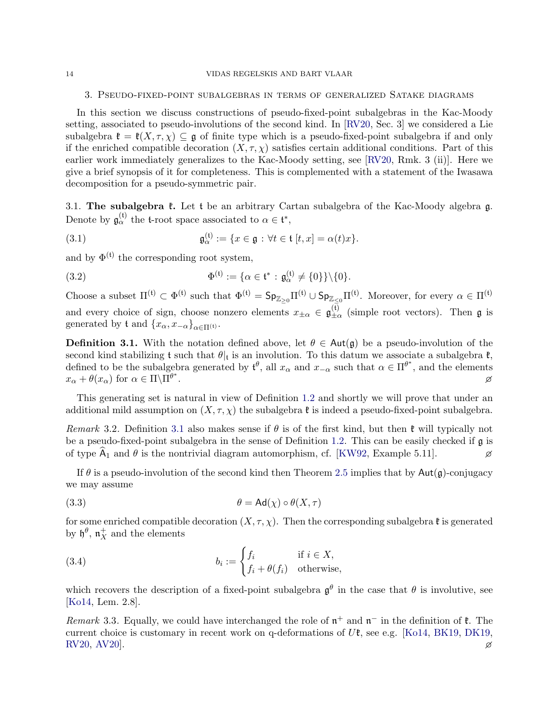#### <span id="page-15-0"></span>3. Pseudo-fixed-point subalgebras in terms of generalized Satake diagrams

In this section we discuss constructions of pseudo-fixed-point subalgebras in the Kac-Moody setting, associated to pseudo-involutions of the second kind. In [\[RV20,](#page-43-5) Sec. 3] we considered a Lie subalgebra  $\mathfrak{k} = \mathfrak{k}(X, \tau, \chi) \subseteq \mathfrak{g}$  of finite type which is a pseudo-fixed-point subalgebra if and only if the enriched compatible decoration  $(X, \tau, \chi)$  satisfies certain additional conditions. Part of this earlier work immediately generalizes to the Kac-Moody setting, see [\[RV20,](#page-43-5) Rmk. 3 (ii)]. Here we give a brief synopsis of it for completeness. This is complemented with a statement of the Iwasawa decomposition for a pseudo-symmetric pair.

3.1. The subalgebra  $\mathfrak k$ . Let  $\mathfrak t$  be an arbitrary Cartan subalgebra of the Kac-Moody algebra  $\mathfrak g$ . Denote by  $\mathfrak{g}_{\alpha}^{(\mathfrak{t})}$  the **t**-root space associated to  $\alpha \in \mathfrak{t}^*$ ,

(3.1) 
$$
\mathfrak{g}_{\alpha}^{(\mathfrak{t})} := \{x \in \mathfrak{g} : \forall t \in \mathfrak{t} [t,x] = \alpha(t)x\}.
$$

and by  $\Phi^{(t)}$  the corresponding root system,

(3.2) 
$$
\Phi^{(\mathfrak{t})} := \{ \alpha \in \mathfrak{t}^* : \mathfrak{g}_{\alpha}^{(\mathfrak{t})} \neq \{0\} \} \setminus \{0\}.
$$

Choose a subset  $\Pi^{(t)} \subset \Phi^{(t)}$  such that  $\Phi^{(t)} = \mathsf{Sp}_{\mathbb{Z}_{\geq 0}} \Pi^{(t)} \cup \mathsf{Sp}_{\mathbb{Z}_{\leq 0}} \Pi^{(t)}$ . Moreover, for every  $\alpha \in \Pi^{(t)}$ and every choice of sign, choose nonzero elements  $x_{\pm\alpha} \in \mathfrak{g}_{\pm\alpha}^{(\mathfrak{t})}$  $\frac{dI}{dx}$  (simple root vectors). Then **g** is generated by t and  $\{x_{\alpha}, x_{-\alpha}\}_{{\alpha \in \Pi^{(t)}}}.$ 

<span id="page-15-1"></span>**Definition 3.1.** With the notation defined above, let  $\theta \in \text{Aut}(\mathfrak{g})$  be a pseudo-involution of the second kind stabilizing t such that  $\theta|_t$  is an involution. To this datum we associate a subalgebra  $\mathfrak{k}$ , defined to be the subalgebra generated by  $\mathfrak{t}^{\theta}$ , all  $x_{\alpha}$  and  $x_{-\alpha}$  such that  $\alpha \in \Pi^{\theta^*}$ , and the elements  $x_{\alpha} + \theta(x_{\alpha})$  for  $\alpha \in \Pi \backslash \Pi^{\theta^*}$ . The contract of the contract of the contract of  $\beta$ 

This generating set is natural in view of Definition [1.2](#page-4-0) and shortly we will prove that under an additional mild assumption on  $(X, \tau, \chi)$  the subalgebra  $\mathfrak k$  is indeed a pseudo-fixed-point subalgebra.

Remark 3.2. Definition [3.1](#page-15-1) also makes sense if  $\theta$  is of the first kind, but then  $\mathfrak k$  will typically not be a pseudo-fixed-point subalgebra in the sense of Definition [1.2.](#page-4-0) This can be easily checked if g is of type  $A_1$  and  $\theta$  is the nontrivial diagram automorphism, cf. [\[KW92,](#page-42-7) Example 5.11].

If  $\theta$  is a pseudo-involution of the second kind then Theorem [2.5](#page-11-0) implies that by  $\text{Aut}(\mathfrak{g})$ -conjugacy we may assume

(3.3) 
$$
\theta = \mathsf{Ad}(\chi) \circ \theta(X, \tau)
$$

for some enriched compatible decoration  $(X, \tau, \chi)$ . Then the corresponding subalgebra  $\mathfrak k$  is generated by  $\mathfrak{h}^{\theta}$ ,  $\mathfrak{n}_X^+$  and the elements

<span id="page-15-2"></span>(3.4) 
$$
b_i := \begin{cases} f_i & \text{if } i \in X, \\ f_i + \theta(f_i) & \text{otherwise,} \end{cases}
$$

which recovers the description of a fixed-point subalgebra  $\mathfrak{g}^{\theta}$  in the case that  $\theta$  is involutive, see [\[Ko14,](#page-42-8) Lem. 2.8].

Remark 3.3. Equally, we could have interchanged the role of  $\mathfrak{n}^+$  and  $\mathfrak{n}^-$  in the definition of  $\mathfrak{k}$ . The current choice is customary in recent work on q-deformations of  $U\mathfrak{k}$ , see e.g. [\[Ko14,](#page-42-8) [BK19,](#page-41-11) [DK19,](#page-42-19) [RV20,](#page-43-5) [AV20\]](#page-41-15).  $\emptyset$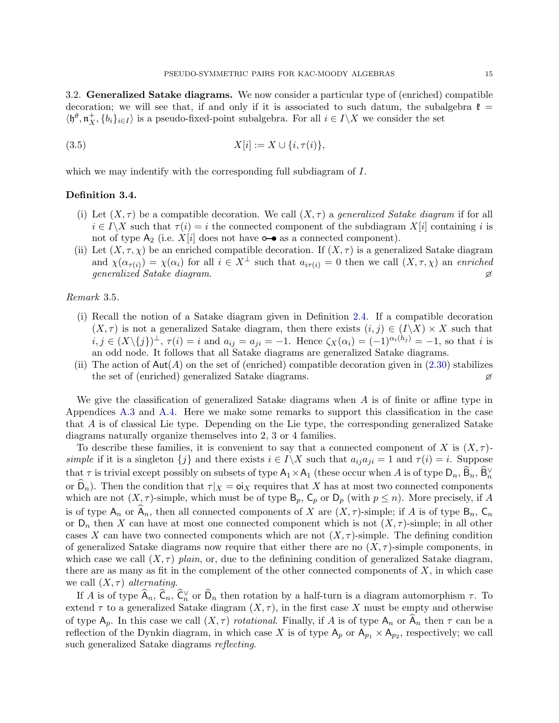<span id="page-16-3"></span>3.2. Generalized Satake diagrams. We now consider a particular type of (enriched) compatible decoration; we will see that, if and only if it is associated to such datum, the subalgebra  $\mathfrak{k} =$  $\langle \mathfrak{h}^{\theta}, \mathfrak{n}^+_X, \{b_i\}_{i \in I} \rangle$  is a pseudo-fixed-point subalgebra. For all  $i \in I \setminus X$  we consider the set

(3.5) 
$$
X[i] := X \cup \{i, \tau(i)\},
$$

which we may indentify with the corresponding full subdiagram of I.

# <span id="page-16-0"></span>Definition 3.4.

- <span id="page-16-2"></span>(i) Let  $(X, \tau)$  be a compatible decoration. We call  $(X, \tau)$  a *generalized Satake diagram* if for all  $i \in I\backslash X$  such that  $\tau(i) = i$  the connected component of the subdiagram  $X[i]$  containing i is not of type  $A_2$  (i.e.  $X[i]$  does not have  $\circ \bullet$  as a connected component).
- <span id="page-16-1"></span>(ii) Let  $(X, \tau, \chi)$  be an enriched compatible decoration. If  $(X, \tau)$  is a generalized Satake diagram and  $\chi(\alpha_{\tau(i)}) = \chi(\alpha_i)$  for all  $i \in X^{\perp}$  such that  $a_{i\tau(i)} = 0$  then we call  $(X, \tau, \chi)$  an enriched generalized Satake diagram.

# Remark 3.5.

- (i) Recall the notion of a Satake diagram given in Definition [2.4.](#page-11-5) If a compatible decoration  $(X, \tau)$  is not a generalized Satake diagram, then there exists  $(i, j) \in (I\setminus X) \times X$  such that  $i, j \in (X \setminus \{j\})^{\perp}, \tau(i) = i$  and  $a_{ij} = a_{ji} = -1$ . Hence  $\zeta_X(\alpha_i) = (-1)^{\alpha_i(h_j)} = -1$ , so that i is an odd node. It follows that all Satake diagrams are generalized Satake diagrams.
- (ii) The action of  $\text{Aut}(A)$  on the set of (enriched) compatible decoration given in [\(2.30\)](#page-12-3) stabilizes the set of (enriched) generalized Satake diagrams.

We give the classification of generalized Satake diagrams when  $A$  is of finite or affine type in Appendices [A.3](#page-33-0) and [A.4.](#page-35-0) Here we make some remarks to support this classification in the case that A is of classical Lie type. Depending on the Lie type, the corresponding generalized Satake diagrams naturally organize themselves into 2, 3 or 4 families.

To describe these families, it is convenient to say that a connected component of X is  $(X, \tau)$ simple if it is a singleton  $\{j\}$  and there exists  $i \in I\backslash X$  such that  $a_{ij}a_{ji} = 1$  and  $\tau(i) = i$ . Suppose that  $\tau$  is trivial except possibly on subsets of type  $A_1 \times A_1$  (these occur when A is of type  $D_n$ ,  $\widehat{B}_n$ ,  $\widehat{B}_n^{\vee}$ or  $D_n$ ). Then the condition that  $\tau |X = oX$  requires that X has at most two connected components which are not  $(X, \tau)$ -simple, which must be of type  $B_p$ ,  $C_p$  or  $D_p$  (with  $p \leq n$ ). More precisely, if A is of type  $A_n$  or  $A_n$ , then all connected components of X are  $(X, \tau)$ -simple; if A is of type  $B_n$ ,  $C_n$ or  $D_n$  then X can have at most one connected component which is not  $(X, \tau)$ -simple; in all other cases X can have two connected components which are not  $(X, \tau)$ -simple. The defining condition of generalized Satake diagrams now require that either there are no  $(X, \tau)$ -simple components, in which case we call  $(X, \tau)$  plain, or, due to the definining condition of generalized Satake diagram, there are as many as fit in the complement of the other connected components of  $X$ , in which case we call  $(X, \tau)$  alternating.

If A is of type  $\widehat{A}_n$ ,  $\widehat{C}_n$ ,  $\widehat{C}_n^{\vee}$  or  $\widehat{D}_n$  then rotation by a half-turn is a diagram automorphism  $\tau$ . To extend  $\tau$  to a generalized Satake diagram  $(X, \tau)$ , in the first case X must be empty and otherwise of type  $A_p$ . In this case we call  $(X, \tau)$  *rotational*. Finally, if A is of type  $A_n$  or  $A_n$  then  $\tau$  can be a reflection of the Dynkin diagram, in which case X is of type  $A_p$  or  $A_{p_1} \times A_{p_2}$ , respectively; we call such generalized Satake diagrams reflecting.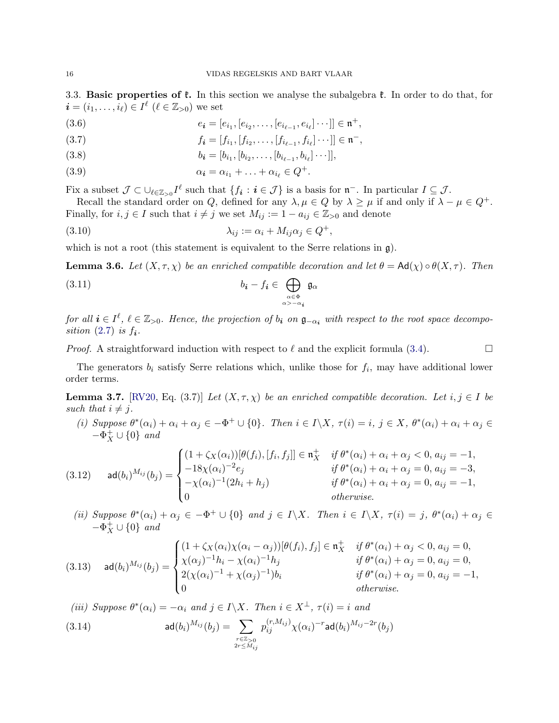3.3. **Basic properties of**  $\mathfrak{k}$ **.** In this section we analyse the subalgebra  $\mathfrak{k}$ . In order to do that, for  $\boldsymbol{i}=(i_1,\ldots,i_\ell)\in I^\ell\;(\ell\in\mathbb{Z}_{>0})$  we set

- (3.6)  $e_i = [e_{i_1}, [e_{i_2}, \dots, [e_{i_{\ell-1}}, e_{i_\ell}] \cdots]] \in \mathfrak{n}^+,$
- (3.7)  $f_i = [f_{i_1}, [f_{i_2}, \ldots, [f_{i_{\ell-1}}, f_{i_\ell}] \cdots]] \in \mathfrak{n}^-,$
- (3.8)  $b_i = [b_{i_1}, [b_{i_2}, \dots, [b_{i_{\ell-1}}, b_{i_\ell}] \cdots]],$

(3.9) 
$$
\alpha_{\mathbf{i}} = \alpha_{i_1} + \ldots + \alpha_{i_\ell} \in Q^+.
$$

Fix a subset  $\mathcal{J} \subset \bigcup_{\ell \in \mathbb{Z}_{>0}} I^{\ell}$  such that  $\{f_{i} : i \in \mathcal{J}\}\$ is a basis for  $\mathfrak{n}^{-}$ . In particular  $I \subseteq \mathcal{J}$ .

Recall the standard order on Q, defined for any  $\lambda, \mu \in Q$  by  $\lambda \geq \mu$  if and only if  $\lambda - \mu \in Q^+$ . Finally, for  $i, j \in I$  such that  $i \neq j$  we set  $M_{ij} := 1 - a_{ij} \in \mathbb{Z}_{\geq 0}$  and denote

$$
(3.10) \qquad \lambda_{ij} := \alpha_i + M_{ij}\alpha_j \in Q^+,
$$

which is not a root (this statement is equivalent to the Serre relations in  $\mathfrak{g}$ ).

<span id="page-17-1"></span>**Lemma 3.6.** Let  $(X, \tau, \chi)$  be an enriched compatible decoration and let  $\theta = Ad(\chi) \circ \theta(X, \tau)$ . Then

(3.11) 
$$
b_{i} - f_{i} \in \bigoplus_{\substack{\alpha \in \Phi \\ \alpha > -\alpha_{i}}} \mathfrak{g}_{\alpha}
$$

for all  $i \in I^{\ell}, \ell \in \mathbb{Z}_{>0}$ . Hence, the projection of  $b_i$  on  $\mathfrak{g}_{-\alpha_i}$  with respect to the root space decomposition  $(2.7)$  is  $f_i$ .

*Proof.* A straightforward induction with respect to  $\ell$  and the explicit formula [\(3.4\)](#page-15-2).

The generators  $b_i$  satisfy Serre relations which, unlike those for  $f_i$ , may have additional lower order terms.

<span id="page-17-2"></span>**Lemma 3.7.** [\[RV20,](#page-43-5) Eq. (3.7)] Let  $(X, \tau, \chi)$  be an enriched compatible decoration. Let  $i, j \in I$  be such that  $i \neq j$ .

(i) Suppose  $\theta^*(\alpha_i) + \alpha_i + \alpha_j \in -\Phi^+ \cup \{0\}$ . Then  $i \in I \setminus X$ ,  $\tau(i) = i$ ,  $j \in X$ ,  $\theta^*(\alpha_i) + \alpha_i + \alpha_j \in$  $-\Phi_X^+ \cup \{0\}$  and

(3.12) 
$$
\text{ad}(b_i)^{M_{ij}}(b_j) = \begin{cases} (1 + \zeta_X(\alpha_i))[\theta(f_i), [f_i, f_j]] \in \mathfrak{n}_X^+ & \text{if } \theta^*(\alpha_i) + \alpha_i + \alpha_j < 0, a_{ij} = -1, \\ -18\chi(\alpha_i)^{-2}e_j & \text{if } \theta^*(\alpha_i) + \alpha_i + \alpha_j = 0, a_{ij} = -3, \\ -\chi(\alpha_i)^{-1}(2h_i + h_j) & \text{if } \theta^*(\alpha_i) + \alpha_i + \alpha_j = 0, a_{ij} = -1, \\ 0 & \text{otherwise.} \end{cases}
$$

(ii) Suppose  $\theta^*(\alpha_i) + \alpha_j \in -\Phi^+ \cup \{0\}$  and  $j \in I \setminus X$ . Then  $i \in I \setminus X$ ,  $\tau(i) = j$ ,  $\theta^*(\alpha_i) + \alpha_j \in$  $-\Phi_X^+ \cup \{0\}$  and

(3.13) 
$$
\mathsf{ad}(b_i)^{M_{ij}}(b_j) = \begin{cases} (1 + \zeta_X(\alpha_i)\chi(\alpha_i - \alpha_j))[\theta(f_i), f_j] \in \mathfrak{n}_X^+ & \text{if } \theta^*(\alpha_i) + \alpha_j < 0, a_{ij} = 0, \\ \chi(\alpha_j)^{-1}h_i - \chi(\alpha_i)^{-1}h_j & \text{if } \theta^*(\alpha_i) + \alpha_j = 0, a_{ij} = 0, \\ 2(\chi(\alpha_i)^{-1} + \chi(\alpha_j)^{-1})b_i & \text{if } \theta^*(\alpha_i) + \alpha_j = 0, a_{ij} = -1, \\ 0 & \text{otherwise.} \end{cases}
$$

<span id="page-17-3"></span>(iii) Suppose  $\theta^*(\alpha_i) = -\alpha_i$  and  $j \in I \backslash X$ . Then  $i \in X^{\perp}$ ,  $\tau(i) = i$  and  $(r, M_{ij})$  $-r$ 

<span id="page-17-0"></span>(3.14) 
$$
\mathsf{ad}(b_i)^{M_{ij}}(b_j) = \sum_{\substack{r \in \mathbb{Z}_{>0} \\ 2r \le M_{ij}}} p_{ij}^{(r, M_{ij})} \chi(\alpha_i)^{-r} \mathsf{ad}(b_i)^{M_{ij}-2r}(b_j)
$$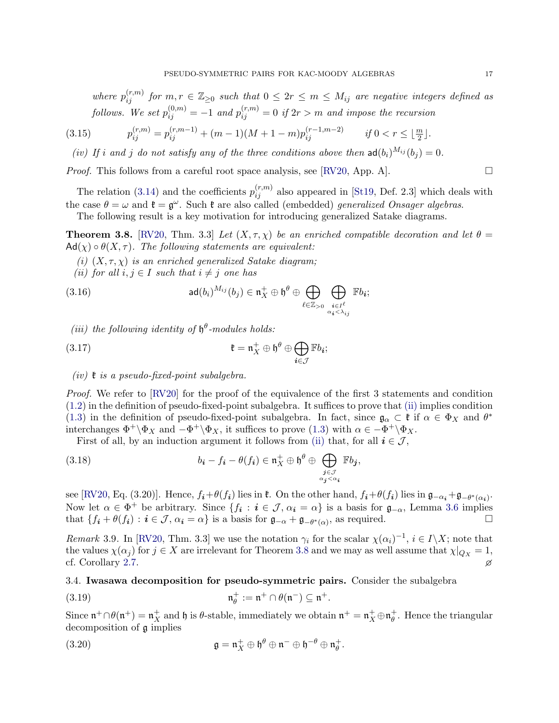where  $p_{ij}^{(r,m)}$  for  $m,r \in \mathbb{Z}_{\geq 0}$  such that  $0 \leq 2r \leq m \leq M_{ij}$  are negative integers defined as follows. We set  $p_{ij}^{(0,m)} = -1$  and  $p_{ij}^{(r,m)} = 0$  if  $2r > m$  and impose the recursion

(3.15) 
$$
p_{ij}^{(r,m)} = p_{ij}^{(r,m-1)} + (m-1)(M+1-m)p_{ij}^{(r-1,m-2)} \qquad \text{if } 0 < r \leq \lfloor \frac{m}{2} \rfloor.
$$

(iv) If i and j do not satisfy any of the three conditions above then  $ad(b_i)^{M_{ij}}(b_j) = 0$ .

*Proof.* This follows from a careful root space analysis, see [\[RV20,](#page-43-5) App. A].  $\Box$ 

The relation [\(3.14\)](#page-17-0) and the coefficients  $p_{ij}^{(r,m)}$  also appeared in [\[St19,](#page-43-18) Def. 2.3] which deals with the case  $\theta = \omega$  and  $\mathfrak{k} = \mathfrak{g}^{\omega}$ . Such  $\mathfrak{k}$  are also called (embedded) *generalized Onsager algebras.* 

The following result is a key motivation for introducing generalized Satake diagrams.

<span id="page-18-0"></span>**Theorem 3.8.** [\[RV20,](#page-43-5) Thm. 3.3] Let  $(X, \tau, \chi)$  be an enriched compatible decoration and let  $\theta =$  $\operatorname{Ad}(\chi) \circ \theta(X, \tau)$ . The following statements are equivalent:

(i)  $(X, \tau, \chi)$  is an enriched generalized Satake diagram;

<span id="page-18-1"></span>(ii) for all  $i, j \in I$  such that  $i \neq j$  one has

(3.16) 
$$
\mathsf{ad}(b_i)^{M_{ij}}(b_j) \in \mathfrak{n}_X^+ \oplus \mathfrak{h}^\theta \oplus \bigoplus_{\ell \in \mathbb{Z}_{>0}} \bigoplus_{\substack{i \in I^\ell \\ \alpha_i < \lambda_{ij}}} \mathbb{F}b_i;
$$

<span id="page-18-2"></span>(iii) the following identity of  $\mathfrak{h}^{\theta}$ -modules holds:

(3.17) 
$$
\mathfrak{k} = \mathfrak{n}_X^+ \oplus \mathfrak{h}^\theta \oplus \bigoplus_{i \in \mathcal{J}} \mathbb{F}b_i;
$$

# (iv)  $\mathfrak k$  is a pseudo-fixed-point subalgebra.

Proof. We refer to [\[RV20\]](#page-43-5) for the proof of the equivalence of the first 3 statements and condition [\(1.2\)](#page-4-1) in the definition of pseudo-fixed-point subalgebra. It suffices to prove that [\(ii\)](#page-18-1) implies condition [\(1.3\)](#page-4-2) in the definition of pseudo-fixed-point subalgebra. In fact, since  $\mathfrak{g}_{\alpha} \subset \mathfrak{k}$  if  $\alpha \in \Phi_X$  and  $\theta^*$ interchanges  $\Phi^+ \backslash \Phi_X$  and  $-\Phi^+ \backslash \Phi_X$ , it suffices to prove [\(1.3\)](#page-4-2) with  $\alpha \in -\Phi^+ \backslash \Phi_X$ .

First of all, by an induction argument it follows from [\(ii\)](#page-18-1) that, for all  $i \in \mathcal{J}$ ,

(3.18) 
$$
b_{\mathbf{i}} - f_{\mathbf{i}} - \theta(f_{\mathbf{i}}) \in \mathfrak{n}_X^+ \oplus \mathfrak{h}^{\theta} \oplus \bigoplus_{\substack{j \in \mathcal{J} \\ \alpha_j < \alpha_i}} \mathbb{F}b_j,
$$

see [\[RV20,](#page-43-5) Eq. (3.20)]. Hence,  $f_i + \theta(f_i)$  lies in  $\mathfrak{k}$ . On the other hand,  $f_i + \theta(f_i)$  lies in  $\mathfrak{g}_{-\alpha_i} + \mathfrak{g}_{-\theta^*(\alpha_i)}$ . Now let  $\alpha \in \Phi^+$  be arbitrary. Since  $\{f_i : i \in \mathcal{J}, \alpha_i = \alpha\}$  is a basis for  $\mathfrak{g}_{-\alpha}$ , Lemma [3.6](#page-17-1) implies that  $\{f_i + \theta(f_i) : i \in \mathcal{J}, \alpha_i = \alpha\}$  is a basis for  $\mathfrak{g}_{-\alpha} + \mathfrak{g}_{-\theta^*(\alpha)}$ , as required.

Remark 3.9. In [\[RV20,](#page-43-5) Thm. 3.3] we use the notation  $\gamma_i$  for the scalar  $\chi(\alpha_i)^{-1}$ ,  $i \in I \backslash X$ ; note that the values  $\chi(\alpha_j)$  for  $j \in X$  are irrelevant for Theorem [3.8](#page-18-0) and we may as well assume that  $\chi|_{Q_X} = 1$ , cf. Corollary [2.7.](#page-12-0)

3.4. Iwasawa decomposition for pseudo-symmetric pairs. Consider the subalgebra

(3.19) 
$$
\mathfrak{n}_{\theta}^{+} := \mathfrak{n}^{+} \cap \theta(\mathfrak{n}^{-}) \subseteq \mathfrak{n}^{+}.
$$

Since  $\mathfrak{n}^+\cap\theta(\mathfrak{n}^+)=\mathfrak{n}^+_X$  and  $\mathfrak{h}$  is  $\theta$ -stable, immediately we obtain  $\mathfrak{n}^+=\mathfrak{n}^+_X\oplus\mathfrak{n}^+_\theta$  $_{\theta}^{+}$ . Hence the triangular decomposition of g implies

(3.20) 
$$
\mathfrak{g} = \mathfrak{n}_X^+ \oplus \mathfrak{h}^\theta \oplus \mathfrak{n}^- \oplus \mathfrak{h}^{-\theta} \oplus \mathfrak{n}_\theta^+.
$$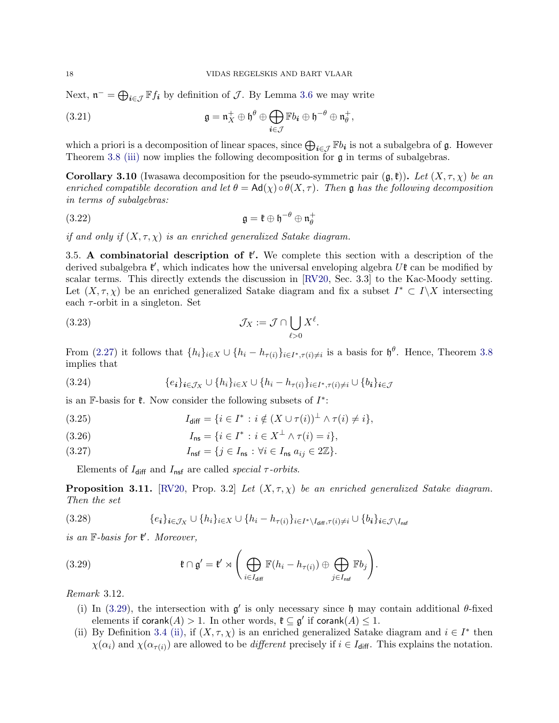Next,  $\mathfrak{n}^- = \bigoplus_{i \in \mathcal{J}} \mathbb{F} f_i$  by definition of  $\mathcal{J}$ . By Lemma [3.6](#page-17-1) we may write

(3.21) 
$$
\mathfrak{g} = \mathfrak{n}_X^+ \oplus \mathfrak{h}^\theta \oplus \bigoplus_{\mathbf{i} \in \mathcal{J}} \mathbb{F}b_{\mathbf{i}} \oplus \mathfrak{h}^{-\theta} \oplus \mathfrak{n}_\theta^+,
$$

which a priori is a decomposition of linear spaces, since  $\bigoplus_{i\in\mathcal{J}} \mathbb{F}b_i$  is not a subalgebra of  $\mathfrak{g}$ . However Theorem [3.8](#page-18-0) [\(iii\)](#page-18-2) now implies the following decomposition for  $\mathfrak g$  in terms of subalgebras.

<span id="page-19-0"></span>**Corollary 3.10** (Iwasawa decomposition for the pseudo-symmetric pair  $(\mathfrak{g},\mathfrak{k})$ ). Let  $(X,\tau,X)$  be an enriched compatible decoration and let  $\theta = Ad(\chi) \circ \theta(X, \tau)$ . Then g has the following decomposition in terms of subalgebras:

(3.22) 
$$
\mathfrak{g} = \mathfrak{k} \oplus \mathfrak{h}^{-\theta} \oplus \mathfrak{n}_{\theta}^{+}
$$

if and only if  $(X, \tau, \chi)$  is an enriched generalized Satake diagram.

<span id="page-19-2"></span>3.5. A combinatorial description of  $\ell'$ . We complete this section with a description of the derived subalgebra  $\mathfrak{k}'$ , which indicates how the universal enveloping algebra  $U\mathfrak{k}$  can be modified by scalar terms. This directly extends the discussion in [\[RV20,](#page-43-5) Sec. 3.3] to the Kac-Moody setting. Let  $(X, \tau, \chi)$  be an enriched generalized Satake diagram and fix a subset  $I^* \subset I \backslash X$  intersecting each  $\tau$ -orbit in a singleton. Set

(3.23) 
$$
\mathcal{J}_X := \mathcal{J} \cap \bigcup_{\ell > 0} X^{\ell}.
$$

From [\(2.27\)](#page-11-6) it follows that  $\{h_i\}_{i\in X}\cup \{h_i-h_{\tau(i)}\}_{i\in I^*,\tau(i)\neq i}$  is a basis for  $\mathfrak{h}^{\theta}$ . Hence, Theorem [3.8](#page-18-0) implies that

(3.24) 
$$
\{e_i\}_{i \in \mathcal{J}_X} \cup \{h_i\}_{i \in X} \cup \{h_i - h_{\tau(i)}\}_{i \in I^*, \tau(i) \neq i} \cup \{b_i\}_{i \in \mathcal{J}}
$$

is an  $\mathbb{F}\text{-basis}$  for  $\mathfrak{k}$ . Now consider the following subsets of  $I^*$ :

(3.25) 
$$
I_{\text{diff}} = \{i \in I^* : i \notin (X \cup \tau(i))^{\perp} \land \tau(i) \neq i\},
$$

(3.26) 
$$
I_{\text{ns}} = \{i \in I^* : i \in X^{\perp} \wedge \tau(i) = i\},
$$

(3.27) 
$$
I_{\text{nsf}} = \{j \in I_{\text{ns}} : \forall i \in I_{\text{ns}} a_{ij} \in 2\mathbb{Z}\}.
$$

Elements of  $I_{\text{diff}}$  and  $I_{\text{nsf}}$  are called special  $\tau$ -orbits.

**Proposition 3.11.** [\[RV20,](#page-43-5) Prop. 3.2] Let  $(X, \tau, \chi)$  be an enriched generalized Satake diagram. Then the set

$$
(3.28) \qquad \{e_i\}_{i \in \mathcal{J}_X} \cup \{h_i\}_{i \in X} \cup \{h_i - h_{\tau(i)}\}_{i \in I^* \setminus I_{\text{diff}}, \tau(i) \neq i} \cup \{b_i\}_{i \in \mathcal{J} \setminus I_{\text{nsf}}}
$$

is an  $\mathbb{F}\text{-}basis$  for  $\mathfrak{k}'$ . Moreover,

(3.29) 
$$
\mathfrak{k} \cap \mathfrak{g}' = \mathfrak{k}' \rtimes \left( \bigoplus_{i \in I_{\text{diff}}} \mathbb{F}(h_i - h_{\tau(i)}) \oplus \bigoplus_{j \in I_{\text{nsf}}} \mathbb{F}b_j \right).
$$

Remark 3.12.

- <span id="page-19-1"></span>(i) In [\(3.29\)](#page-19-1), the intersection with  $g'$  is only necessary since h may contain additional  $\theta$ -fixed elements if  $\mathsf{corank}(A) > 1$ . In other words,  $\mathfrak{k} \subseteq \mathfrak{g}'$  if  $\mathsf{corank}(A) \leq 1$ .
- (ii) By Definition [3.4](#page-16-0) [\(ii\),](#page-16-1) if  $(X, \tau, \chi)$  is an enriched generalized Satake diagram and  $i \in I^*$  then  $\chi(\alpha_i)$  and  $\chi(\alpha_{\tau(i)})$  are allowed to be *different* precisely if  $i \in I_{\text{diff}}$ . This explains the notation.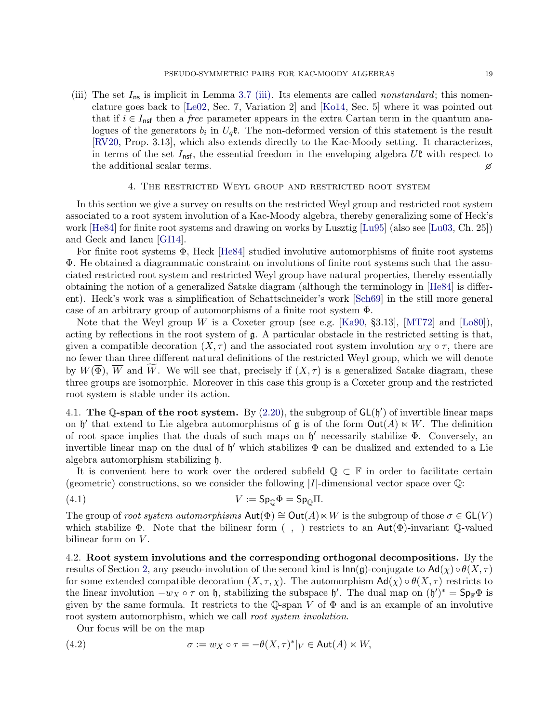(iii) The set  $I_{\text{ns}}$  is implicit in Lemma [3.7](#page-17-2) [\(iii\).](#page-17-3) Its elements are called *nonstandard*; this nomenclature goes back to [\[Le02,](#page-42-12) Sec. 7, Variation 2] and [\[Ko14,](#page-42-8) Sec. 5] where it was pointed out that if  $i \in I_{\text{nsf}}$  then a *free* parameter appears in the extra Cartan term in the quantum analogues of the generators  $b_i$  in  $U_q$ **t**. The non-deformed version of this statement is the result [\[RV20,](#page-43-5) Prop. 3.13], which also extends directly to the Kac-Moody setting. It characterizes, in terms of the set  $I_{\text{nsf}}$ , the essential freedom in the enveloping algebra  $U\mathfrak{k}$  with respect to the additional scalar terms.

#### 4. The restricted Weyl group and restricted root system

<span id="page-20-0"></span>In this section we give a survey on results on the restricted Weyl group and restricted root system associated to a root system involution of a Kac-Moody algebra, thereby generalizing some of Heck's work [\[He84\]](#page-42-15) for finite root systems and drawing on works by Lusztig [\[Lu95\]](#page-42-17) (also see [\[Lu03,](#page-42-18) Ch. 25]) and Geck and Iancu [\[GI14\]](#page-42-32).

For finite root systems Φ, Heck [\[He84\]](#page-42-15) studied involutive automorphisms of finite root systems Φ. He obtained a diagrammatic constraint on involutions of finite root systems such that the associated restricted root system and restricted Weyl group have natural properties, thereby essentially obtaining the notion of a generalized Satake diagram (although the terminology in [\[He84\]](#page-42-15) is different). Heck's work was a simplification of Schattschneider's work [\[Sch69\]](#page-43-6) in the still more general case of an arbitrary group of automorphisms of a finite root system Φ.

Note that the Weyl group W is a Coxeter group (see e.g. [\[Ka90,](#page-42-5) §3.13], [\[MT72\]](#page-43-19) and [\[Lo80\]](#page-42-33)), acting by reflections in the root system of  $\mathfrak{g}$ . A particular obstacle in the restricted setting is that, given a compatible decoration  $(X, \tau)$  and the associated root system involution  $w_X \circ \tau$ , there are no fewer than three different natural definitions of the restricted Weyl group, which we will denote by  $W(\overline{\Phi})$ ,  $\overline{W}$  and  $\overline{W}$ . We will see that, precisely if  $(X, \tau)$  is a generalized Satake diagram, these three groups are isomorphic. Moreover in this case this group is a Coxeter group and the restricted root system is stable under its action.

4.1. The Q-span of the root system. By  $(2.20)$ , the subgroup of  $GL(\mathfrak{h}')$  of invertible linear maps on  $\mathfrak h'$  that extend to Lie algebra automorphisms of  $\mathfrak g$  is of the form  $Out(A) \ltimes W$ . The definition of root space implies that the duals of such maps on h ′ necessarily stabilize Φ. Conversely, an invertible linear map on the dual of  $\mathfrak{h}'$  which stabilizes  $\Phi$  can be dualized and extended to a Lie algebra automorphism stabilizing h.

It is convenient here to work over the ordered subfield  $\mathbb{Q} \subset \mathbb{F}$  in order to facilitate certain (geometric) constructions, so we consider the following  $|I|$ -dimensional vector space over  $\mathbb{Q}$ :

$$
(4.1) \t\t\t V := Sp_0 \Phi = Sp_0 \Pi.
$$

The group of root system automorphisms  $Aut(\Phi) \cong Out(A) \ltimes W$  is the subgroup of those  $\sigma \in GL(V)$ which stabilize  $\Phi$ . Note that the bilinear form  $($ ,  $)$  restricts to an Aut $(\Phi)$ -invariant  $\mathbb{Q}$ -valued bilinear form on  $V$ .

4.2. Root system involutions and the corresponding orthogonal decompositions. By the results of Section [2,](#page-6-0) any pseudo-involution of the second kind is  $\text{Inn}(\mathfrak{g})$ -conjugate to  $\text{Ad}(\chi) \circ \theta(X,\tau)$ for some extended compatible decoration  $(X, \tau, \chi)$ . The automorphism  $Ad(\chi) \circ \theta(X, \tau)$  restricts to the linear involution  $-w_X \circ \tau$  on h, stabilizing the subspace h'. The dual map on  $(\mathfrak{h}')^* = \mathsf{Sp}_F \Phi$  is given by the same formula. It restricts to the Q-span V of  $\Phi$  and is an example of an involutive root system automorphism, which we call *root system involution*.

Our focus will be on the map

(4.2) 
$$
\sigma := w_X \circ \tau = -\theta(X, \tau)^*|_V \in \text{Aut}(A) \ltimes W,
$$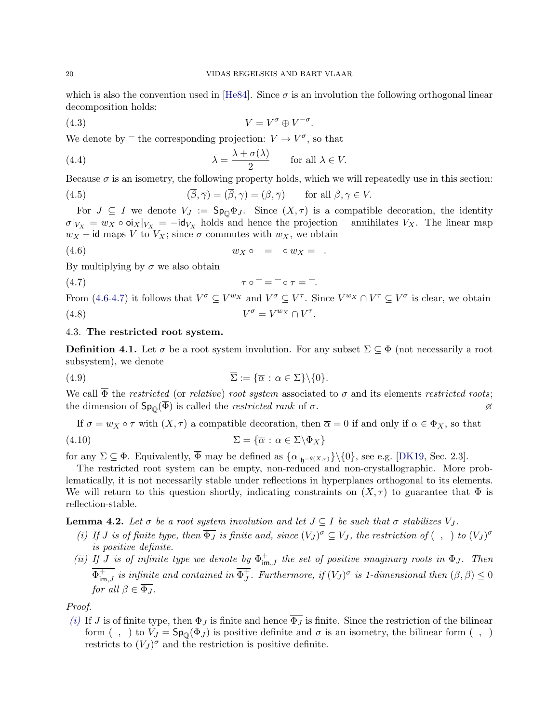which is also the convention used in [\[He84\]](#page-42-15). Since  $\sigma$  is an involution the following orthogonal linear decomposition holds:

<span id="page-21-6"></span>
$$
(4.3) \t\t V = V^{\sigma} \oplus V^{-\sigma}.
$$

We denote by  $\overline{\phantom{a}}$  the corresponding projection:  $V \rightarrow V^{\sigma}$ , so that

(4.4) 
$$
\overline{\lambda} = \frac{\lambda + \sigma(\lambda)}{2} \quad \text{for all } \lambda \in V.
$$

Because  $\sigma$  is an isometry, the following property holds, which we will repeatedly use in this section:

(4.5) 
$$
(\overline{\beta}, \overline{\gamma}) = (\overline{\beta}, \gamma) = (\beta, \overline{\gamma}) \quad \text{for all } \beta, \gamma \in V.
$$

For  $J \subseteq I$  we denote  $V_J := \mathsf{Sp}_{\mathbb{Q}}\Phi_J$ . Since  $(X, \tau)$  is a compatible decoration, the identity  $\sigma|_{V_X} = w_X \circ \sigma|_X|_{V_X} = -\mathsf{id}_{V_X}$  holds and hence the projection  $\bar{\sigma}$  annihilates  $V_X$ . The linear map  $w_X$  – id maps V to  $V_X$ ; since  $\sigma$  commutes with  $w_X$ , we obtain

<span id="page-21-0"></span>(4.6) 
$$
w_X \circ \overline{\ } = \overline{\ } \circ w_X = \overline{\ }.
$$

By multiplying by  $\sigma$  we also obtain

<span id="page-21-1"></span>
$$
\tau \circ \overline{\phantom{x}} = \overline{\phantom{x}} \circ \tau = \overline{\phantom{x}} \circ \tau = \overline{\phantom{x}}.
$$

<span id="page-21-7"></span>From [\(4.6](#page-21-0)[-4.7\)](#page-21-1) it follows that  $V^{\sigma} \subseteq V^{w_X}$  and  $V^{\sigma} \subseteq V^{\tau}$ . Since  $V^{w_X} \cap V^{\tau} \subseteq V^{\sigma}$  is clear, we obtain  $(4.8)$   $V$  $\sigma = V^{w_X} \cap V^{\tau}.$ 

# 4.3. The restricted root system.

**Definition 4.1.** Let  $\sigma$  be a root system involution. For any subset  $\Sigma \subseteq \Phi$  (not necessarily a root subsystem), we denote

(4.9) 
$$
\overline{\Sigma} := {\overline{\alpha} : \alpha \in \Sigma} \setminus {\{0\}}.
$$

We call  $\overline{\Phi}$  the *restricted* (or *relative*) *root system* associated to  $\sigma$  and its elements *restricted roots*; the dimension of  $\text{Sp}_{\mathbb{O}}(\overline{\Phi})$  is called the *restricted rank* of  $\sigma$ .

<span id="page-21-5"></span>If 
$$
\sigma = w_X \circ \tau
$$
 with  $(X, \tau)$  a compatible decoration, then  $\overline{\alpha} = 0$  if and only if  $\alpha \in \Phi_X$ , so that  
(4.10) 
$$
\overline{\Sigma} = {\overline{\alpha} : \alpha \in \Sigma \backslash \Phi_X}
$$

for any  $\Sigma \subseteq \Phi$ . Equivalently,  $\overline{\Phi}$  may be defined as  $\{\alpha|_{\mathfrak{h}^{-\theta(X,\tau)}}\}\setminus\{0\}$ , see e.g. [\[DK19,](#page-42-19) Sec. 2.3].

The restricted root system can be empty, non-reduced and non-crystallographic. More problematically, it is not necessarily stable under reflections in hyperplanes orthogonal to its elements. We will return to this question shortly, indicating constraints on  $(X, \tau)$  to guarantee that  $\Phi$  is reflection-stable.

<span id="page-21-4"></span>**Lemma 4.2.** Let  $\sigma$  be a root system involution and let  $J \subset I$  be such that  $\sigma$  stabilizes  $V_J$ .

- <span id="page-21-2"></span>(i) If J is of finite type, then  $\overline{\Phi_J}$  is finite and, since  $(V_J)^{\sigma} \subseteq V_J$ , the restriction of  $( , )$  to  $(V_J)^{\sigma}$ is positive definite.
- <span id="page-21-3"></span>(ii) If J is of infinite type we denote by  $\Phi_{\text{im},J}^+$  the set of positive imaginary roots in  $\Phi_J$ . Then  $\overline{\Phi^+_{\mathsf{im},J}}$  is infinite and contained in  $\overline{\Phi_J^+}$  $j$ . Furthermore, if  $(V_J)^\sigma$  is 1-dimensional then  $(\beta, \beta) \leq 0$ for all  $\beta \in \overline{\Phi_J}$ .

Proof.

[\(i\)](#page-21-2) If J is of finite type, then  $\Phi_J$  is finite and hence  $\overline{\Phi_J}$  is finite. Since the restriction of the bilinear form (, ) to  $V_J = \mathsf{Sp}_{\mathbb{O}}(\Phi_J)$  is positive definite and  $\sigma$  is an isometry, the bilinear form (, ) restricts to  $(V_J)^\sigma$  and the restriction is positive definite.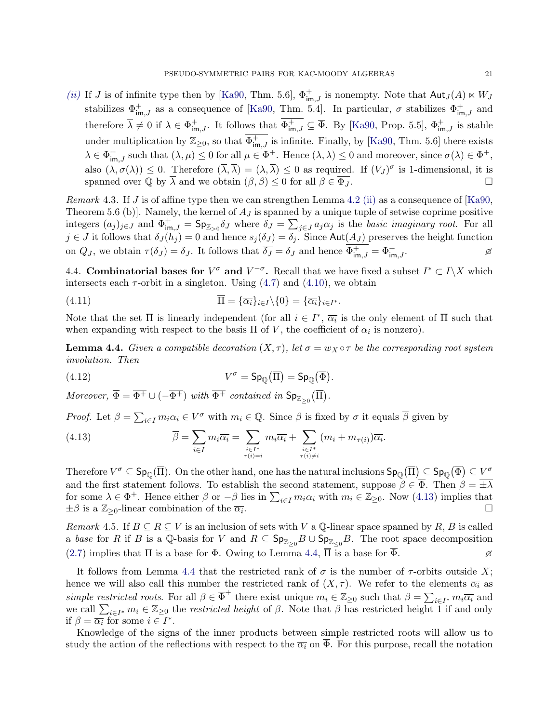[\(ii\)](#page-21-3) If J is of infinite type then by [\[Ka90,](#page-42-5) Thm. 5.6],  $\Phi_{\text{im},J}^{+}$  is nonempty. Note that  $\text{Aut}_{J}(A) \ltimes W_{J}$ stabilizes  $\Phi_{\text{im},J}^{+}$  as a consequence of [\[Ka90,](#page-42-5) Thm. 5.4]. In particular,  $\sigma$  stabilizes  $\Phi_{\text{im},J}^{+}$  and therefore  $\overline{\lambda} \neq 0$  if  $\lambda \in \Phi^+_{\text{im},J}$ . It follows that  $\overline{\Phi^+_{\text{im},J}} \subseteq \overline{\Phi}$ . By [\[Ka90,](#page-42-5) Prop. 5.5],  $\Phi^+_{\text{im},J}$  is stable under multiplication by  $\mathbb{Z}_{\geq 0}$ , so that  $\overline{\Phi^+_{\text{im},J}}$  is infinite. Finally, by [\[Ka90,](#page-42-5) Thm. 5.6] there exists  $\lambda \in \Phi^+_{\text{im},J}$  such that  $(\lambda, \mu) \leq 0$  for all  $\mu \in \Phi^+$ . Hence  $(\lambda, \lambda) \leq 0$  and moreover, since  $\sigma(\lambda) \in \Phi^+$ , also  $(\lambda, \sigma(\lambda)) \leq 0$ . Therefore  $(\overline{\lambda}, \overline{\lambda}) = (\lambda, \overline{\lambda}) \leq 0$  as required. If  $(V_J)^{\sigma}$  is 1-dimensional, it is spanned over  $\mathbb Q$  by  $\overline{\lambda}$  and we obtain  $(\beta, \beta) \leq 0$  for all  $\beta \in \overline{\Phi_J}$ .

*Remark* 4.3. If J is of affine type then we can strengthen Lemma [4.2](#page-21-4) [\(ii\)](#page-21-3) as a consequence of [\[Ka90,](#page-42-5) Theorem 5.6 (b)]. Namely, the kernel of  $A_J$  is spanned by a unique tuple of setwise coprime positive integers  $(a_j)_{j\in J}$  and  $\Phi^+_{\text{im},J} = \textsf{Sp}_{\mathbb{Z}_{>0}}\delta_J$  where  $\delta_J = \sum_{j\in J} a_j \alpha_j$  is the basic imaginary root. For all  $j \in J$  it follows that  $\delta_J(h_j) = 0$  and hence  $s_j(\delta_J) = \delta_j$ . Since Aut $(A_J)$  preserves the height function on  $Q_J$ , we obtain  $\tau(\delta_J) = \delta_J$ . It follows that  $\overline{\delta_J} = \delta_J$  and hence  $\overline{\Phi^+_{\mathsf{im},J}} = \Phi^+_{\mathsf{im},J}$ .

4.4. Combinatorial bases for  $V^{\sigma}$  and  $V^{-\sigma}$ . Recall that we have fixed a subset  $I^* \subset I \backslash X$  which intersects each  $\tau$ -orbit in a singleton. Using  $(4.7)$  and  $(4.10)$ , we obtain

(4.11) 
$$
\Pi = {\overline{\alpha_i}}_{i \in I} \setminus \{0\} = {\overline{\alpha_i}}_{i \in I^*}.
$$

Note that the set  $\overline{\Pi}$  is linearly independent (for all  $i \in I^*, \overline{\alpha_i}$  is the only element of  $\overline{\Pi}$  such that when expanding with respect to the basis  $\Pi$  of V, the coefficient of  $\alpha_i$  is nonzero).

<span id="page-22-1"></span>**Lemma 4.4.** Given a compatible decoration  $(X, \tau)$ , let  $\sigma = w_X \circ \tau$  be the corresponding root system involution. Then

(4.12) 
$$
V^{\sigma} = \mathrm{Sp}_{\mathbb{Q}}(\overline{\Pi}) = \mathrm{Sp}_{\mathbb{Q}}(\overline{\Phi}).
$$

Moreover,  $\overline{\Phi} = \overline{\Phi^+} \cup (-\overline{\Phi^+})$  with  $\overline{\Phi^+}$  contained in  $\mathsf{Sp}_{\mathbb{Z}_{\geq 0}}(\overline{\Pi})$ .

*Proof.* Let  $\beta = \sum_{i \in I} m_i \alpha_i \in V^{\sigma}$  with  $m_i \in \mathbb{Q}$ . Since  $\beta$  is fixed by  $\sigma$  it equals  $\overline{\beta}$  given by

<span id="page-22-0"></span>(4.13) 
$$
\overline{\beta} = \sum_{i \in I} m_i \overline{\alpha_i} = \sum_{\substack{i \in I^* \\ \tau(i) = i}} m_i \overline{\alpha_i} + \sum_{\substack{i \in I^* \\ \tau(i) \neq i}} (m_i + m_{\tau(i)}) \overline{\alpha_i}.
$$

Therefore  $V^{\sigma} \subseteq \mathsf{Sp}_{\mathbb{O}}(\overline{\Pi})$ . On the other hand, one has the natural inclusions  $\mathsf{Sp}_{\mathbb{O}}(\overline{\Pi}) \subseteq \mathsf{Sp}_{\mathbb{O}}(\overline{\Phi}) \subseteq V^{\sigma}$ and the first statement follows. To establish the second statement, suppose  $\beta \in \overline{\Phi}$ . Then  $\beta = \pm \lambda$ for some  $\lambda \in \Phi^+$ . Hence either  $\beta$  or  $-\beta$  lies in  $\sum_{i\in I} m_i\alpha_i$  with  $m_i \in \mathbb{Z}_{\geq 0}$ . Now [\(4.13\)](#page-22-0) implies that  $\pm \beta$  is a  $\mathbb{Z}_{\geq 0}$ -linear combination of the  $\overline{\alpha_i}$ . . □

Remark 4.5. If  $B \subseteq R \subseteq V$  is an inclusion of sets with V a Q-linear space spanned by R, B is called a base for R if B is a Q-basis for V and  $R \subseteq \mathsf{Sp}_{\mathbb{Z}_{\geq 0}}B \cup \mathsf{Sp}_{\mathbb{Z}_{\leq 0}}B$ . The root space decomposition [\(2.7\)](#page-8-1) implies that  $\Pi$  is a base for  $\Phi$ . Owing to Lemma [4.4,](#page-22-1)  $\overline{\Pi}$  is a base for  $\overline{\Phi}$ .

It follows from Lemma [4.4](#page-22-1) that the restricted rank of  $\sigma$  is the number of  $\tau$ -orbits outside X; hence we will also call this number the restricted rank of  $(X, \tau)$ . We refer to the elements  $\overline{\alpha_i}$  as simple restricted roots. For all  $\beta \in \overline{\Phi}^+$  there exist unique  $m_i \in \mathbb{Z}_{\geq 0}$  such that  $\beta = \sum_{i \in I^*} m_i \overline{\alpha_i}$  and we call  $\sum_{i\in I^*} m_i \in \mathbb{Z}_{\geq 0}$  the restricted height of  $\beta$ . Note that  $\beta$  has restricted height 1 if and only if  $\beta = \overline{\alpha_i}$  for some  $i \in I^*$ .

Knowledge of the signs of the inner products between simple restricted roots will allow us to study the action of the reflections with respect to the  $\overline{\alpha_i}$  on  $\overline{\Phi}$ . For this purpose, recall the notation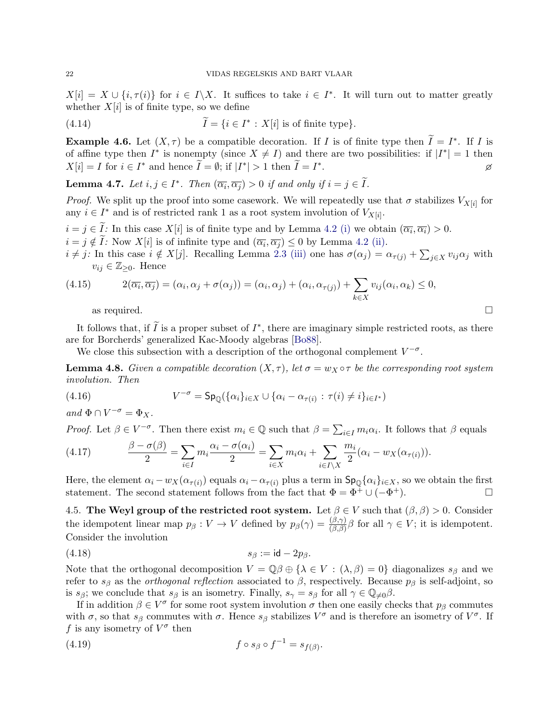$X[i] = X \cup \{i, \tau(i)\}\$ for  $i \in I\backslash X$ . It suffices to take  $i \in I^*$ . It will turn out to matter greatly whether  $X[i]$  is of finite type, so we define

(4.14) 
$$
\widetilde{I} = \{i \in I^* : X[i] \text{ is of finite type}\}.
$$

**Example 4.6.** Let  $(X, \tau)$  be a compatible decoration. If I is of finite type then  $\widetilde{I} = I^*$ . If I is of affine type then  $I^*$  is nonempty (since  $X \neq I$ ) and there are two possibilities: if  $|I^*| = 1$  then  $X[i] = I$  for  $i \in I^*$  and hence  $\widetilde{I} = \emptyset$ ; if  $|I^*| > 1$  then  $\widetilde{I} = I^*$ . 2008 - 2008 - 2008 - 2008 - 2008 - 2008 - 2008 - 2008 - 2008 - 2008 - 2008 - 2008 - 2008 - 2008 - 2008 - 200<br>2008 - 2008 - 2008 - 2008 - 2008 - 2008 - 2008 - 2008 - 2008 - 2008 - 2008 - 2008 - 2008 - 2008 - 2008 - 2008

<span id="page-23-1"></span>**Lemma 4.7.** Let  $i, j \in I^*$ . Then  $(\overline{\alpha_i}, \overline{\alpha_j}) > 0$  if and only if  $i = j \in \tilde{I}$ .

*Proof.* We split up the proof into some casework. We will repeatedly use that  $\sigma$  stabilizes  $V_{X[i]}$  for any  $i \in I^*$  and is of restricted rank 1 as a root system involution of  $V_{X[i]}$ .

 $i = j \in I$ : In this case  $X[i]$  is of finite type and by Lemma [4.2](#page-21-4) [\(i\)](#page-21-2) we obtain  $(\overline{\alpha_i}, \overline{\alpha_i}) > 0$ .  $i = j \notin I$ : Now  $X[i]$  is of infinite type and  $(\overline{\alpha_i}, \overline{\alpha_j}) \leq 0$  by Lemma [4.2](#page-21-4) [\(ii\).](#page-21-3)

 $i \neq j$ : In this case  $i \notin X[j]$ . Recalling Lemma [2.3](#page-11-7) [\(iii\)](#page-11-3) one has  $\sigma(\alpha_j) = \alpha_{\tau(j)} + \sum_{j \in X} v_{ij} \alpha_j$  with  $v_{ij} \in \mathbb{Z}_{\geq 0}$ . Hence

(4.15) 
$$
2(\overline{\alpha_i}, \overline{\alpha_j}) = (\alpha_i, \alpha_j + \sigma(\alpha_j)) = (\alpha_i, \alpha_j) + (\alpha_i, \alpha_{\tau(j)}) + \sum_{k \in X} v_{ij}(\alpha_i, \alpha_k) \le 0,
$$
as required.

It follows that, if  $\tilde{I}$  is a proper subset of  $I^*$ , there are imaginary simple restricted roots, as there are for Borcherds' generalized Kac-Moody algebras [\[Bo88\]](#page-41-18).

We close this subsection with a description of the orthogonal complement  $V^{-\sigma}$ .

<span id="page-23-0"></span>**Lemma 4.8.** Given a compatible decoration  $(X, \tau)$ , let  $\sigma = w_X \circ \tau$  be the corresponding root system involution. Then

(4.16) 
$$
V^{-\sigma} = \mathrm{Sp}_{\mathbb{Q}}(\{\alpha_i\}_{i \in X} \cup \{\alpha_i - \alpha_{\tau(i)} : \tau(i) \neq i\}_{i \in I^*})
$$

and  $\Phi \cap V^{-\sigma} = \Phi_X$ .

*Proof.* Let  $\beta \in V^{-\sigma}$ . Then there exist  $m_i \in \mathbb{Q}$  such that  $\beta = \sum_{i \in I} m_i \alpha_i$ . It follows that  $\beta$  equals

(4.17) 
$$
\frac{\beta - \sigma(\beta)}{2} = \sum_{i \in I} m_i \frac{\alpha_i - \sigma(\alpha_i)}{2} = \sum_{i \in X} m_i \alpha_i + \sum_{i \in I \setminus X} \frac{m_i}{2} (\alpha_i - w_X(\alpha_{\tau(i)})).
$$

Here, the element  $\alpha_i - w_X(\alpha_{\tau(i)})$  equals  $\alpha_i - \alpha_{\tau(i)}$  plus a term in  $\mathsf{Sp}_{\mathbb{Q}}\{\alpha_i\}_{i \in X}$ , so we obtain the first statement. The second statement follows from the fact that  $\Phi = \Phi^{\ddagger} \cup (-\Phi^+)$ .

4.5. The Weyl group of the restricted root system. Let  $\beta \in V$  such that  $(\beta, \beta) > 0$ . Consider the idempotent linear map  $p_\beta: V \to V$  defined by  $p_\beta(\gamma) = \frac{(\beta, \gamma)}{(\beta, \beta)} \beta$  for all  $\gamma \in V$ ; it is idempotent. Consider the involution

$$
(4.18) \t\t s_{\beta} := \mathsf{id} - 2p_{\beta}.
$$

Note that the orthogonal decomposition  $V = \mathbb{Q}\beta \oplus \{\lambda \in V : (\lambda, \beta) = 0\}$  diagonalizes  $s_{\beta}$  and we refer to  $s_{\beta}$  as the *orthogonal reflection* associated to  $\beta$ , respectively. Because  $p_{\beta}$  is self-adjoint, so is  $s_{\beta}$ ; we conclude that  $s_{\beta}$  is an isometry. Finally,  $s_{\gamma} = s_{\beta}$  for all  $\gamma \in \mathbb{Q}_{\neq 0}\beta$ .

If in addition  $\beta \in V^{\sigma}$  for some root system involution  $\sigma$  then one easily checks that  $p_{\beta}$  commutes with  $\sigma$ , so that  $s_\beta$  commutes with  $\sigma$ . Hence  $s_\beta$  stabilizes  $V^\sigma$  and is therefore an isometry of  $V^\sigma$ . If f is any isometry of  $V^{\sigma}$  then

<span id="page-23-2"></span>
$$
(4.19) \t\t f \circ s_{\beta} \circ f^{-1} = s_{f(\beta)}.
$$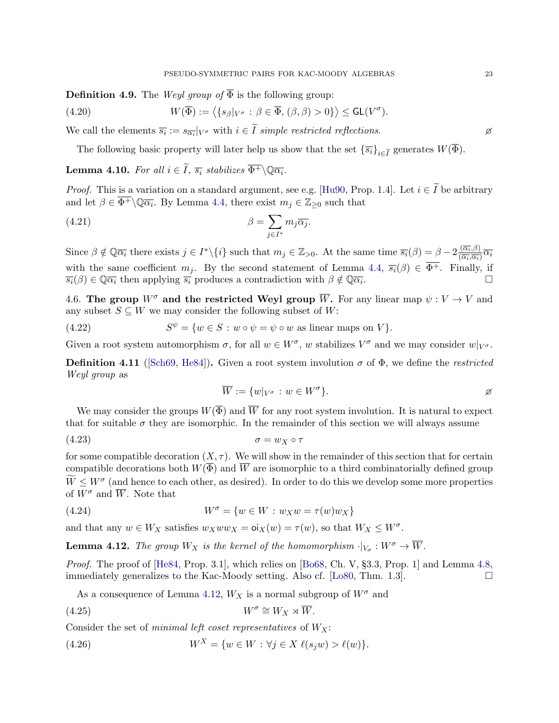**Definition 4.9.** The Weyl group of  $\overline{\Phi}$  is the following group:

(4.20) 
$$
W(\overline{\Phi}) := \langle \{s_{\beta}|_{V^{\sigma}} : \beta \in \overline{\Phi}, (\beta, \beta) > 0\} \rangle \leq \mathsf{GL}(V^{\sigma}).
$$

We call the elements  $\overline{s_i} := s_{\overline{\alpha_i}}|_{V^{\sigma}}$  with  $i \in I$  simple restricted reflections.

The following basic property will later help us show that the set  $\{\overline{s_i}\}_{i\in I}$  generates  $W(\Phi)$ .

<span id="page-24-3"></span>**Lemma 4.10.** For all  $i \in \widetilde{I}$ ,  $\overline{s_i}$  stabilizes  $\overline{\Phi^+} \backslash \mathbb{Q} \overline{\alpha_i}$ .

*Proof.* This is a variation on a standard argument, see e.g. [\[Hu90,](#page-42-34) Prop. 1.4]. Let  $i \in \tilde{I}$  be arbitrary and let  $\beta \in \overline{\Phi^+} \setminus \mathbb{Q} \overline{\alpha_i}$ . By Lemma [4.4,](#page-22-1) there exist  $m_j \in \mathbb{Z}_{\geq 0}$  such that

(4.21) 
$$
\beta = \sum_{j \in I^*} m_j \overline{\alpha_j}.
$$

Since  $\beta \notin \mathbb{Q} \overline{\alpha_i}$  there exists  $j \in I^* \setminus \{i\}$  such that  $m_j \in \mathbb{Z}_{>0}$ . At the same time  $\overline{s_i}(\beta) = \beta - 2 \frac{(\overline{\alpha_i}, \beta)}{(\overline{\alpha_i}, \overline{\alpha_i})}$  $\frac{\overline{(\alpha_i,\beta)}}{\overline{(\alpha_i,\alpha_i)}}\overline{\alpha_i}$ with the same coefficient  $m_j$ . By the second statement of Lemma [4.4,](#page-22-1)  $\overline{s_i}(\beta) \in \overline{\Phi^+}$ . Finally, if  $\overline{s_i}(\beta) \in \mathbb{Q} \overline{\alpha_i}$  then applying  $\overline{s_i}$  produces a contradiction with  $\beta \notin \mathbb{Q} \overline{\alpha_i}$ . . □

4.6. The group  $W^{\sigma}$  and the restricted Weyl group  $\overline{W}$ . For any linear map  $\psi : V \to V$  and any subset  $S \subseteq W$  we may consider the following subset of W:

(4.22) 
$$
S^{\psi} = \{ w \in S : w \circ \psi = \psi \circ w \text{ as linear maps on } V \}.
$$

Given a root system automorphism  $\sigma$ , for all  $w \in W^{\sigma}$ , w stabilizes  $V^{\sigma}$  and we may consider  $w|_{V^{\sigma}}$ .

**Definition 4.11** ([\[Sch69,](#page-43-6) [He84\]](#page-42-15)). Given a root system involution  $\sigma$  of  $\Phi$ , we define the *restricted* Weyl group as

<span id="page-24-1"></span>
$$
\overline{W} := \{w|_{V^{\sigma}} : w \in W^{\sigma}\}.
$$

We may consider the groups  $W(\overline{\Phi})$  and  $\overline{W}$  for any root system involution. It is natural to expect that for suitable  $\sigma$  they are isomorphic. In the remainder of this section we will always assume

$$
\sigma = w_X \circ \tau
$$

for some compatible decoration  $(X, \tau)$ . We will show in the remainder of this section that for certain compatible decorations both  $W(\overline{\Phi})$  and  $\overline{W}$  are isomorphic to a third combinatorially defined group  $\widetilde{W} \leq W^{\sigma}$  (and hence to each other, as desired). In order to do this we develop some more properties of  $W^{\sigma}$  and  $\overline{W}$ . Note that

(4.24) 
$$
W^{\sigma} = \{ w \in W : w_X w = \tau(w) w_X \}
$$

and that any  $w \in W_X$  satisfies  $w_X w w_X = o_X(w) = \tau(w)$ , so that  $W_X \leq W^{\sigma}$ .

<span id="page-24-0"></span>**Lemma 4.12.** The group  $W_X$  is the kernel of the homomorphism  $\cdot|_{V_{\sigma}} : W^{\sigma} \to \overline{W}$ .

Proof. The proof of [\[He84,](#page-42-15) Prop. 3.1], which relies on [\[Bo68,](#page-41-17) Ch. V, §3.3, Prop. 1] and Lemma [4.8,](#page-23-0) immediately generalizes to the Kac-Moody setting. Also cf.  $[Lo80, Thm. 1.3]$  $[Lo80, Thm. 1.3]$ .  $\square$ 

<span id="page-24-2"></span>As a consequence of Lemma [4.12,](#page-24-0)  $W_X$  is a normal subgroup of  $W^{\sigma}$  and

$$
(4.25) \t\t W^{\sigma} \cong W_X \rtimes \overline{W}.
$$

Consider the set of minimal left coset representatives of  $W_X$ :

(4.26) 
$$
W^X = \{w \in W : \forall j \in X \ \ell(s_j w) > \ell(w)\}.
$$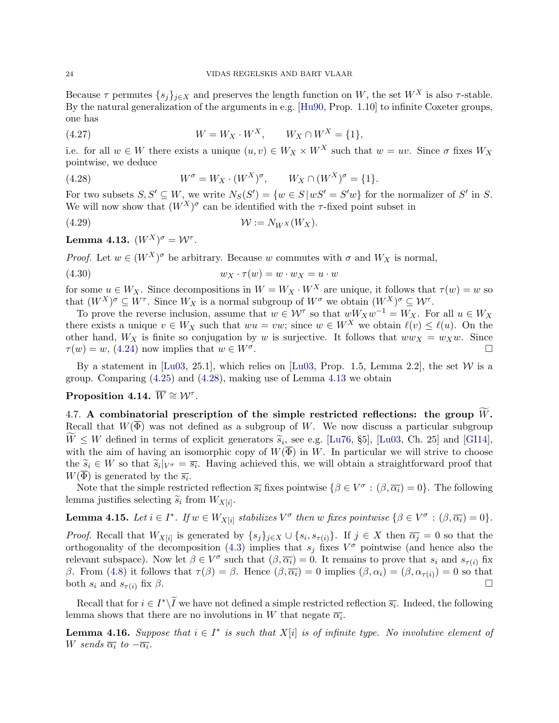Because  $\tau$  permutes  $\{s_j\}_{j\in X}$  and preserves the length function on W, the set  $W^X$  is also  $\tau$ -stable. By the natural generalization of the arguments in e.g. [\[Hu90,](#page-42-34) Prop. 1.10] to infinite Coxeter groups, one has

(4.27) 
$$
W = W_X \cdot W^X, \qquad W_X \cap W^X = \{1\},
$$

i.e. for all  $w \in W$  there exists a unique  $(u, v) \in W_X \times W^X$  such that  $w = uv$ . Since  $\sigma$  fixes  $W_X$ pointwise, we deduce

<span id="page-25-0"></span>(4.28) 
$$
W^{\sigma} = W_X \cdot (W^X)^{\sigma}, \qquad W_X \cap (W^X)^{\sigma} = \{1\}.
$$

For two subsets  $S, S' \subseteq W$ , we write  $N_S(S') = \{w \in S \mid wS' = S'w\}$  for the normalizer of S' in S. We will now show that  $(W^X)^\sigma$  can be identified with the  $\tau$ -fixed point subset in

$$
(4.29) \t\t\t W := N_{W^X}(W_X).
$$

<span id="page-25-1"></span> ${\bf Lemma \ 4.13.} \,\, (W^X)^\sigma = {\cal W}^\tau.$ 

*Proof.* Let  $w \in (W^X)^\sigma$  be arbitrary. Because w commutes with  $\sigma$  and  $W_X$  is normal,

$$
(4.30) \t\t w_X \cdot \tau(w) = w \cdot w_X = u \cdot w
$$

for some  $u \in W_X$ . Since decompositions in  $W = W_X \cdot W^X$  are unique, it follows that  $\tau(w) = w$  so that  $(W^X)^\sigma \subseteq W^\tau$ . Since  $W_X$  is a normal subgroup of  $W^\sigma$  we obtain  $(W^X)^\sigma \subseteq W^\tau$ .

To prove the reverse inclusion, assume that  $w \in \mathcal{W}^{\tau}$  so that  $wW_Xw^{-1} = W_X$ . For all  $u \in W_X$ there exists a unique  $v \in W_X$  such that  $wu = vw$ ; since  $w \in W^X$  we obtain  $\ell(v) \leq \ell(u)$ . On the other hand,  $W_X$  is finite so conjugation by w is surjective. It follows that  $ww_X = w_Xw$ . Since  $\tau(w) = w$ , [\(4.24\)](#page-24-1) now implies that  $w \in W^{\sigma}$ . . □<br>.

By a statement in [\[Lu03,](#page-42-18) 25.1], which relies on [Lu03, Prop. 1.5, Lemma 2.2], the set  $W$  is a group. Comparing [\(4.25\)](#page-24-2) and [\(4.28\)](#page-25-0), making use of Lemma [4.13](#page-25-1) we obtain

# <span id="page-25-3"></span>Proposition 4.14.  $\overline{W} \cong \mathcal{W}^{\tau}$ .

4.7. A combinatorial prescription of the simple restricted reflections: the group  $\widetilde{W}$ . Recall that  $W(\overline{\Phi})$  was not defined as a subgroup of W. We now discuss a particular subgroup  $W \leq W$  defined in terms of explicit generators  $\tilde{s}_i$ , see e.g. [\[Lu76,](#page-42-14) §5], [\[Lu03,](#page-42-18) Ch. 25] and [\[GI14\]](#page-42-32),<br>with the sim of baying an isomorphic sony of  $W(\overline{\Phi})$  in W. In particular we will strive to choose with the aim of having an isomorphic copy of  $W(\overline{\Phi})$  in W. In particular we will strive to choose the  $\widetilde{s}_i \in W$  so that  $\widetilde{s}_i|_{V^{\sigma}} = \overline{s_i}$ . Having achieved this, we will obtain a straightforward proof that  $W(\overline{\Phi})$  is generated by the  $\overline{s_i}$ .  $W(\overline{\Phi})$  is generated by the  $\overline{s_i}$ .

Note that the simple restricted reflection  $\overline{s_i}$  fixes pointwise  $\{\beta \in V^{\sigma} : (\beta, \overline{\alpha_i}) = 0\}$ . The following lemma justifies selecting  $\widetilde{s}_i$  from  $W_{X[i]}$ .

<span id="page-25-2"></span>**Lemma 4.15.** Let  $i \in I^*$ . If  $w \in W_{X[i]}$  stabilizes  $V^{\sigma}$  then w fixes pointwise  $\{\beta \in V^{\sigma} : (\beta, \overline{\alpha_i}) = 0\}.$ 

*Proof.* Recall that  $W_{X[i]}$  is generated by  $\{s_j\}_{j\in X}\cup \{s_i,s_{\tau(i)}\}\$ . If  $j\in X$  then  $\overline{\alpha_j}=0$  so that the orthogonality of the decomposition [\(4.3\)](#page-21-6) implies that  $s_j$  fixes  $V^{\sigma}$  pointwise (and hence also the relevant subspace). Now let  $\beta \in V^{\sigma}$  such that  $(\beta, \overline{\alpha_i}) = 0$ . It remains to prove that  $s_i$  and  $s_{\tau(i)}$  fix β. From [\(4.8\)](#page-21-7) it follows that  $\tau(\beta) = \beta$ . Hence  $(\beta, \overline{\alpha_i}) = 0$  implies  $(\beta, \alpha_i) = (\beta, \alpha_{\tau(i)}) = 0$  so that both  $s_i$  and  $s_{\tau(i)}$  fix  $\beta$ .  $\Box$ 

Recall that for  $i \in I^*\setminus\widetilde{I}$  we have not defined a simple restricted reflection  $\overline{s_i}$ . Indeed, the following lemma shows that there are no involutions in W that negate  $\overline{\alpha_i}$ .

**Lemma 4.16.** Suppose that  $i \in I^*$  is such that  $X[i]$  is of infinite type. No involutive element of W sends  $\overline{\alpha_i}$  to  $-\overline{\alpha_i}$ .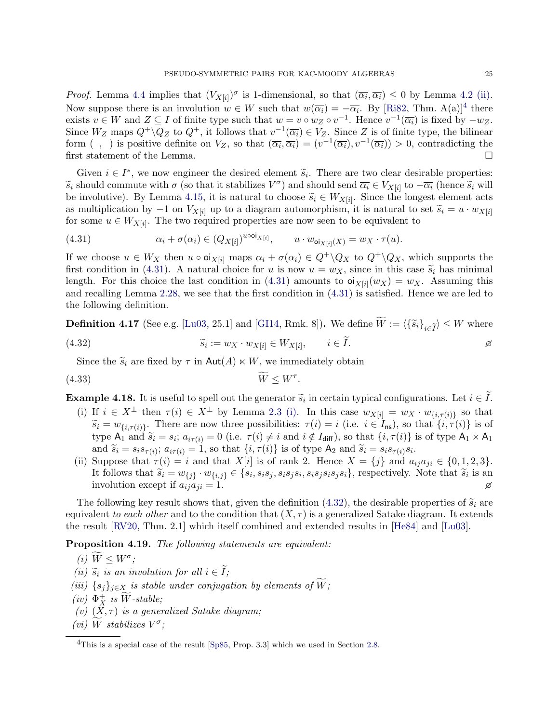*Proof.* Lemma [4.4](#page-22-1) implies that  $(V_{X[i]})^{\sigma}$  is 1-dimensional, so that  $(\overline{\alpha_i}, \overline{\alpha_i}) \leq 0$  by Lemma [4.2](#page-21-4) [\(ii\).](#page-21-3) Now suppose there is an involution  $w \in W$  such that  $w(\overline{\alpha_i}) = -\overline{\alpha_i}$ . By [\[Ri82,](#page-43-20) Thm. A(a)]<sup>[4](#page-26-0)</sup> there exists  $v \in W$  and  $Z \subseteq I$  of finite type such that  $w = v \circ w_Z \circ v^{-1}$ . Hence  $v^{-1}(\overline{\alpha_i})$  is fixed by  $-w_Z$ . Since  $W_Z$  maps  $Q^+\backslash Q_Z$  to  $Q^+$ , it follows that  $v^{-1}(\overline{\alpha_i})\in V_Z$ . Since Z is of finite type, the bilinear form (, ) is positive definite on  $V_Z$ , so that  $(\overline{\alpha_i}, \overline{\alpha_i}) = (v^{-1}(\overline{\alpha_i}), v^{-1}(\overline{\alpha_i})) > 0$ , contradicting the first statement of the Lemma.  $\Box$ 

Given  $i \in I^*$ , we now engineer the desired element  $\widetilde{s}_i$ . There are two clear desirable properties:<br>should commute with  $\sigma$  (so that it stabilizes  $V^{\sigma}$ ) and should sond  $\overline{\sigma}$ ;  $\overline{C}$  (see to  $\overline{\sigma}$ ; (hones  $\widetilde{s}_i$  should commute with  $\sigma$  (so that it stabilizes  $V^{\sigma}$ ) and should send  $\overline{\alpha}_i \in V_{X[i]}$  to  $-\overline{\alpha}_i$  (hence  $\widetilde{s}_i$  will<br>be involutive). By Lamma 4.15, it is natural to shoose  $\widetilde{s}_i \subset W$ , ... Since the lan be involutive). By Lemma [4.15,](#page-25-2) it is natural to choose  $\widetilde{s}_i \in W_{X[i]}$ . Since the longest element acts as multiplication by  $\phantom{s}1$  on  $V_{\text{ext}}$  up to a diagram automorphism it is natural to set  $\widetilde{s}_i = u_i$  where as multiplication by  $-1$  on  $V_{X[i]}$  up to a diagram automorphism, it is natural to set  $\widetilde{s}_i = u \cdot w_{X[i]}$ for some  $u \in W_{X[i]}$ . The two required properties are now seen to be equivalent to

<span id="page-26-1"></span>(4.31) 
$$
\alpha_i + \sigma(\alpha_i) \in (Q_{X[i]})^{u \cdot \text{ooi}_{X[i]}}, \qquad u \cdot w_{\text{oi}_{X[i]}(X)} = w_X \cdot \tau(u).
$$

If we choose  $u \in W_X$  then  $u \circ \text{o}i_{X[i]}$  maps  $\alpha_i + \sigma(\alpha_i) \in Q^+ \backslash Q_X$  to  $Q^+ \backslash Q_X$ , which supports the first condition in [\(4.31\)](#page-26-1). A natural choice for u is now  $u = w_X$ , since in this case  $\tilde{s}_i$  has minimal length. For this choice the last condition in [\(4.31\)](#page-26-1) amounts to  $\mathfrak{oi}_{X[i]}(w_X) = w_X$ . Assuming this and recalling Lemma [2.28,](#page-11-4) we see that the first condition in [\(4.31\)](#page-26-1) is satisfied. Hence we are led to the following definition.

**Definition 4.17** (See e.g. [\[Lu03,](#page-42-18) 25.1] and [\[GI14,](#page-42-32) Rmk. 8]). We define  $W := \langle {\{\tilde{s}_i\}}_{i \in I} \rangle \leq W$  where

<span id="page-26-2"></span>(4.32) 
$$
\widetilde{s}_i := w_X \cdot w_{X[i]} \in W_{X[i]}, \qquad i \in I.
$$

<span id="page-26-10"></span>Since the  $\tilde{s}_i$  are fixed by  $\tau$  in  $\text{Aut}(A) \ltimes W$ , we immediately obtain

$$
(4.33)\t\t\t \widetilde{W} \leq W^{\tau}.
$$

**Example 4.18.** It is useful to spell out the generator  $\tilde{s}_i$  in certain typical configurations. Let  $i \in I$ .

- (i) If  $i \in X^{\perp}$  then  $\tau(i) \in X^{\perp}$  by Lemma [2.3](#page-11-7) [\(i\).](#page-11-1) In this case  $w_{X[i]} = w_X \cdot w_{\{i,\tau(i)\}}$  so that  $\widetilde{s}_i = w_{\{i,\tau(i)\}}$ . There are now three possibilities:  $\tau(i) = i$  (i.e.  $i \in I_{\text{ns}}$ ), so that  $\{i, \tau(i)\}$  is of type  $A_1$  and  $\tilde{s}_i = s_i$ ;  $a_{i\tau(i)} = 0$  (i.e.  $\tau(i) \neq i$  and  $i \notin I_{\text{diff}}$ ), so that  $\{i, \tau(i)\}$  is of type  $A_1 \times A_1$ and  $\widetilde{s}_i = s_i s_{\tau(i)}$ ;  $a_{i\tau(i)} = 1$ , so that  $\{i, \tau(i)\}$  is of type  $A_2$  and  $\widetilde{s}_i = s_i s_{\tau(i)} s_i$ .<br>Suppose that  $\tau(i) = i$  and that  $X^{[i]}$  is of rank 3. Hones  $X = \{i\}$  and a
- (ii) Suppose that  $\tau(i) = i$  and that  $X[i]$  is of rank 2. Hence  $X = \{j\}$  and  $a_{ij}a_{ji} \in \{0, 1, 2, 3\}.$ It follows that  $\tilde{s}_i = w_{\{j\}} \cdot w_{\{i,j\}} \in \{s_i, s_i s_j, s_i s_j s_i, s_i s_j s_i\}$ , respectively. Note that  $\tilde{s}_i$  is an involution over if  $g_i, g_j, s_i s_j s_i, s_i s_j s_i s_j s_i\}$ , respectively. involution except if  $a_{ij}a_{ji} = 1$ .

The following key result shows that, given the definition [\(4.32\)](#page-26-2), the desirable properties of  $\tilde{s}_i$  are equivalent to each other and to the condition that  $(X, \tau)$  is a generalized Satake diagram. It extends the result [\[RV20,](#page-43-5) Thm. 2.1] which itself combined and extended results in [\[He84\]](#page-42-15) and [\[Lu03\]](#page-42-18).

<span id="page-26-6"></span><span id="page-26-5"></span>Proposition 4.19. The following statements are equivalent:

$$
(i) \ \widetilde{W} \leq W^{\sigma};
$$

- <span id="page-26-7"></span>(ii)  $\widetilde{s}_i$  is an involution for all  $i \in I$ ;<br> $(iii)$   $(s_i)$  is the law decomposition
- <span id="page-26-8"></span>(iii)  $\{s_j\}_{j\in X}$  is stable under conjugation by elements of  $\widetilde{W}$ ;
- <span id="page-26-9"></span> $(iv) \Phi_X^+$  is  $\widetilde{W}$ -stable;
- <span id="page-26-3"></span>(v)  $(X, \tau)$  is a generalized Satake diagram;
- <span id="page-26-4"></span>(vi)  $\widetilde{W}$  stabilizes  $V^{\sigma}$ ;

<span id="page-26-0"></span><sup>&</sup>lt;sup>4</sup>This is a special case of the result [\[Sp85,](#page-43-4) Prop. 3.3] which we used in Section [2.8.](#page-10-3)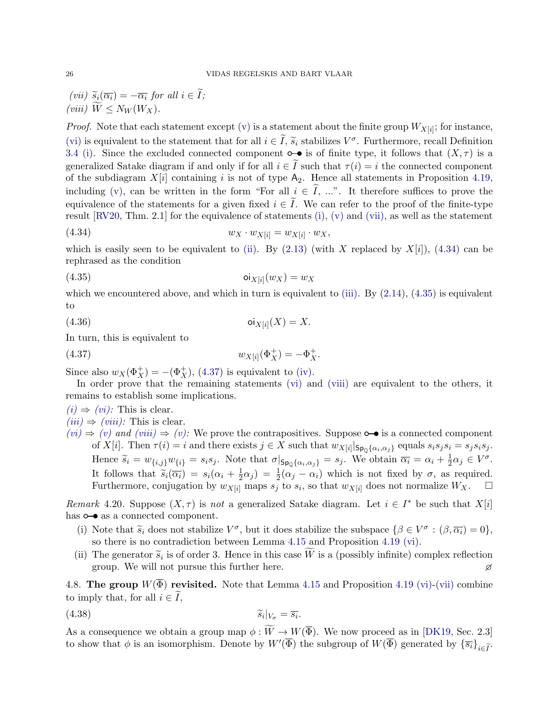<span id="page-27-4"></span><span id="page-27-0"></span>(vii)  $\widetilde{s}_i(\overline{\alpha_i}) = -\overline{\alpha_i}$  for all  $i \in \widetilde{I}$ ; (viii)  $\widetilde{W} \leq N_W(W_X)$ .

*Proof.* Note that each statement except [\(v\)](#page-26-3) is a statement about the finite group  $W_{X[i]}$ ; for instance, [\(vi\)](#page-26-4) is equivalent to the statement that for all  $i \in \tilde{I}$ ,  $\tilde{s}_i$  stabilizes  $V^{\sigma}$ . Furthermore, recall Definition  $3.4$  (i) Since the excluded connected component  $\tilde{\Omega}$  is of finite type, it follows that  $(X, \tau)$ [3.4](#page-16-0) [\(i\).](#page-16-2) Since the excluded connected component  $\circ \bullet$  is of finite type, it follows that  $(X, \tau)$  is a generalized Satake diagram if and only if for all  $i \in \tilde{I}$  such that  $\tau(i) = i$  the connected component of the subdiagram  $X[i]$  containing i is not of type  $A_2$ . Hence all statements in Proposition [4.19,](#page-26-5) including [\(v\),](#page-26-3) can be written in the form "For all  $i \in I$ , ...". It therefore suffices to prove the equivalence of the statements for a given fixed  $i \in I$ . We can refer to the proof of the finite-type result  $[RV20, Thm. 2.1]$  $[RV20, Thm. 2.1]$  for the equivalence of statements [\(i\),](#page-26-6) [\(v\)](#page-26-3) and [\(vii\),](#page-27-0) as well as the statement

<span id="page-27-1"></span>
$$
(4.34) \t\t w_X \cdot w_{X[i]} = w_{X[i]} \cdot w_X,
$$

which is easily seen to be equivalent to [\(ii\).](#page-26-7) By  $(2.13)$  (with X replaced by  $X[i]$ ),  $(4.34)$  can be rephrased as the condition

<span id="page-27-2"></span>
$$
(4.35) \t\t\t\t \text{oi}_{X[i]}(w_X) = w_X
$$

which we encountered above, and which in turn is equivalent to [\(iii\).](#page-26-8) By  $(2.14)$ ,  $(4.35)$  is equivalent to

$$
(4.36) \t\t\t\t\t \text{oi}_{X[i]}(X) = X.
$$

In turn, this is equivalent to

<span id="page-27-3"></span>(4.37) 
$$
w_{X[i]}(\Phi_X^+) = -\Phi_X^+.
$$

Since also  $w_X(\Phi_X^+) = -(\Phi_X^+), (4.37)$  $w_X(\Phi_X^+) = -(\Phi_X^+), (4.37)$  is equivalent to [\(iv\).](#page-26-9)

In order prove that the remaining statements [\(vi\)](#page-26-4) and [\(viii\)](#page-27-4) are equivalent to the others, it remains to establish some implications.

 $(i) \Rightarrow (vi)$  $(i) \Rightarrow (vi)$ : This is clear.

- $(iii) \Rightarrow (viii)$  $(iii) \Rightarrow (viii)$ : This is clear.
- $(vi) \Rightarrow (v)$  $(vi) \Rightarrow (v)$  $(vi) \Rightarrow (v)$  and  $(viii) \Rightarrow (v)$  $(viii) \Rightarrow (v)$ : We prove the contrapositives. Suppose  $\circ \bullet$  is a connected component of  $X[i]$ . Then  $\tau(i) = i$  and there exists  $j \in X$  such that  $w_{X[i]} | s_{p_0} \{ \alpha_i, \alpha_j \}$  equals  $s_i s_j s_i = s_j s_i s_j$ . Hence  $\widetilde{s}_i = w_{\{i,j\}}w_{\{i\}} = s_i s_j$ . Note that  $\sigma|_{\mathsf{Sp}_\mathbb{Q}\{\alpha_i,\alpha_j\}} = s_j$ . We obtain  $\overline{\alpha_i} = \alpha_i + \frac{1}{2}$  $\frac{1}{2}\alpha_j \in V^{\sigma}$ . It follows that  $\widetilde{s}_i(\overline{\alpha_i}) = s_i(\alpha_i + \frac{1}{2})$ <br>Furthermore conjugation by  $w_{\text{max}}$ .  $(\frac{1}{2}\alpha_j) = \frac{1}{2}(\alpha_j - \alpha_i)$  which is not fixed by  $\sigma$ , as required. Furthermore, conjugation by  $w_{X[i]}$  maps  $s_j$  to  $s_i$ , so that  $w_{X[i]}$  does not normalize  $W_X$ .  $\Box$

Remark 4.20. Suppose  $(X, \tau)$  is not a generalized Satake diagram. Let  $i \in I^*$  be such that  $X[i]$ has  $\circ \bullet$  as a connected component.

- (i) Note that  $\tilde{s}_i$  does not stabilize  $V^{\sigma}$ , but it does stabilize the subspace  $\{\beta \in V^{\sigma} : (\beta, \overline{\alpha_i}) = 0\}$ , so there is no contradiction between Lemma 4.15 and Proposition 4.19 (vi) so there is no contradiction between Lemma [4.15](#page-25-2) and Proposition [4.19](#page-26-5) [\(vi\).](#page-26-4)
- (ii) The generator  $\tilde{s}_i$  is of order 3. Hence in this case W is a (possibly infinite) complex reflection cross We will not pursue this further here group. We will not pursue this further here.

4.8. The group  $W(\overline{\Phi})$  revisited. Note that Lemma [4.15](#page-25-2) and Proposition [4.19](#page-26-5) [\(vi\)-](#page-26-4)[\(vii\)](#page-27-0) combine to imply that, for all  $i \in I$ ,

<span id="page-27-5"></span>.

$$
\widetilde{s}_i|_{V_{\sigma}} = \overline{s}_i
$$

As a consequence we obtain a group map  $\phi: W \to W(\overline{\Phi})$ . We now proceed as in [\[DK19,](#page-42-19) Sec. 2.3] to show that  $\phi$  is an isomorphism. Denote by  $W'(\overline{\Phi})$  the subgroup of  $W(\overline{\Phi})$  generated by  $\{\overline{s_i}\}_{i\in\widetilde{I}}$ .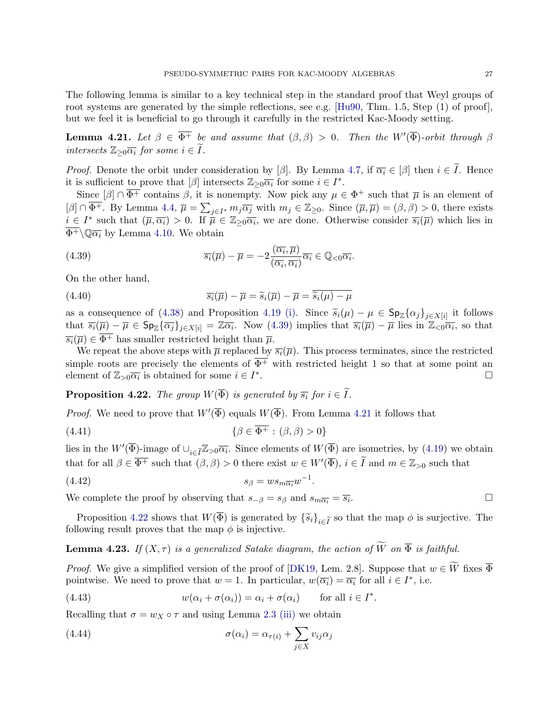The following lemma is similar to a key technical step in the standard proof that Weyl groups of root systems are generated by the simple reflections, see e.g. [\[Hu90,](#page-42-34) Thm. 1.5, Step (1) of proof], but we feel it is beneficial to go through it carefully in the restricted Kac-Moody setting.

<span id="page-28-1"></span>**Lemma 4.21.** Let  $\beta \in \overline{\Phi^+}$  be and assume that  $(\beta, \beta) > 0$ . Then the W'( $\overline{\Phi}$ )-orbit through  $\beta$ intersects  $\mathbb{Z}_{\geq 0}$  $\overline{\alpha_i}$  for some  $i \in \widetilde{I}$ .

*Proof.* Denote the orbit under consideration by [ $\beta$ ]. By Lemma [4.7,](#page-23-1) if  $\overline{\alpha_i} \in [\beta]$  then  $i \in I$ . Hence it is sufficient to prove that  $[\beta]$  intersects  $\mathbb{Z}_{\geq 0} \overline{\alpha_i}$  for some  $i \in I^*$ .

Since  $[\beta] \cap \overline{\Phi^+}$  contains  $\beta$ , it is nonempty. Now pick any  $\mu \in \Phi^+$  such that  $\overline{\mu}$  is an element of  $[\beta] \cap \overline{\Phi^+}$ . By Lemma [4.4,](#page-22-1)  $\overline{\mu} = \sum_{j \in I^*} m_j \overline{\alpha_j}$  with  $m_j \in \mathbb{Z}_{\geq 0}$ . Since  $(\overline{\mu}, \overline{\mu}) = (\beta, \beta) > 0$ , there exists  $i \in I^*$  such that  $(\overline{\mu}, \overline{\alpha_i}) > 0$ . If  $\overline{\mu} \in \mathbb{Z}_{\geq 0} \overline{\alpha_i}$ , we are done. Otherwise consider  $\overline{s_i}(\overline{\mu})$  which lies in  $\overline{\Phi^+}\setminus \mathbb{O}\overline{\alpha_i}$  by Lemma [4.10.](#page-24-3) We obtain

<span id="page-28-0"></span>(4.39) 
$$
\overline{s_i}(\overline{\mu}) - \overline{\mu} = -2 \frac{(\overline{\alpha_i}, \overline{\mu})}{(\overline{\alpha_i}, \overline{\alpha_i})} \overline{\alpha_i} \in \mathbb{Q}_{< 0} \overline{\alpha_i}.
$$

On the other hand,

(4.40) 
$$
\overline{s_i}(\overline{\mu}) - \overline{\mu} = \widetilde{s}_i(\overline{\mu}) - \overline{\mu} = \overline{\widetilde{s}_i(\mu) - \mu}
$$

as a consequence of [\(4.38\)](#page-27-5) and Proposition [4.19](#page-26-5) [\(i\).](#page-26-6) Since  $\tilde{s}_i(\mu) - \mu \in \mathsf{Sp}_{\mathbb{Z}}\{\alpha_j\}_{j \in X[i]}$  it follows<br>that  $\overline{\alpha}(\overline{\alpha}) = \overline{\alpha} \in \mathsf{Sp}_{\mathbb{Z}}\{\overline{\alpha}\}$  are  $\overline{\alpha} = \overline{\alpha} \in \mathsf{Sp}_{\mathbb{Z}}$ . Now (4.39) implies that  $\$ that  $\overline{s_i}(\overline{\mu}) - \overline{\mu} \in \mathsf{Sp}_{\mathbb{Z}}\{\overline{\alpha_j}\}_{j \in X[i]} = \mathbb{Z}\overline{\alpha_i}$ . Now [\(4.39\)](#page-28-0) implies that  $\overline{s_i}(\overline{\mu}) - \overline{\mu}$  lies in  $\mathbb{Z}_{\leq 0}\overline{\alpha_i}$ , so that  $\overline{s_i}(\overline{\mu}) \in \overline{\Phi^+}$  has smaller restricted height than  $\overline{\mu}$ .

We repeat the above steps with  $\bar{\mu}$  replaced by  $\bar{s}_i(\bar{\mu})$ . This process terminates, since the restricted simple roots are precisely the elements of  $\overline{\Phi^+}$  with restricted height 1 so that at some point an element of  $\mathbb{Z}_{>0}\overline{\alpha_i}$  is obtained for some  $i \in I^*$ . □

<span id="page-28-2"></span>**Proposition 4.22.** The group  $W(\overline{\Phi})$  is generated by  $\overline{s_i}$  for  $i \in \widetilde{I}$ .

*Proof.* We need to prove that  $W'(\overline{\Phi})$  equals  $W(\overline{\Phi})$ . From Lemma [4.21](#page-28-1) it follows that

$$
\{\beta \in \overline{\Phi^+} : (\beta, \beta) > 0\}
$$

lies in the  $W'(\overline{\Phi})$ -image of  $\cup_{i\in \overline{I}} \mathbb{Z}_{\geq 0} \overline{\alpha_i}$ . Since elements of  $W(\overline{\Phi})$  are isometries, by [\(4.19\)](#page-23-2) we obtain that for all  $\beta \in \overline{\Phi^+}$  such that  $(\beta, \beta) > 0$  there exist  $w \in W'(\overline{\Phi})$ ,  $i \in \widetilde{I}$  and  $m \in \mathbb{Z}_{>0}$  such that

.

.

$$
(4.42) \t\t s_{\beta} = w s_{m\overline{\alpha_i}} w^{-1}
$$

We complete the proof by observing that  $s_{-\beta} = s_{\beta}$  and  $s_{m\overline{\alpha_i}} = \overline{s_i}$ . . □

Proposition [4.22](#page-28-2) shows that  $W(\overline{\Phi})$  is generated by  $\{\widetilde{s}_i\}_{i\in\widetilde{I}}$  so that the map  $\phi$  is surjective. The following result proves that the map  $\phi$  is injective.

<span id="page-28-4"></span>**Lemma 4.23.** If  $(X, \tau)$  is a generalized Satake diagram, the action of  $\widetilde{W}$  on  $\overline{\Phi}$  is faithful.

*Proof.* We give a simplified version of the proof of [\[DK19,](#page-42-19) Lem. 2.8]. Suppose that  $w \in \widetilde{W}$  fixes  $\overline{\Phi}$ pointwise. We need to prove that  $w = 1$ . In particular,  $w(\overline{\alpha_i}) = \overline{\alpha_i}$  for all  $i \in I^*$ , i.e.

<span id="page-28-3"></span>(4.43) 
$$
w(\alpha_i + \sigma(\alpha_i)) = \alpha_i + \sigma(\alpha_i) \quad \text{for all } i \in I^*
$$

Recalling that  $\sigma = w_X \circ \tau$  and using Lemma [2.3](#page-11-7) [\(iii\)](#page-11-3) we obtain

(4.44) 
$$
\sigma(\alpha_i) = \alpha_{\tau(i)} + \sum_{j \in X} v_{ij} \alpha_j
$$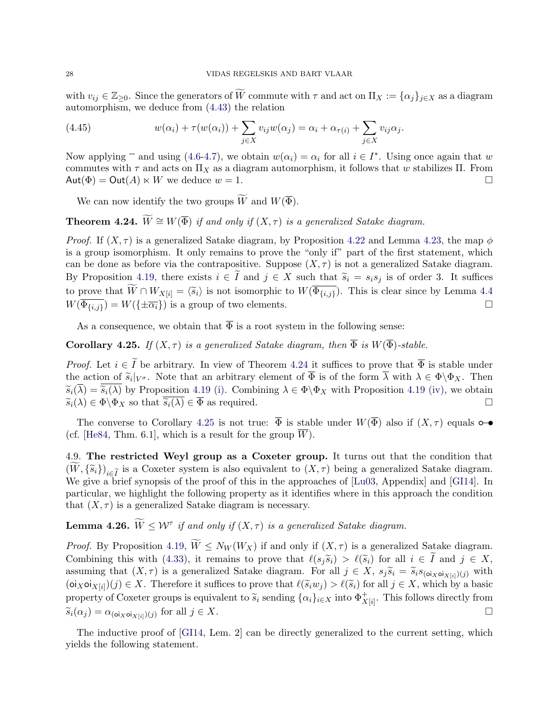with  $v_{ij} \in \mathbb{Z}_{\geq 0}$ . Since the generators of W commute with  $\tau$  and act on  $\Pi_X := {\alpha_i}_{i \in X}$  as a diagram automorphism, we deduce from [\(4.43\)](#page-28-3) the relation

(4.45) 
$$
w(\alpha_i) + \tau(w(\alpha_i)) + \sum_{j \in X} v_{ij} w(\alpha_j) = \alpha_i + \alpha_{\tau(i)} + \sum_{j \in X} v_{ij} \alpha_j.
$$

Now applying  $\overline{\phantom{a}}$  and using [\(4.6-](#page-21-0)[4.7\)](#page-21-1), we obtain  $w(\alpha_i) = \alpha_i$  for all  $i \in I^*$ . Using once again that w commutes with  $\tau$  and acts on  $\Pi_X$  as a diagram automorphism, it follows that w stabilizes  $\Pi$ . From  $\mathsf{Aut}(\Phi) = \mathsf{Out}(A) \ltimes W$  we deduce  $w = 1$ .

We can now identify the two groups  $\widetilde{W}$  and  $W(\overline{\Phi})$ .

<span id="page-29-0"></span>**Theorem 4.24.**  $\widetilde{W} \cong W(\overline{\Phi})$  if and only if  $(X, \tau)$  is a generalized Satake diagram.

*Proof.* If  $(X, \tau)$  is a generalized Satake diagram, by Proposition [4.22](#page-28-2) and Lemma [4.23,](#page-28-4) the map  $\phi$ is a group isomorphism. It only remains to prove the "only if" part of the first statement, which can be done as before via the contrapositive. Suppose  $(X, \tau)$  is not a generalized Satake diagram. By Proposition [4.19,](#page-26-5) there exists  $i \in \tilde{I}$  and  $j \in X$  such that  $\tilde{s}_i = s_i s_j$  is of order 3. It suffices to prove that  $W \cap W_{X[i]} = \langle \tilde{s}_i \rangle$  is not isomorphic to  $W(\Phi_{\{i,j\}})$ . This is clear since by Lemma [4.4](#page-22-1)  $W(\overline{\Phi_{\{i,j\}}}) = W(\{\pm \overline{\alpha_i}\})$  is a group of two elements.

As a consequence, we obtain that  $\overline{\Phi}$  is a root system in the following sense:

<span id="page-29-1"></span>**Corollary 4.25.** If  $(X, \tau)$  is a generalized Satake diagram, then  $\overline{\Phi}$  is  $W(\overline{\Phi})$ -stable.

*Proof.* Let  $i \in \tilde{I}$  be arbitrary. In view of Theorem [4.24](#page-29-0) it suffices to prove that  $\overline{\Phi}$  is stable under the action of  $\widetilde{s}_i|_{V^{\sigma}}$ . Note that an arbitrary element of  $\overline{\Phi}$  is of the form  $\overline{\lambda}$  with  $\lambda \in \Phi \backslash \Phi_X$ . Then  $\widetilde{\lambda}(\overline{\lambda}) = \widetilde{\lambda}(\overline{\lambda})$  by Preposition 4.10 (i) Combining  $\lambda \in \Phi \backslash \Phi$  with Preposition 4  $\widetilde{s}_i(\overline{\lambda}) = \overline{\widetilde{s}_i(\lambda)}$  by Proposition [4.19](#page-26-5) [\(i\).](#page-26-6) Combining  $\lambda \in \Phi \backslash \Phi_X$  with Proposition 4.19 [\(iv\),](#page-26-9) we obtain  $\widetilde{s}_i(\lambda) \in \Phi \backslash \Phi_X$  so that  $\overline{\widetilde{s}_i(\lambda)} \in \overline{\Phi}$  as required.  $\widetilde{s}_i(\lambda) \in \Phi \backslash \Phi_X$  so that  $\overline{\widetilde{s}_i(\lambda)} \in \overline{\Phi}$  as required.

The converse to Corollary [4.25](#page-29-1) is not true:  $\overline{\Phi}$  is stable under  $W(\overline{\Phi})$  also if  $(X, \tau)$  equals  $\bullet \bullet$ (cf. [\[He84,](#page-42-15) Thm. 6.1], which is a result for the group  $\overline{W}$ ).

4.9. The restricted Weyl group as a Coxeter group. It turns out that the condition that  $(W, {\tilde{s}}_i)_{i \in {\tilde{I}}}$  is a Coxeter system is also equivalent to  $(X, \tau)$  being a generalized Satake diagram. We give a brief synopsis of the proof of this in the approaches of [\[Lu03,](#page-42-18) Appendix] and [\[GI14\]](#page-42-32). In particular, we highlight the following property as it identifies where in this approach the condition that  $(X, \tau)$  is a generalized Satake diagram is necessary.

<span id="page-29-2"></span>**Lemma 4.26.**  $\widetilde{W} \leq \mathcal{W}^{\tau}$  if and only if  $(X, \tau)$  is a generalized Satake diagram.

*Proof.* By Proposition [4.19,](#page-26-5)  $\widetilde{W} \leq N_W(W_X)$  if and only if  $(X, \tau)$  is a generalized Satake diagram. Combining this with [\(4.33\)](#page-26-10), it remains to prove that  $\ell(s_i\tilde{s}_i) > \ell(\tilde{s}_i)$  for all  $i \in \tilde{I}$  and  $j \in X$ , assuming that  $(X, \tau)$  is a generalized Satake diagram. For all  $j \in X$ ,  $s_j \widetilde{s}_i = \widetilde{s}_i s_{(o_i \chi o i_X[i]}(j)$  with  $(\text{o}(\text{z} \text{o}(\text{x} \text{o}(\text{z})))$   $\in X$ . Therefore it suffices to prove that  $\ell(\tilde{s}_i w_j) > \ell(\tilde{s}_i)$  for all  $j \in X$ , which by a basic process to prove that  $\ell(\tilde{s}_i w_j) > \ell(\tilde{s}_i)$  for all  $j \in X$ , which by a basic property of Coxeter groups is equivalent to  $\tilde{s}_i$  sending  $\{\alpha_i\}_{i\in X}$  into  $\Phi^+_{X[i]}$ . This follows directly from  $\widetilde{s}_i(\alpha_j) = \alpha_{(\textbf{o}i_X \textbf{o}i_{X[i]})(j)}$  for all  $j \in X$ .

The inductive proof of [\[GI14,](#page-42-32) Lem. 2] can be directly generalized to the current setting, which yields the following statement.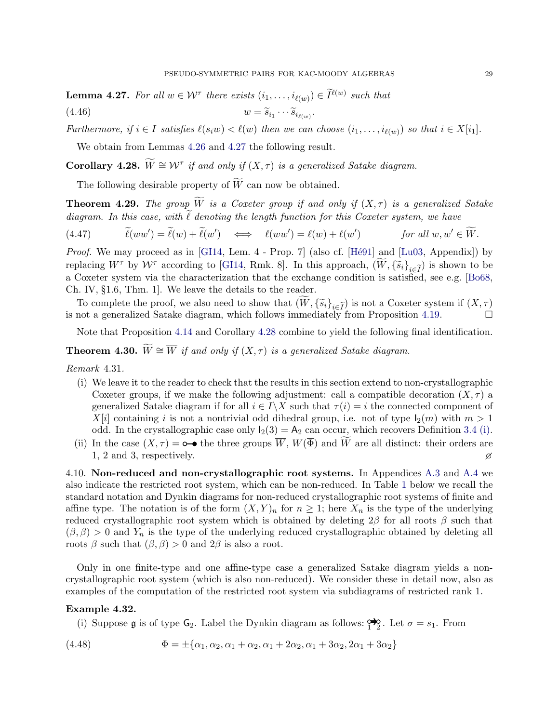<span id="page-30-2"></span>**Lemma 4.27.** For all  $w \in \mathcal{W}^{\tau}$  there exists  $(i_1, \ldots, i_{\ell(w)}) \in \tilde{I}^{\ell(w)}$  such that (4.46)  $w = \widetilde{s}_{i_1}$  $\cdots \widetilde{s}_{i_{\ell(w)}}$ .

Furthermore, if  $i \in I$  satisfies  $\ell(s_i w) < \ell(w)$  then we can choose  $(i_1, \ldots, i_{\ell(w)})$  so that  $i \in X[i_1]$ .

We obtain from Lemmas [4.26](#page-29-2) and [4.27](#page-30-2) the following result.

<span id="page-30-3"></span>**Corollary 4.28.**  $\widetilde{W} \cong W^{\tau}$  if and only if  $(X, \tau)$  is a generalized Satake diagram.

The following desirable property of  $\widetilde{W}$  can now be obtained.

<span id="page-30-0"></span>**Theorem 4.29.** The group  $\widetilde{W}$  is a Coxeter group if and only if  $(X, \tau)$  is a generalized Satake diagram. In this case, with  $\tilde{\ell}$  denoting the length function for this Coxeter system, we have

$$
(4.47) \qquad \widetilde{\ell}(ww') = \widetilde{\ell}(w) + \widetilde{\ell}(w') \iff \ell(ww') = \ell(w) + \ell(w') \qquad \text{for all } w, w' \in \widetilde{W}.
$$

*Proof.* We may proceed as in [\[GI14,](#page-42-32) Lem. 4 - Prop. 7] (also cf. [Hé91] and [\[Lu03,](#page-42-18) Appendix]) by replacing  $W^{\tau}$  by  $W^{\tau}$  according to [\[GI14,](#page-42-32) Rmk. 8]. In this approach,  $(W, {\{\widetilde{s}}_i\}}_{i\in\widetilde{I}})$  is shown to be a Coxeter system via the characterization that the exchange condition is satisfied, see e.g. [\[Bo68,](#page-41-17) Ch. IV, §1.6, Thm. 1]. We leave the details to the reader.

To complete the proof, we also need to show that  $(\widetilde{W}, {\{\widetilde{s}_i\}}_{i\in \widetilde{I}})$  is not a Coxeter system if  $(X, \tau)$  not a generalized Satake diagram, which follows immediately from Proposition 4.19. is not a generalized Satake diagram, which follows immediately from Proposition  $4.19$ .

Note that Proposition [4.14](#page-25-3) and Corollary [4.28](#page-30-3) combine to yield the following final identification.

<span id="page-30-1"></span>**Theorem 4.30.**  $\widetilde{W} \cong \overline{W}$  if and only if  $(X, \tau)$  is a generalized Satake diagram.

Remark 4.31.

- (i) We leave it to the reader to check that the results in this section extend to non-crystallographic Coxeter groups, if we make the following adjustment: call a compatible decoration  $(X, \tau)$  a generalized Satake diagram if for all  $i \in I \backslash X$  such that  $\tau(i) = i$  the connected component of  $X[i]$  containing i is not a nontrivial odd dihedral group, i.e. not of type  $I_2(m)$  with  $m > 1$ odd. In the crystallographic case only  $I_2(3) = A_2$  can occur, which recovers Definition [3.4](#page-16-0) [\(i\).](#page-16-2)
- (ii) In the case  $(X, \tau) = \infty$  the three groups  $\overline{W}$ ,  $W(\overline{\Phi})$  and  $\widetilde{W}$  are all distinct: their orders are <br>1, 2 and 3, respectively. 1, 2 and 3, respectively.

4.10. Non-reduced and non-crystallographic root systems. In Appendices [A.3](#page-33-0) and [A.4](#page-35-0) we also indicate the restricted root system, which can be non-reduced. In Table [1](#page-31-1) below we recall the standard notation and Dynkin diagrams for non-reduced crystallographic root systems of finite and affine type. The notation is of the form  $(X, Y)_n$  for  $n \geq 1$ ; here  $X_n$  is the type of the underlying reduced crystallographic root system which is obtained by deleting 2 $\beta$  for all roots  $\beta$  such that  $(\beta, \beta) > 0$  and  $Y_n$  is the type of the underlying reduced crystallographic obtained by deleting all roots  $\beta$  such that  $(\beta, \beta) > 0$  and  $2\beta$  is also a root.

Only in one finite-type and one affine-type case a generalized Satake diagram yields a noncrystallographic root system (which is also non-reduced). We consider these in detail now, also as examples of the computation of the restricted root system via subdiagrams of restricted rank 1.

# Example 4.32.

(i) Suppose  $\mathfrak g$  is of type  $\mathsf G_2$ . Label the Dynkin diagram as follows:  $\overrightarrow{P_2}$ . Let  $\sigma = s_1$ . From

(4.48) 
$$
\Phi = \pm \{ \alpha_1, \alpha_2, \alpha_1 + \alpha_2, \alpha_1 + 2\alpha_2, \alpha_1 + 3\alpha_2, 2\alpha_1 + 3\alpha_2 \}
$$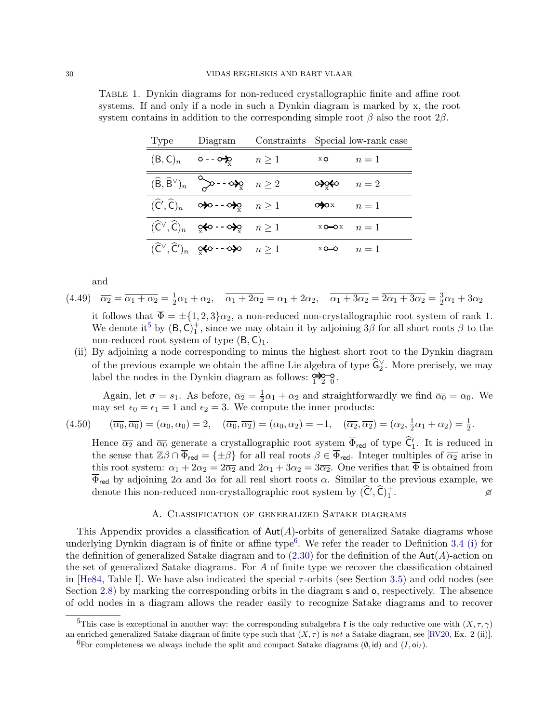| Type                | Diagram                                                                                                                                   |            | Constraints Special low-rank case |       |
|---------------------|-------------------------------------------------------------------------------------------------------------------------------------------|------------|-----------------------------------|-------|
| (B, C) <sub>n</sub> | ⊙ - - ୦ <del>‡</del> ୍ତ                                                                                                                   | $n \geq 1$ | x O                               | $n=1$ |
|                     | $(\widehat{\mathsf{B}},\widehat{\mathsf{B}}^{\vee})_n \quad \diamondsuit \rightarrow - \diamond \succcurlyeq_{\mathsf{X}} \quad n \geq 2$ |            |                                   | $n=2$ |
|                     | $(\widehat{C}', \widehat{C})_n$ $\varphi$ $\rightarrow$ $\varphi$ $n \geq 1$                                                              |            | Œ⊅ox                              | $n=1$ |
|                     |                                                                                                                                           |            | $x \rightarrow 0$ $n = 1$         |       |
|                     | $(\widehat{C}^{\vee}, \widehat{C}')_n$ $\circ \Leftrightarrow$ -- $\circ \blacktriangleright$ $n \geq 1$                                  |            | xo⇔o                              | $n=1$ |

<span id="page-31-1"></span>Table 1. Dynkin diagrams for non-reduced crystallographic finite and affine root systems. If and only if a node in such a Dynkin diagram is marked by x, the root system contains in addition to the corresponding simple root  $\beta$  also the root  $2\beta$ .

and

 $(4.49)$   $\overline{\alpha_2} = \overline{\alpha_1 + \alpha_2} = \frac{1}{2}$  $\frac{1}{2}\alpha_1 + \alpha_2$ ,  $\overline{\alpha_1 + 2\alpha_2} = \alpha_1 + 2\alpha_2$ ,  $\overline{\alpha_1 + 3\alpha_2} = \overline{2\alpha_1 + 3\alpha_2} = \frac{3}{2}$  $\frac{3}{2}\alpha_1+3\alpha_2$ 

it follows that  $\overline{\Phi} = \pm \{1, 2, 3\} \overline{\alpha_2}$ , a non-reduced non-crystallographic root system of rank 1. We denote it<sup>[5](#page-31-2)</sup> by  $(B, C)<sub>1</sub><sup>+</sup>$ , since we may obtain it by adjoining  $3\beta$  for all short roots  $\beta$  to the non-reduced root system of type  $(B, C)<sub>1</sub>$ .

(ii) By adjoining a node corresponding to minus the highest short root to the Dynkin diagram of the previous example we obtain the affine Lie algebra of type  $\hat{\mathsf{G}}_2^{\vee}$ . More precisely, we may label the nodes in the Dynkin diagram as follows:  $\frac{1}{2}$   $\frac{1}{2}$   $\frac{1}{2}$ 

Again, let  $\sigma = s_1$ . As before,  $\overline{\alpha_2} = \frac{1}{2}$  $\frac{1}{2}\alpha_1 + \alpha_2$  and straightforwardly we find  $\overline{\alpha_0} = \alpha_0$ . We may set  $\epsilon_0 = \epsilon_1 = 1$  and  $\epsilon_2 = 3$ . We compute the inner products:

$$
(4.50) \qquad (\overline{\alpha_0}, \overline{\alpha_0}) = (\alpha_0, \alpha_0) = 2, \quad (\overline{\alpha_0}, \overline{\alpha_2}) = (\alpha_0, \alpha_2) = -1, \quad (\overline{\alpha_2}, \overline{\alpha_2}) = (\alpha_2, \frac{1}{2}\alpha_1 + \alpha_2) = \frac{1}{2}.
$$

Hence  $\overline{\alpha_2}$  and  $\overline{\alpha_0}$  generate a crystallographic root system  $\overline{\Phi}_{\text{red}}$  of type  $\hat{\mathsf{C}}'_1$ . It is reduced in the sense that  $\mathbb{Z}\beta \cap \overline{\Phi}_{\text{red}} = {\pm \beta}$  for all real roots  $\beta \in \overline{\Phi}_{\text{red}}$ . Integer multiples of  $\overline{\alpha_2}$  arise in this root system:  $\overline{\alpha_1 + 2\alpha_2} = 2\overline{\alpha_2}$  and  $\overline{2\alpha_1 + 3\alpha_2} = 3\overline{\alpha_2}$ . One verifies that  $\overline{\Phi}$  is obtained from  $\overline{\Phi}_{\text{red}}$  by adjoining  $2\alpha$  and  $3\alpha$  for all real short roots  $\alpha$ . Similar to the previous example, we denote this non-reduced non-crystallographic root system by  $(\widehat{C}', \widehat{C})_1^+$ . 20 S

# A. Classification of generalized Satake diagrams

<span id="page-31-0"></span>This Appendix provides a classification of  $Aut(A)$ -orbits of generalized Satake diagrams whose underlying Dynkin diagram is of finite or affine type<sup>[6](#page-31-3)</sup>. We refer the reader to Definition [3.4](#page-16-0) [\(i\)](#page-16-2) for the definition of generalized Satake diagram and to  $(2.30)$  for the definition of the Aut $(A)$ -action on the set of generalized Satake diagrams. For A of finite type we recover the classification obtained in [\[He84,](#page-42-15) Table I]. We have also indicated the special  $\tau$ -orbits (see Section [3.5\)](#page-19-2) and odd nodes (see Section [2.8\)](#page-10-3) by marking the corresponding orbits in the diagram s and o, respectively. The absence of odd nodes in a diagram allows the reader easily to recognize Satake diagrams and to recover

<span id="page-31-2"></span><sup>&</sup>lt;sup>5</sup>This case is exceptional in another way: the corresponding subalgebra  $\mathfrak k$  is the only reductive one with  $(X, \tau, \gamma)$ an enriched generalized Satake diagram of finite type such that  $(X, \tau)$  is not a Satake diagram, see [\[RV20,](#page-43-5) Ex. 2 (ii)].

<span id="page-31-3"></span><sup>&</sup>lt;sup>6</sup>For completeness we always include the split and compact Satake diagrams  $(\emptyset, id)$  and  $(I, o_i)$ .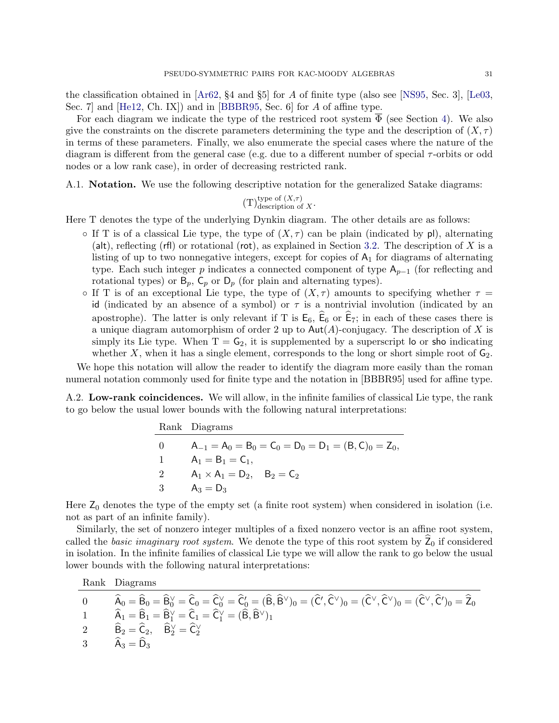the classification obtained in [\[Ar62,](#page-41-1) §4 and §5] for A of finite type (also see [\[NS95,](#page-43-7) Sec. 3], [\[Le03,](#page-42-24) Sec. 7] and [\[He12,](#page-42-0) Ch. IX]) and in [\[BBBR95,](#page-41-6) Sec. 6] for A of affine type.

For each diagram we indicate the type of the restriced root system  $\overline{\Phi}$  (see Section [4\)](#page-20-0). We also give the constraints on the discrete parameters determining the type and the description of  $(X, \tau)$ in terms of these parameters. Finally, we also enumerate the special cases where the nature of the diagram is different from the general case (e.g. due to a different number of special  $\tau$ -orbits or odd nodes or a low rank case), in order of decreasing restricted rank.

A.1. Notation. We use the following descriptive notation for the generalized Satake diagrams:

(T)<sup>type of</sup> 
$$
(X,\tau)
$$
  
description of X

Here T denotes the type of the underlying Dynkin diagram. The other details are as follows:

- $\circ$  If T is of a classical Lie type, the type of  $(X, \tau)$  can be plain (indicated by pl), alternating (alt), reflecting (rfl) or rotational (rot), as explained in Section [3.2.](#page-16-3) The description of  $X$  is a listing of up to two nonnegative integers, except for copies of  $A<sub>1</sub>$  for diagrams of alternating type. Each such integer p indicates a connected component of type  $A_{p-1}$  (for reflecting and rotational types) or  $B_p$ ,  $C_p$  or  $D_p$  (for plain and alternating types).
- If T is of an exceptional Lie type, the type of  $(X, \tau)$  amounts to specifying whether  $\tau =$ id (indicated by an absence of a symbol) or  $\tau$  is a nontrivial involution (indicated by an apostrophe). The latter is only relevant if T is  $E_6$ ,  $\hat{E}_6$  or  $\hat{E}_7$ ; in each of these cases there is a unique diagram automorphism of order 2 up to  $Aut(A)$ -conjugacy. The description of X is simply its Lie type. When  $T = G_2$ , it is supplemented by a superscript lo or sho indicating whether X, when it has a single element, corresponds to the long or short simple root of  $G_2$ .

We hope this notation will allow the reader to identify the diagram more easily than the roman numeral notation commonly used for finite type and the notation in [BBBR95] used for affine type.

A.2. Low-rank coincidences. We will allow, in the infinite families of classical Lie type, the rank to go below the usual lower bounds with the following natural interpretations:

|          | Rank Diagrams                                            |
|----------|----------------------------------------------------------|
| $\theta$ | $A_{-1} = A_0 = B_0 = C_0 = D_0 = D_1 = (B, C)_0 = Z_0,$ |
|          | $A_1 = B_1 = C_1$ ,                                      |
| -2       | $A_1 \times A_1 = D_2$ , $B_2 = C_2$                     |
| -3       | $A_3 = D_3$                                              |

Here  $Z_0$  denotes the type of the empty set (a finite root system) when considered in isolation (i.e. not as part of an infinite family).

Similarly, the set of nonzero integer multiples of a fixed nonzero vector is an affine root system, called the basic imaginary root system. We denote the type of this root system by  $\overline{Z}_0$  if considered in isolation. In the infinite families of classical Lie type we will allow the rank to go below the usual lower bounds with the following natural interpretations:

Rank Diagrams

$$
\begin{array}{ll} 0 \qquad & \widehat{A}_0 = \widehat{B}_0 = \widehat{B}_0^{\vee} = \widehat{C}_0 = \widehat{C}_0^{\vee} = \widehat{C}_0' = (\widehat{B},\widehat{B}^{\vee})_0 = (\widehat{C}',\widehat{C}^{\vee})_0 = (\widehat{C}^{\vee},\widehat{C}^{\vee})_0 = (\widehat{C}^{\vee},\widehat{C}^{\vee})_0 = \widehat{Z}_0 \\ 1 \qquad & \widehat{A}_1 = \widehat{B}_1 = \widehat{B}_1^{\vee} = \widehat{C}_1 = \widehat{C}_1^{\vee} = (\widehat{B},\widehat{B}^{\vee})_1 \\ 2 \qquad & \widehat{B}_2 = \widehat{C}_2, \quad \widehat{B}_2^{\vee} = \widehat{C}_2^{\vee} \\ 3 \qquad & \widehat{A}_3 = \widehat{D}_3 \end{array}
$$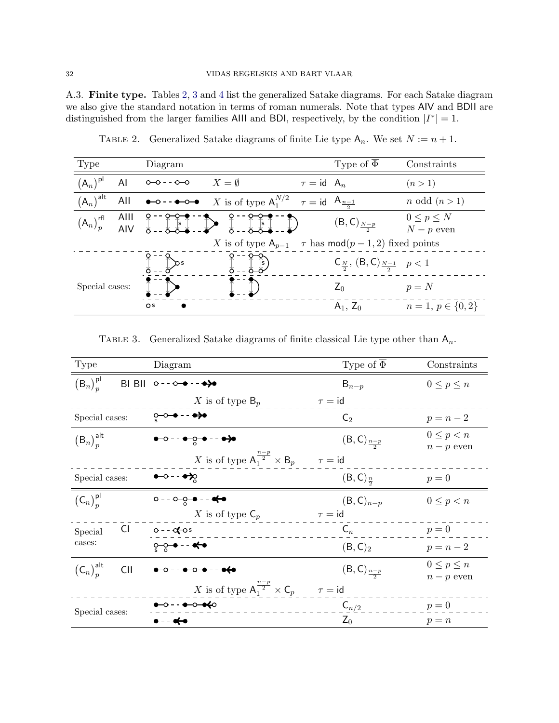<span id="page-33-0"></span>A.3. Finite type. Tables [2,](#page-33-1) [3](#page-33-2) and [4](#page-34-0) list the generalized Satake diagrams. For each Satake diagram we also give the standard notation in terms of roman numerals. Note that types AIV and BDII are distinguished from the larger families Alll and BDI, respectively, by the condition  $|I^*|=1$ .

<span id="page-33-1"></span>

| Type                                                        |     | Diagram                                                                                                                                                                                                                                                                                                                                             |                                                                                 |                 | Type of $\overline{\Phi}$                            | Constraints                     |
|-------------------------------------------------------------|-----|-----------------------------------------------------------------------------------------------------------------------------------------------------------------------------------------------------------------------------------------------------------------------------------------------------------------------------------------------------|---------------------------------------------------------------------------------|-----------------|------------------------------------------------------|---------------------------------|
| $(A_n)^{pl}$                                                | AI  | $0 - 0 - - 0 - 0$                                                                                                                                                                                                                                                                                                                                   | $X = \emptyset$                                                                 | $\tau = id A_n$ |                                                      | (n > 1)                         |
| $(A_n)^{alt}$                                               | AII | $\begin{picture}(150,10) \put(0,0){\line(1,0){10}} \put(15,0){\line(1,0){10}} \put(15,0){\line(1,0){10}} \put(15,0){\line(1,0){10}} \put(15,0){\line(1,0){10}} \put(15,0){\line(1,0){10}} \put(15,0){\line(1,0){10}} \put(15,0){\line(1,0){10}} \put(15,0){\line(1,0){10}} \put(15,0){\line(1,0){10}} \put(15,0){\line(1,0){10}} \put(15,0){\line($ | X is of type $A_1^{N/2}$ $\tau = id$ $A_{\frac{n-1}{2}}$                        |                 |                                                      | $n \text{ odd } (n > 1)$        |
| $(A_n)_p^{\text{rfl}}$ Alll $\underset{\Delta=-1}{\otimes}$ |     |                                                                                                                                                                                                                                                                                                                                                     | $\left[\begin{array}{cc} \times & \times \\ \times & \times \end{array}\right]$ |                 | $(B, C)_{N-p}$                                       | $0 \leq p \leq N$<br>$N-p$ even |
|                                                             |     |                                                                                                                                                                                                                                                                                                                                                     | X is of type $A_{p-1}$ $\tau$ has mod $(p-1,2)$ fixed points                    |                 |                                                      |                                 |
|                                                             |     |                                                                                                                                                                                                                                                                                                                                                     |                                                                                 |                 | $C_{\frac{N}{2}}$ , $(B, C)_{\frac{N-1}{2}}$ $p < 1$ |                                 |
| Special cases:                                              |     |                                                                                                                                                                                                                                                                                                                                                     |                                                                                 |                 | $Z_0$                                                | $p = N$                         |
|                                                             |     | $\circ$                                                                                                                                                                                                                                                                                                                                             |                                                                                 |                 | $A_1, Z_0$                                           | $n=1, p \in \{0,2\}$            |

TABLE 2. Generalized Satake diagrams of finite Lie type  $A_n$ . We set  $N := n + 1$ .

TABLE 3. Generalized Satake diagrams of finite classical Lie type other than  $A_n$ .

<span id="page-33-2"></span>

| Type                                 | Diagram                                                       | Type of $\overline{\Phi}$ | Constraints                     |
|--------------------------------------|---------------------------------------------------------------|---------------------------|---------------------------------|
| $(B_n)_n^{\sf pl}$                   | BI BII 0 - - 0 → - - →→                                       | $B_{n-p}$                 | $0 \leq p \leq n$               |
|                                      | X is of type $B_p$                                            | $\tau = id$               |                                 |
| Special cases:                       | ू-०-● - - ●→                                                  | $\mathsf{C}_2$            | $p = n - 2$                     |
| $(B_n)_n^{\text{alt}}$               | $\bullet$ - - $\bullet$ - $\bullet$ - - $\bullet$ - $\bullet$ | $(B, C)_{\frac{n-p}{2}}$  | $0 \leq p < n$<br>$n-p$ even    |
|                                      | X is of type $A_1^{\frac{n-p}{2}} \times B_p$ $\tau = id$     |                           |                                 |
| Special cases:                       | $\bullet$ - - $\bullet$ $\bullet$                             | $(B, C)_{\frac{n}{2}}$    | $p=0$                           |
| $(C_n)_n^{\sf pl}$                   | $0 - 0$ - $0 - 0 - 0$                                         | $(B, C)_{n-p}$            | $0 \leq p < n$                  |
|                                      | X is of type $\mathsf{C}_p$                                   | $\tau = id$               |                                 |
| CI<br>Special                        | $0 - -$ of $\cos$                                             | $\mathsf{C}_n$            | $p=0$                           |
| cases:                               | ू−ू→ - - <del>≮</del> ∙                                       | (B, C) <sub>2</sub>       | $p = n - 2$                     |
| $(C_n)_n^{\text{alt}}$<br><b>CII</b> | $-0 -  -0 - 0 - - -$                                          | $(B, C)_{\frac{n-p}{2}}$  | $0 \leq p \leq n$<br>$n-p$ even |
|                                      | X is of type $A_1^{\frac{n-p}{2}} \times C_p$ $\tau = id$     |                           |                                 |
| Special cases:                       | <b>●-○--●-○-●<del>(</del>○</b>                                | $\mathsf{C}_{n/2}$        | $p=0$                           |
|                                      | •-- ≪-•                                                       | $Z_0$                     | $p = n$                         |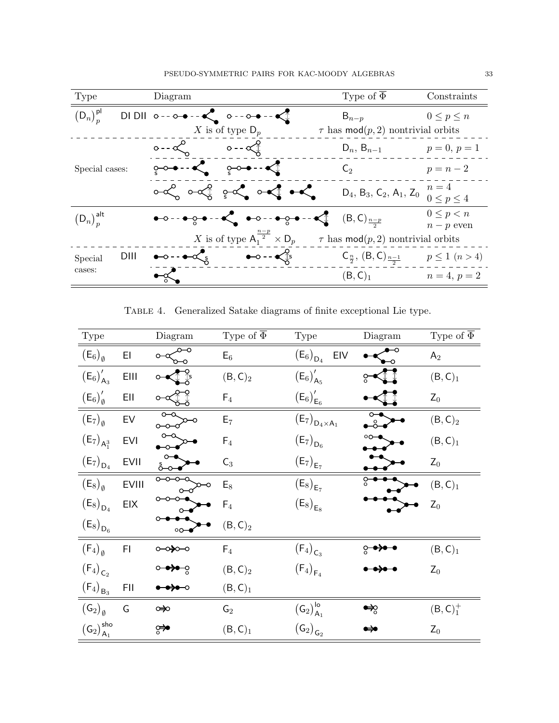| Type                   | Diagram                                                                                     | Type of $\overline{\Phi}$                   | Constraints                  |
|------------------------|---------------------------------------------------------------------------------------------|---------------------------------------------|------------------------------|
| $(D_n)_n^{\sf pl}$     | DIDII $0--0--\& 0--0--\&$                                                                   | $B_{n-p}$                                   | $0 \leq p \leq n$            |
|                        | X is of type $D_p$                                                                          | $\tau$ has mod $(p, 2)$ nontrivial orbits   |                              |
|                        | $0 - \alpha$<br>$\circ$ - - $\propto$                                                       | $D_n$ , $B_{n-1}$                           | $p = 0, p = 1$               |
| Special cases:         |                                                                                             | $\mathsf{C}_2$                              | $p = n - 2$                  |
|                        |                                                                                             | $D_4$ , $B_3$ , $C_2$ , $A_1$ , $Z_0$       | $n=4$<br>$0 \leq p \leq 4$   |
| $(D_n)_n^{\text{alt}}$ | $\bullet$ -- $\bullet$ - $\bullet$ -- $\bullet$ -- $\bullet$ -- $\bullet$                   | $(\mathsf{B},\mathsf{C})_{\frac{n-p}{n-p}}$ | $0 \leq p < n$<br>$n-p$ even |
|                        | X is of type $A_1^{\frac{n-p}{2}} \times D_p$                                               | $\tau$ has mod $(p, 2)$ nontrivial orbits   |                              |
| DIII<br>Special        | $\bullet$ - $\bullet$ $\uparrow$ s<br>$\bullet$ $\circ$ $\cdot$ $\bullet$ $\propto$ $\circ$ | $C_{\frac{n}{2}}, (B, C)_{\frac{n-1}{2}}$   | $p \leq 1 \ (n > 4)$         |
| cases:                 | $-\infty$                                                                                   | (B, C) <sub>1</sub>                         | $n = 4, p = 2$               |

Table 4. Generalized Satake diagrams of finite exceptional Lie type.

<span id="page-34-0"></span>

| Type                                                      |              | Diagram         | Type of $\overline{\Phi}$   | Type                                                         | Diagram       | Type of $\overline{\Phi}$ |
|-----------------------------------------------------------|--------------|-----------------|-----------------------------|--------------------------------------------------------------|---------------|---------------------------|
| $(E_6)_{\emptyset}$                                       | EI           |                 | $E_6$                       | $\left(\mathsf{E}_6\right)_{\mathsf{D}_4}$<br>EIV            |               | A <sub>2</sub>            |
| $(E_6)'_{A_3}$                                            | EIII         |                 | (B, C) <sub>2</sub>         | $(E_6)'_{A_5}$                                               |               | (B, C) <sub>1</sub>       |
| $(E_6)'_{\emptyset}$                                      | EII          |                 | $\mathsf{F}_4$              | $(E_6)'_{E_6}$                                               |               | $Z_0$                     |
| $(E_7)_{\emptyset}$                                       | EV           | ⊶               | $E_7$                       | $\left(\mathsf{E}_7\right)_{\mathsf{D}_4\times\mathsf{A}_1}$ | $\frac{1}{2}$ | (B, C) <sub>2</sub>       |
| $(E_7)_{A_1^3}$                                           | <b>EVI</b>   |                 | $\mathsf{F}_4$              | $(E_7)_{D_6}$                                                |               | (B, C) <sub>1</sub>       |
| $(E_7)_{D_4}$                                             | <b>EVII</b>  |                 | $C_3$                       | $\left(\mathsf{E}_7\right)_{\mathsf{E}_7}$                   |               | $Z_0$                     |
| $(E_8)_{\emptyset}$                                       | <b>EVIII</b> |                 | $E_8$                       | $(E_8)_{E_7}$                                                |               | (B, C) <sub>1</sub>       |
| $\left(\mathsf{E}_8\right)_{\mathsf{D}_4}$                | <b>EIX</b>   |                 | $\mathsf{F}_4$              | $\left(\mathsf{E}_8\right)_{\mathsf{E}_8}$                   |               | $Z_0$                     |
| $\left(\mathsf{E}_8\right)_{\mathsf{D}_6}$                |              | $\circ$ $\circ$ | $(\mathsf{B},\mathsf{C})_2$ |                                                              |               |                           |
| $(F_4)_{\emptyset}$                                       | FI.          | ⇔⊷              | $F_4$                       | $(F_4)_{C_3}$                                                |               | (B, C) <sub>1</sub>       |
| $\left(\mathsf{F}_{4}\right)_{\mathsf{C}_2}$              |              |                 | $(B, C)_2$                  | $(F_4)_{F_4}$                                                |               | $Z_0$                     |
| $\left(\mathsf{F}_{4}\right)_{\mathsf{B}_{3}}$            | FII          |                 | (B, C) <sub>1</sub>         |                                                              |               |                           |
| $(\mathsf{G}_2)_{\emptyset}$                              | G            | ∞               | $\mathsf{G}_2$              | $\left(\mathsf{G}_2\right)_{\mathsf{A}_1}^{\mathsf{lo}}$     | ⇔ू            | (B, C) <sub>1</sub>       |
| $\left(\mathsf{G}_2\right)_{\mathsf{A}_1}^{\mathsf{sho}}$ |              | ਼≫              | (B, C) <sub>1</sub>         | $\left(\mathsf{G}_2\right)_{\mathsf{G}_2}$                   |               | $Z_0$                     |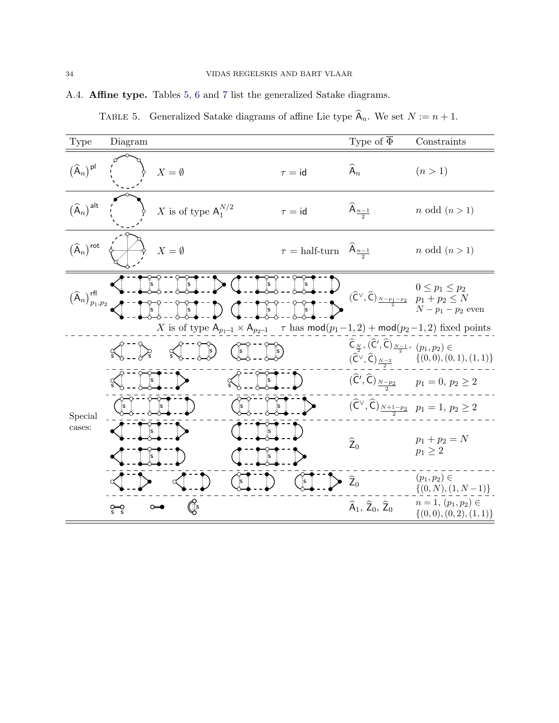# <span id="page-35-1"></span><span id="page-35-0"></span>A.4. Affine type. Tables [5,](#page-35-1) [6](#page-36-0) and [7](#page-40-0) list the generalized Satake diagrams.

|  |  | TABLE 5. Generalized Satake diagrams of affine Lie type $A_n$ . We set $N := n + 1$ . |
|--|--|---------------------------------------------------------------------------------------|

| Type                                                 | Diagram                                                                                         |                                               | Type of $\overline{\Phi}$                                                                                            | Constraints                                                                                                                |
|------------------------------------------------------|-------------------------------------------------------------------------------------------------|-----------------------------------------------|----------------------------------------------------------------------------------------------------------------------|----------------------------------------------------------------------------------------------------------------------------|
| $(\widehat{A}_n)^{pl}$                               | $X = \emptyset$                                                                                 | $\tau = id$                                   | $\widehat{A}_n$                                                                                                      | (n>1)                                                                                                                      |
| $(\widehat{A}_n)^{alt}$                              | X is of type $A_1^{N/2}$                                                                        | $\tau = id$                                   | $\widehat{A}_{n-1}$                                                                                                  | $n \text{ odd } (n>1)$                                                                                                     |
| $\left(\widehat{\mathsf{A}}_n\right)^\mathsf{rot}$   | $X=\emptyset$                                                                                   | $\tau = \text{half-turn}$ $A_{\frac{n-1}{2}}$ |                                                                                                                      | <i>n</i> odd $(n > 1)$                                                                                                     |
| $\left(\widehat{\sf A}_n\right)_{p_1,p_2}^{\sf rfl}$ |                                                                                                 |                                               |                                                                                                                      | $0\leq p_1\leq p_2$<br>$(\widehat{C}^{\vee}, \widehat{C})_{\frac{N-p_1-p_2}{2}}$ $p_1 + p_2 \le N$<br>$N - p_1 - p_2$ even |
|                                                      | X is of type $A_{p_1-1} \times A_{p_2-1}$ $\tau$ has $mod(p_1-1,2) + mod(p_2-1,2)$ fixed points |                                               |                                                                                                                      |                                                                                                                            |
|                                                      | $\sqrt{2}$<br>$\hat{s}$                                                                         |                                               | $\widehat{\mathsf{C}}_{\frac{N}{2}}, \widehat{(\mathsf{C}', \widehat{\mathsf{C}})}_{\frac{N-1}{2}}, \ p_1, p_2) \in$ | $(\widehat{C}^{\vee}, \widehat{C})_{\frac{N-2}{2}}$ $\{(0,0), (0,1), (1,1)\}\$                                             |
|                                                      | $\int$ s<br>$\propto$                                                                           |                                               |                                                                                                                      | $(\widehat{C}', \widehat{C})_{\frac{N-p_2}{2}}$ $p_1 = 0, p_2 \ge 2$                                                       |
| Special                                              | $\hat{s}$<br>$\lceil s \rceil$<br>$\overline{\mathbf{s}}$                                       | s                                             |                                                                                                                      | $(\widehat{C}^{\vee}, \widehat{C})_{\frac{N+1-p_2}{2}}$ $p_1 = 1, p_2 \ge 2$                                               |
| cases:                                               | s                                                                                               | ls.                                           | $\widehat{Z}_0$                                                                                                      | $p_1 + p_2 = N$<br>$p_1 \geq 2$                                                                                            |
|                                                      |                                                                                                 |                                               | $\widehat{Z}_0$                                                                                                      | $(p_1, p_2) \in$<br>$\{(0, N), (1, N-1)\}\$                                                                                |
|                                                      | Œ                                                                                               |                                               | $\widehat{A}_1$ , $\widehat{Z}_0$ , $\widehat{Z}_0$                                                                  | $n=1, (p_1, p_2) \in$<br>$\{(0,0), (0,2), (1,1)\}\$                                                                        |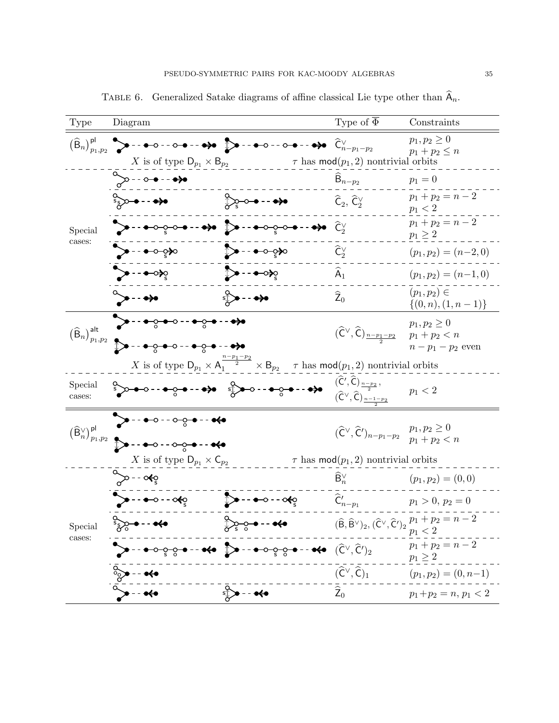<span id="page-36-0"></span>

| Type                                                            | Diagram                                                                                                                                                                                                                                                                                                             |                                                                                                                                                                                                            | Type of $\overline{\Phi}$                                                                                                                       | Constraints                                                                                                                                              |
|-----------------------------------------------------------------|---------------------------------------------------------------------------------------------------------------------------------------------------------------------------------------------------------------------------------------------------------------------------------------------------------------------|------------------------------------------------------------------------------------------------------------------------------------------------------------------------------------------------------------|-------------------------------------------------------------------------------------------------------------------------------------------------|----------------------------------------------------------------------------------------------------------------------------------------------------------|
|                                                                 | X is of type $D_{p_1} \times B_{p_2}$                                                                                                                                                                                                                                                                               |                                                                                                                                                                                                            | $\tau$ has mod $(p_1, 2)$ nontrivial orbits                                                                                                     | $p_1, p_2 \geq 0$<br>$p_1 + p_2 \leq n$                                                                                                                  |
|                                                                 | $\sim -0$ - - - $\leftrightarrow$                                                                                                                                                                                                                                                                                   |                                                                                                                                                                                                            | $B_{n-p_2}$                                                                                                                                     | $p_1 = 0$                                                                                                                                                |
|                                                                 | $\frac{1}{2}$ $\frac{1}{2}$ $\frac{1}{2}$ $\frac{1}{2}$ $\frac{1}{2}$ $\frac{1}{2}$ $\frac{1}{2}$ $\frac{1}{2}$ $\frac{1}{2}$ $\frac{1}{2}$ $\frac{1}{2}$ $\frac{1}{2}$ $\frac{1}{2}$ $\frac{1}{2}$ $\frac{1}{2}$ $\frac{1}{2}$ $\frac{1}{2}$ $\frac{1}{2}$ $\frac{1}{2}$ $\frac{1}{2}$ $\frac{1}{2}$ $\frac{1}{2}$ | $\sum_{\alpha} \sigma$ - - $\rightarrow \infty$                                                                                                                                                            | $\widehat{\mathsf{C}}_2, \widehat{\mathsf{C}}_2^{\vee}$                                                                                         | $p_1 + p_2 = n - 2$<br>$p_1 < 2$                                                                                                                         |
| Special<br>cases:                                               | <del>V - - • ⊙ <sub>♡</sub> ⊙ • - - •≫</del> D - - • ⊙ <sub>♡</sub> - • - •→                                                                                                                                                                                                                                        |                                                                                                                                                                                                            | $\widehat{C}_2^{\vee}$                                                                                                                          | $p_1 + p_2 = n - 2$<br>$p_1\geq 2$                                                                                                                       |
|                                                                 | $\rightarrow  \rightarrow \infty$                                                                                                                                                                                                                                                                                   | ∑> - - <del>०</del> ० २२०                                                                                                                                                                                  | $\widehat{\mathsf{C}}_{2}^{\vee}$                                                                                                               | $(p_1, p_2) = (n-2, 0)$                                                                                                                                  |
|                                                                 | ेू∙-- ⊷≽ू                                                                                                                                                                                                                                                                                                           | ि -- <del>•</del> ीर्                                                                                                                                                                                      | $\widehat{A}_1$                                                                                                                                 | $(p_1, p_2) = (n-1, 0)$                                                                                                                                  |
|                                                                 | ≫∙∙∙                                                                                                                                                                                                                                                                                                                | $\int$ - $\rightarrow$                                                                                                                                                                                     | $\widehat{Z}_0$                                                                                                                                 | $(p_1, p_2) \in$<br>$\{(0, n), (1, n-1)\}\$                                                                                                              |
| $\left(\widehat{\mathsf{B}}_n\right)_{p_1,p_2}^{\mathsf{alt}}$  | <del>≻--•ୃ•</del> ∘-- <del>•ୃ•</del> -- <del>•</del> ≽•                                                                                                                                                                                                                                                             |                                                                                                                                                                                                            | $(\widehat{\mathsf{C}}^\vee, \widehat{\mathsf{C}})_{\frac{n-p_1-p_2}{2}}$                                                                       | $p_1, p_2 \geq 0$<br>$p_1 + p_2 < n$<br>$n-p_1-p_2$ even                                                                                                 |
|                                                                 |                                                                                                                                                                                                                                                                                                                     | X is of type $D_{p_1} \times A_1^{\frac{n-p_1-p_2}{2}} \times B_{p_2}$ $\tau$ has $\text{mod}(p_1, 2)$ nontrivial orbits                                                                                   |                                                                                                                                                 |                                                                                                                                                          |
| Special<br>cases:                                               | $\sum_{i=1}^{n} a_i a_i a_i + \sum_{i=1}^{n} a_i a_i a_i + \sum_{i=1}^{n} a_i a_i a_i + \sum_{i=1}^{n} a_i a_i a_i + \sum_{i=1}^{n} a_i a_i a_i$                                                                                                                                                                    |                                                                                                                                                                                                            | $(\widehat{\mathsf{C}}', \widehat{\mathsf{C}})_{\frac{n-p_2}{2}},$<br>$(\widehat{\mathsf{C}}^{\vee}, \widehat{\mathsf{C}})_{\frac{n-1-p_2}{2}}$ | $p_1 < 2$                                                                                                                                                |
| $\big(\widehat{\mathsf{B}}^\vee_n\big)^{\mathsf{pl}}_{p_1,p_2}$ | $\rightarrow - - - - - - - - -$                                                                                                                                                                                                                                                                                     |                                                                                                                                                                                                            | $(\widehat{\mathsf{C}}^\vee, \widehat{\mathsf{C}}')_{n-p_1-p_2}$                                                                                | $p_1, p_2 \geq 0$<br>$p_1 + p_2 < n$                                                                                                                     |
|                                                                 | X is of type $D_{p_1} \times C_{p_2}$                                                                                                                                                                                                                                                                               |                                                                                                                                                                                                            | $\tau$ has mod $(p_1, 2)$ nontrivial orbits                                                                                                     |                                                                                                                                                          |
|                                                                 | "≫-- ం≰్ష                                                                                                                                                                                                                                                                                                           |                                                                                                                                                                                                            | $\widehat{\mathsf{B}}^\vee_n$                                                                                                                   | $(p_1, p_2) = (0, 0)$                                                                                                                                    |
|                                                                 | $\rightarrow - - - \diamond + \diamond$                                                                                                                                                                                                                                                                             | ∑> - - <del>-</del> - - ం≰్ర                                                                                                                                                                               | $\widehat{\mathsf{C}}'_{n-p_1}$                                                                                                                 | $p_1 > 0, p_2 = 0$                                                                                                                                       |
| Special                                                         | $\frac{1}{2}$                                                                                                                                                                                                                                                                                                       | $\lambda$<br>మేం——— <del>•</del>                                                                                                                                                                           |                                                                                                                                                 | $(\widehat{\mathsf{B}}, \widehat{\mathsf{B}}^{\vee})_2$ , $(\widehat{\mathsf{C}}^{\vee}, \widehat{\mathsf{C}}')_2$ , $\frac{p_1 + p_2 = n - 2}{p_1 < 2}$ |
| cases:                                                          |                                                                                                                                                                                                                                                                                                                     | $\circ\circ\circ\bullet\hspace{0.05cm}\bullet\hspace{0.05cm}\bullet\hspace{0.05cm}\bullet\hspace{0.05cm}\bullet\hspace{0.05cm}\bullet\hspace{0.05cm}(\widehat{\mathsf{C}}^{\vee},\widehat{\mathsf{C}}')_2$ |                                                                                                                                                 | $p_1 + p_2 = n - 2$<br>$p_1\geq 2$                                                                                                                       |
|                                                                 | <b>992</b>                                                                                                                                                                                                                                                                                                          |                                                                                                                                                                                                            | $(\widehat{\mathsf{C}}^\vee,\widehat{\mathsf{C}})_1$                                                                                            | $(p_1, p_2) = (0, n-1)$                                                                                                                                  |
|                                                                 |                                                                                                                                                                                                                                                                                                                     | $\bullet$ - $\bullet \leftrightarrow$                                                                                                                                                                      | $\widehat{\mathsf{Z}}_0$                                                                                                                        | $p_1+p_2=n, p_1<2$                                                                                                                                       |

TABLE 6. Generalized Satake diagrams of affine classical Lie type other than  $\widehat{A}_n$ .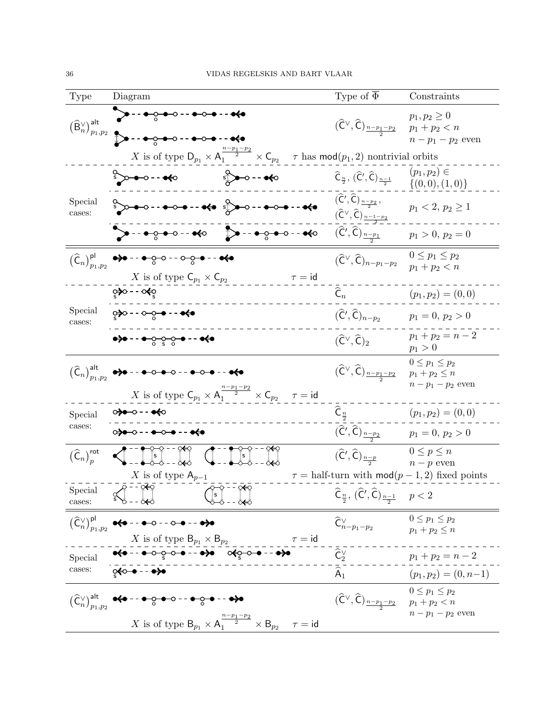| Type                                                                        | Diagram                                                                                                                                                                                                                                                                                                                                                                                                                                                                                   | Type of $\overline{\Phi}$                                                                                                                      | Constraints                                                   |
|-----------------------------------------------------------------------------|-------------------------------------------------------------------------------------------------------------------------------------------------------------------------------------------------------------------------------------------------------------------------------------------------------------------------------------------------------------------------------------------------------------------------------------------------------------------------------------------|------------------------------------------------------------------------------------------------------------------------------------------------|---------------------------------------------------------------|
| $\big(\widehat{\mathsf{B}}^\vee_n\big)_{p_1,p_2}^{\mathsf{alt}}$            | <del>ွ•</del> ၀--••၀•                                                                                                                                                                                                                                                                                                                                                                                                                                                                     | $(\widehat{\mathsf{C}}^{\vee}, \widehat{\mathsf{C}})_{\frac{n-p_1-p_2}{2}}$                                                                    | $p_1, p_2 \geq 0$<br>$p_1 + p_2 < n$<br>$n-p_1-p_2$ even      |
|                                                                             | X is of type $D_{p_1} \times A_1^{\frac{n-p_1-p_2}{2}} \times C_{p_2}$ $\tau$ has mod $(p_1, 2)$ nontrivial orbits                                                                                                                                                                                                                                                                                                                                                                        |                                                                                                                                                |                                                               |
|                                                                             | $\sum_{i=1}^{n}$                                                                                                                                                                                                                                                                                                                                                                                                                                                                          | $\widehat{\mathsf{C}}_{\frac{n}{2}}, \, (\widehat{\mathsf{C}}', \widehat{\mathsf{C}})_{\frac{n-1}{2}}$                                         | $(p_1, p_2) \in$<br>$\{(0,0),(1,0)\}$                         |
| Special<br>cases:                                                           | $\int_{0}^{\infty}$ , $\int_{0}^{\infty}$ , $\int_{0}^{\infty}$ , $\int_{0}^{\infty}$ , $\int_{0}^{\infty}$ , $\int_{0}^{\infty}$ , $\int_{0}^{\infty}$ , $\int_{0}^{\infty}$ , $\int_{0}^{\infty}$ , $\int_{0}^{\infty}$ , $\int_{0}^{\infty}$ , $\int_{0}^{\infty}$ , $\int_{0}^{\infty}$ , $\int_{0}^{\infty}$ , $\int_{0}^{\infty}$                                                                                                                                                   | $(\widehat{\mathsf{C}}',\widehat{\mathsf{C}})_{\frac{n-p_2}{2}},$<br>$(\widehat{\mathsf{C}}^{\vee}, \widehat{\mathsf{C}})_{\frac{n-1-p_2}{2}}$ | $p_1 < 2, p_2 \geq 1$                                         |
|                                                                             | $\rightarrow - + \circ - - + \circ$ $\rightarrow - + \circ - - + \circ$                                                                                                                                                                                                                                                                                                                                                                                                                   | $(\widehat{\mathsf{C}}', \widehat{\mathsf{C}})_{\frac{n-p_1}{2}}$                                                                              | $p_1 > 0, p_2 = 0$                                            |
|                                                                             | $(\widehat{C}_n)_{p_1,p_2}^{\text{pl}}$ $\leftrightarrow$ -- $\bullet$ -- $\bullet$ -- $\circ$ -- $\bullet$ -- $\bullet$<br>X is of type $\mathsf{C}_{p_1} \times \mathsf{C}_{p_2}$<br>$\tau = id$                                                                                                                                                                                                                                                                                        | $(\widehat{\mathsf{C}}^\vee, \widehat{\mathsf{C}})_{n-p_1-p_2}$                                                                                | $0 \leq p_1 \leq p_2$<br>$p_1 + p_2 < n$                      |
|                                                                             | <b>्≯ः - ≪</b> ़                                                                                                                                                                                                                                                                                                                                                                                                                                                                          | $\overline{\hat{\mathsf{C}}}_n$                                                                                                                | $(p_1, p_2) = (0, 0)$                                         |
| Special<br>cases:                                                           | <b>့∌</b> ၀ - - ၀–ဂ္ဂ⊸ - - <del>•≮</del> •                                                                                                                                                                                                                                                                                                                                                                                                                                                | $(\widehat{\mathsf{C}}', \widehat{\mathsf{C}})_{n-p_2}$                                                                                        | $p_1 = 0, p_2 > 0$                                            |
|                                                                             | $\bullet \bullet - - \bullet - \circ - \circ - \bullet - - \bullet \bullet \bullet$                                                                                                                                                                                                                                                                                                                                                                                                       | $(\widehat{\mathsf{C}}^{\vee},\widehat{\mathsf{C}})_2$                                                                                         | $p_1 + p_2 = n - 2$<br>$p_1 > 0$                              |
|                                                                             | $\big(\widehat{\mathsf{C}}_n\big)_{p_1,p_2}^{\text{alt}}$ $\bullet\hspace{-0.1cm}\bullet\hspace{-0.1cm}\bullet\hspace{-0.1cm}\bullet\hspace{-0.1cm}\bullet\hspace{-0.1cm}\bullet\hspace{-0.1cm}\bullet\hspace{-0.1cm}\bullet\hspace{-0.1cm}\bullet\hspace{-0.1cm}\bullet\hspace{-0.1cm}\bullet\hspace{-0.1cm}\bullet\hspace{-0.1cm}\bullet\hspace{-0.1cm}\bullet\hspace{-0.1cm}\bullet\hspace{-0.1cm}\bullet\hspace{-0.1cm}\bullet\hspace{-0.1cm}\bullet\hspace{-0.1cm}\bullet\hspace{-0$ | $(\widehat{\mathsf{C}}^\vee,\widehat{\mathsf{C}})_{\frac{n-p_1-p_2}{2}}$                                                                       | $0\leq p_1\leq p_2$<br>$p_1 + p_2 \leq n$<br>$n-p_1-p_2$ even |
|                                                                             | X is of type $C_{p_1} \times A_1^{\frac{n-p_1-p_2}{2}} \times C_{p_2}$<br>$\tau = id$                                                                                                                                                                                                                                                                                                                                                                                                     |                                                                                                                                                |                                                               |
| Special<br>cases:                                                           | 0 <del>≱</del> •−0 - - ● <del>&lt;</del> 0                                                                                                                                                                                                                                                                                                                                                                                                                                                | $\widehat{\mathsf{C}}_{\frac{n}{2}}$                                                                                                           | $(p_1, p_2) = (0, 0)$                                         |
|                                                                             | $0 + 0 - 0 - 0 - 0 - 0 - 0$                                                                                                                                                                                                                                                                                                                                                                                                                                                               | $(\widehat{\mathsf{C}}', \widehat{\mathsf{C}})_{\frac{n-p_2}{2}}$                                                                              | $p_1 = 0, p_2 > 0$                                            |
| $\left(\widehat{\mathsf{C}}_n\right)_{n}^{\mathsf{rot}}$                    | $\left\{ \begin{array}{c} -500 - 0.060 \\ -1.000 - 0.060 \end{array} \right\}$                                                                                                                                                                                                                                                                                                                                                                                                            | $(\widehat{\mathsf{C}}', \widehat{\mathsf{C}})_{\frac{n-p}{2}}$                                                                                | $0\leq p\leq n$<br>$n-p$ even                                 |
|                                                                             | X is of type $A_{p-1}$<br>्≽ू - - ्रू                                                                                                                                                                                                                                                                                                                                                                                                                                                     |                                                                                                                                                | $\tau =$ half-turn with $mod(p-1,2)$ fixed points             |
| Special<br>cases:                                                           | $\sqrt{\frac{2}{5}}$ - $\frac{96}{1}$<br>$58 - 88$<br>$\frac{1}{2}$ - $\frac{1}{2}$                                                                                                                                                                                                                                                                                                                                                                                                       | $\widehat{\mathsf{C}}_{\frac{n}{2}}, \, (\widehat{\mathsf{C}}', \widehat{\mathsf{C}})_{\frac{n-1}{2}} \quad p < 2$                             |                                                               |
|                                                                             | $(\widehat{C}_n^{\vee})_{p_1,p_2}^{\mathsf{pl}}$ $\leftrightarrow$ -- $\rightarrow$ -- $\rightarrow$ -- $\leftrightarrow$<br>X is of type $B_{p_1} \times B_{p_2}$<br>$\tau = -\frac{\tau}{\tau}$                                                                                                                                                                                                                                                                                         | $\widehat{\mathsf{C}}^\vee_{n-p_1-p_2}$                                                                                                        | $0 \leq p_1 \leq p_2$<br>$p_1 + p_2 \leq n$                   |
| Special                                                                     |                                                                                                                                                                                                                                                                                                                                                                                                                                                                                           | $\widehat{\mathsf{C}}^\vee_2$                                                                                                                  | $p_1 + p_2 = n - 2$                                           |
| cases:                                                                      | ू≰०–● – – ●→●                                                                                                                                                                                                                                                                                                                                                                                                                                                                             | $\widehat{A}_1$                                                                                                                                | $(p_1, p_2) = (0, n-1)$                                       |
| $\left(\widehat{\mathsf{C}}_{n}^{\vee}\right)_{p_{1},p_{2}}^{\mathsf{alt}}$ | <del>•&lt;•</del> - - <del>• ○ • ○</del> - - <del>• ○ •</del> - - <del>• &gt;</del> •                                                                                                                                                                                                                                                                                                                                                                                                     | $(\widehat{\mathsf{C}}^{\vee}, \widehat{\mathsf{C}})_{\frac{n-p_1-p_2}{2}}$ $p_1 + p_2 < n$                                                    | $0\leq p_1\leq p_2$                                           |
|                                                                             | X is of type $B_{p_1} \times A_1^{\frac{n-p_1-p_2}{2}} \times B_{p_2}$<br>$\tau = id$                                                                                                                                                                                                                                                                                                                                                                                                     |                                                                                                                                                | $n-p_1-p_2$ even                                              |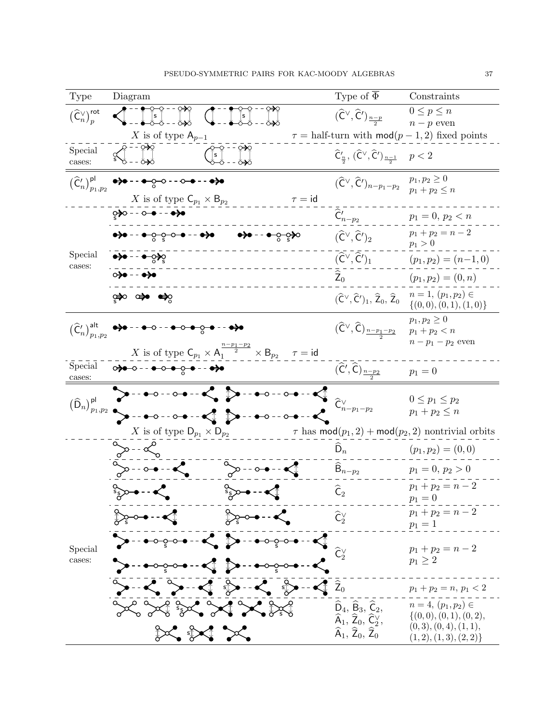| Type                                                                  | Diagram                                                                                                                                                                                                                                                                                                                                                                             | Type of $\overline{\Phi}$                                                                                                    | Constraints                                              |
|-----------------------------------------------------------------------|-------------------------------------------------------------------------------------------------------------------------------------------------------------------------------------------------------------------------------------------------------------------------------------------------------------------------------------------------------------------------------------|------------------------------------------------------------------------------------------------------------------------------|----------------------------------------------------------|
| $\left(\widehat{\mathsf{C}}_{n}^{\vee}\right)_{p}^{\mathsf{rot}}$     | $\int_{x}^{\infty}$ $\int_{x}^{\infty}$ $\int_{x}^{\infty}$                                                                                                                                                                                                                                                                                                                         | $(\widehat{\mathsf{C}}^{\vee}, \widehat{\mathsf{C}}')_{\frac{n-p}{2}}$                                                       | $0 \leq p \leq n$<br>$n-p$ even                          |
|                                                                       | X is of type $A_{p-1}$                                                                                                                                                                                                                                                                                                                                                              |                                                                                                                              | $\tau =$ half-turn with $mod(p-1,2)$ fixed points        |
| Special<br>cases:                                                     | $\frac{1}{2}$ - - 020<br>0−0 - - 0≯0<br> s  <br>0−0 - - 0→0                                                                                                                                                                                                                                                                                                                         | $\widehat{\mathsf{C}}'_{\frac{n}{2}}, \, (\widehat{\mathsf{C}}^\vee, \widehat{\mathsf{C}}')_{\frac{n-1}{2}}$                 | p < 2                                                    |
| $\left(\widehat{\mathsf{C}}'_n\right)_{p_1,p_2}^{\mathsf{pl}}$        | $\rightarrow\rightarrow$ - - $\rightarrow\rightarrow\rightarrow\rightarrow\rightarrow$                                                                                                                                                                                                                                                                                              | $(\widehat{\mathsf{C}}^\vee, \widehat{\mathsf{C}}')_{n-p_1-p_2}$                                                             | $p_1, p_2 \geq 0$<br>$p_1 + p_2 \leq n$                  |
|                                                                       | X is of type $\mathsf{C}_{p_1} \times \mathsf{B}_{p_2}$<br>$\tau = id$                                                                                                                                                                                                                                                                                                              |                                                                                                                              |                                                          |
|                                                                       | ्≱ः - - ⊙–● - - ● <del>&gt;</del> ●                                                                                                                                                                                                                                                                                                                                                 | $\widehat{\mathsf{C}}'_{n-p_2}$                                                                                              | $p_1 = 0, p_2 < n$                                       |
|                                                                       | <del>•)• - - • ం ం - • • •)•</del><br><del>ం)ం</del> - - <del>ం</del> ∕ం సం                                                                                                                                                                                                                                                                                                         | $(\widehat{\mathsf{C}}^{\vee}, \widehat{\mathsf{C}}')_2$                                                                     | $p_1 + p_2 = n - 2$<br>$p_1 > 0$                         |
| Special<br>cases:                                                     | <del>•)</del> • - - • ್ಧ≽್ಧ                                                                                                                                                                                                                                                                                                                                                         | $(\widehat{\mathsf{C}}^\vee,\widehat{\mathsf{C}}')_1$                                                                        | $(p_1, p_2) = (n-1, 0)$                                  |
|                                                                       | 000 - - • • • • •                                                                                                                                                                                                                                                                                                                                                                   | $\widehat{\mathsf{Z}}_0$                                                                                                     | $(p_1, p_2) = (0, n)$                                    |
|                                                                       | ்≱ு ⇔•ூ                                                                                                                                                                                                                                                                                                                                                                             | $(\widehat{\mathsf{C}}^{\vee}, \widehat{\mathsf{C}}')_1, \widehat{\mathsf{Z}}_0, \widehat{\mathsf{Z}}_0$                     | $n=1, (p_1, p_2) \in$<br>$\{(0,0), (0,1), (1,0)\}\$      |
| $\left(\widehat{\mathsf{C}}'_{n}\right)_{p_{1},p_{2}}^{\mathsf{alt}}$ | <del>●)</del> ● - - <del>● </del> ⊙ - - <del>● ⊙ ● ⊙ ●</del> - - <del>●)</del> ●                                                                                                                                                                                                                                                                                                    | $(\widehat{\mathsf{C}}^\vee,\widehat{\mathsf{C}})_{\frac{n-p_1-p_2}{2}}$                                                     | $p_1, p_2 \geq 0$<br>$p_1 + p_2 < n$                     |
|                                                                       | X is of type $C_{p_1} \times A_1^{\frac{n-p_1-p_2}{2}} \times B_{p_2}$ $\tau = id$                                                                                                                                                                                                                                                                                                  |                                                                                                                              | $n-p_1-p_2$ even                                         |
| Special<br>cases:                                                     | $\circ \bullet \bullet \circ \cdot \cdot \bullet \circ \bullet \circ \bullet \cdot \cdot \bullet \bullet$                                                                                                                                                                                                                                                                           | $(\widehat{\mathsf{C}}', \widehat{\mathsf{C}})_{\frac{n-p_2}{n}}$                                                            | $p_1 = 0$                                                |
| $\big(\widehat{\mathsf D}_n\big)_{p_1,p_2}^{\mathsf{pl}}$             | $  0$ $  \sim$ $\bullet$ $\sim$ $\bullet$<br>--●-○--⊙-●--● <mark>(</mark> ∫                                                                                                                                                                                                                                                                                                         |                                                                                                                              | $0\leq p_1\leq p_2$                                      |
|                                                                       | $\rightarrow$ $\bullet$ $\circ$ $\rightarrow$ $\bullet$ $\rightarrow$ $\bullet$ $\bullet$<br>$- - + \circ - \circ - \bullet - \bullet$                                                                                                                                                                                                                                              | $\widehat{\mathsf{C}}^\vee_{n-p_1-p_2}$                                                                                      | $p_1+p_2\leq n$                                          |
|                                                                       | $X$ is of type $\mathsf{D}_{p_1}\times \mathsf{D}_{p_2}$                                                                                                                                                                                                                                                                                                                            |                                                                                                                              | $\tau$ has $mod(p_1, 2) + mod(p_2, 2)$ nontrivial orbits |
|                                                                       | °≫--∝                                                                                                                                                                                                                                                                                                                                                                               | $D_n$                                                                                                                        | $(p_1, p_2) = (0, 0)$                                    |
|                                                                       | $\begin{picture}(120,10) \put(0,0){\line(1,0){10}} \put(15,0){\line(1,0){10}} \put(15,0){\line(1,0){10}} \put(15,0){\line(1,0){10}} \put(15,0){\line(1,0){10}} \put(15,0){\line(1,0){10}} \put(15,0){\line(1,0){10}} \put(15,0){\line(1,0){10}} \put(15,0){\line(1,0){10}} \put(15,0){\line(1,0){10}} \put(15,0){\line(1,0){10}} \put(15,0){\line($<br>$\infty$ - $\bullet$ - $\lt$ | $B_{n-p_2}$                                                                                                                  | $p_1 = 0, p_2 > 0$                                       |
|                                                                       | $\int_{\mathcal{S}}^{\infty} \mathcal{S}(\mathbf{r}) \, d\mathbf{r} \, d\mathbf{r}$<br>$\int_{\delta}$ -- $\bullet$                                                                                                                                                                                                                                                                 | $\widehat{\mathsf{C}}_2$                                                                                                     | $p_1 + p_2 = n - 2$<br>$p_1 = 0$                         |
|                                                                       | $\sum_{\varphi}$ $\cdots$<br>ि∼•-•∑                                                                                                                                                                                                                                                                                                                                                 | $\widehat{\mathsf{C}}_{2}^{\vee}$                                                                                            | $p_1 + p_2 = n - 2$<br>$p_1 = 1$                         |
| Special                                                               | $\triangleright$ - + $\circ$ $\circ$ $\bullet$ - $\prec$ $\triangleright$ - + $\circ$ $\circ$ $\bullet$ - $\prec$                                                                                                                                                                                                                                                                   |                                                                                                                              | $p_1 + p_2 = n - 2$                                      |
| cases:                                                                |                                                                                                                                                                                                                                                                                                                                                                                     |                                                                                                                              | $p_1 \geq 2$                                             |
|                                                                       | $\rightarrow$ $\sim$ $\sim$ $\rightarrow$ $\sim$ $\sim$ $\sim$ $\sim$ $\sim$ $\sim$                                                                                                                                                                                                                                                                                                 |                                                                                                                              | $p_1 + p_2 = n, p_1 < 2$                                 |
|                                                                       | $\sim$ $\sim$ $\sim$ $\sim$ $\sim$                                                                                                                                                                                                                                                                                                                                                  | $\widehat{D}_4$ , $\widehat{B}_3$ , $\widehat{C}_2$ ,<br>$\widehat{\sf A}_1,\,\widehat{\sf Z}_0,\,\widehat{\sf C}_2^{\vee},$ | $n = 4, (p_1, p_2) \in$<br>$\{(0,0), (0,1), (0,2),$      |
|                                                                       | $\mathbb{C}$ of $\mathbb{C}$                                                                                                                                                                                                                                                                                                                                                        | $\widehat{\sf A}_1,\,\widehat{\sf Z}_0,\,\widehat{\sf Z}_0$                                                                  | (0,3), (0,4), (1,1),<br>(1, 2), (1, 3), (2, 2)           |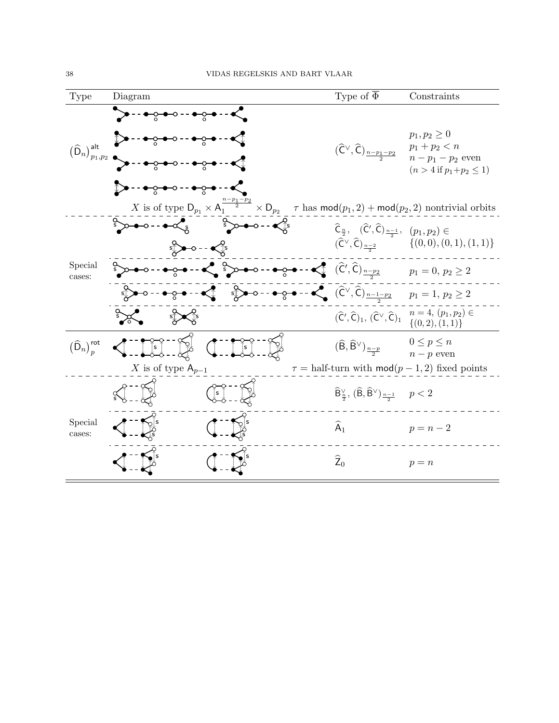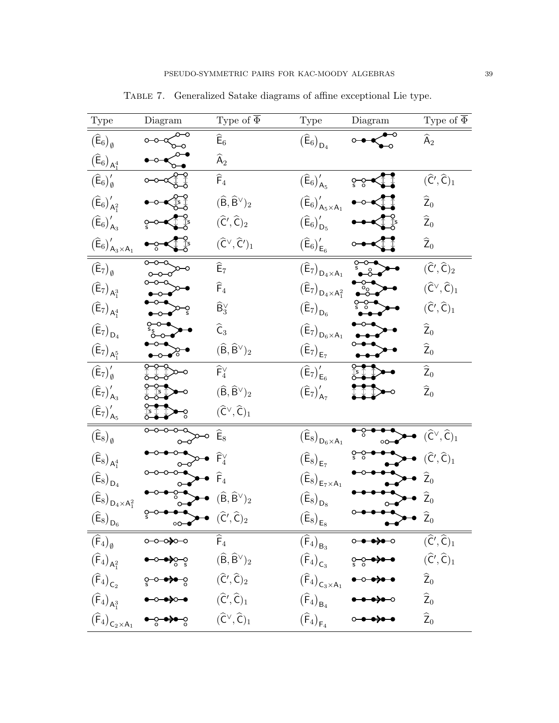<span id="page-40-0"></span>

| Type                                                                     | $\rm Diagram$                                                                                                                                                                                                                                                                                                                                                                                                  | Type of $\overline{\Phi}$                              | Type                                                                     | $\rm Diagram$                                                                       | Type of $\overline{\Phi}$                            |
|--------------------------------------------------------------------------|----------------------------------------------------------------------------------------------------------------------------------------------------------------------------------------------------------------------------------------------------------------------------------------------------------------------------------------------------------------------------------------------------------------|--------------------------------------------------------|--------------------------------------------------------------------------|-------------------------------------------------------------------------------------|------------------------------------------------------|
| $\big(\widehat{\mathsf{E}}_6\big)_\emptyset$                             |                                                                                                                                                                                                                                                                                                                                                                                                                | $\widehat{\mathsf{E}}_6$                               | $\left(\widehat{\mathsf{E}}_6\right)_{\mathsf{D}_4}$                     |                                                                                     | $\widehat{\sf A}_2$                                  |
| $\left(\widehat{\mathsf{E}}_6\right)_{\mathsf{A}_1^4}$                   |                                                                                                                                                                                                                                                                                                                                                                                                                | $\widehat{\sf A}_2$                                    |                                                                          |                                                                                     |                                                      |
| $\big(\widehat{\mathsf{E}}_6\big)'_{\emptyset}$                          |                                                                                                                                                                                                                                                                                                                                                                                                                | $\widehat{\sf F}_4$                                    | $\big(\widehat{\mathsf{E}}_6\big)'_{\mathsf{A}_5}$                       | $S_0$                                                                               | $(\widehat{C}', \widehat{C})_1$                      |
| $\left(\widehat{\mathsf{E}}_6\right)_{\mathsf{A}_1^2}'$                  |                                                                                                                                                                                                                                                                                                                                                                                                                | $(\widehat{\mathsf{B}},\widehat{\mathsf{B}}^\vee)_2$   | $\big(\widehat{\mathsf{E}}_6\big)'_{\mathsf{A}_5\times\mathsf{A}_1}$     |                                                                                     | $\widehat{\text{\sf Z}}_0$                           |
| $\big(\widehat{\mathsf{E}}_6\big)'_{\mathsf{A}_3}$                       |                                                                                                                                                                                                                                                                                                                                                                                                                | $(\widehat{\mathsf{C}}',\widehat{\mathsf{C}})_2$       | $\left(\widehat{\mathsf{E}}_6\right)_{\mathsf{D}_5}'$                    |                                                                                     | $\widehat{\text{\sf Z}}_0$                           |
| $(\widehat{\mathsf{E}}_6)_{\mathsf{A}_3 \times \mathsf{A}_1}^{\prime}$   |                                                                                                                                                                                                                                                                                                                                                                                                                | $(\widehat{\mathsf{C}}^\vee,\widehat{\mathsf{C}}')_1$  | $\big(\widehat{\mathsf{E}}_6\big)'_{\mathsf{E}_6}$                       |                                                                                     | $\widehat{\text{\sf Z}}_0$                           |
| $(\widehat{E}_7)_{\emptyset}$                                            | $\overline{\circ\hspace{-1.2mm}-\hspace{-1.2mm}}\circ\hspace{-1.2mm} -\hspace{-1.2mm}\circ$                                                                                                                                                                                                                                                                                                                    | $\widehat{\mathsf{E}}_7$                               | $\left(\widehat{\mathsf{E}}_7\right)_{\mathsf{D}_4\times\mathsf{A}_1}$   | $\sum_{s}$                                                                          | $(\widehat{\mathsf{C}}',\widehat{\mathsf{C}})_2$     |
| $\left(\widehat{E}_{7}\right)_{A_1^3}$                                   |                                                                                                                                                                                                                                                                                                                                                                                                                | $\widehat{\sf F}_4$                                    | $\left(\widehat{\mathsf{E}}_7\right)_{\mathsf{D}_4\times\mathsf{A}_1^2}$ |                                                                                     | $(\widehat{\mathsf{C}}^\vee,\widehat{\mathsf{C}})_1$ |
| $\left(\widehat{\mathsf{E}}_7\right)_{\mathsf{A}_1^4}$                   |                                                                                                                                                                                                                                                                                                                                                                                                                | $\widehat{\mathsf{B}}_3^\vee$                          | $\left(\widehat{\mathsf{E}}_7\right)_{\mathsf{D}_6}$                     |                                                                                     | $(\widehat{C}', \widehat{C})_1$                      |
| $\left(\widehat{\mathsf{E}}_7\right)_{\mathsf{D}_4}$                     |                                                                                                                                                                                                                                                                                                                                                                                                                | $\widehat{\mathsf{C}}_3$                               | $\left(\widehat{\mathsf{E}}_7\right)_{\mathsf{D}_6\times\mathsf{A}_1}$   |                                                                                     | $\widehat{\text{\sf Z}}_0$                           |
| $\left(\widehat{E}_{7}\right)_{A_1^5}$                                   |                                                                                                                                                                                                                                                                                                                                                                                                                | $(\widehat{\mathsf{B}},\widehat{\mathsf{B}}^\vee)_2$   | $\left(\widehat{E}_{7}\right)_{E_{7}}$                                   |                                                                                     | $\widehat{\text{\sf Z}}_0$                           |
| $(\widehat{E}_7)'_{\emptyset}$                                           |                                                                                                                                                                                                                                                                                                                                                                                                                | $\widehat{\mathsf{F}}^\vee_4$                          | $\left(\widehat{E}_{7}\right)_{E_{6}}^{\prime}$                          |                                                                                     | $\widehat{\text{\sf Z}}_0$                           |
| $\left(\widehat{E}_7\right)_{A_3}^{\prime}$                              |                                                                                                                                                                                                                                                                                                                                                                                                                | $(\widehat{\mathsf{B}},\widehat{\mathsf{B}}{}^\vee)_2$ | $\left(\widehat{E}_7\right)_{A_7}^{\prime}$                              |                                                                                     | $\widehat{\text{\sf Z}}_0$                           |
| $\left(\widehat{E}_{7}\right)_{A_{5}}^{\prime}$                          |                                                                                                                                                                                                                                                                                                                                                                                                                | $(\widehat{\mathsf{C}}^\vee,\widehat{\mathsf{C}})_1$   |                                                                          |                                                                                     |                                                      |
| $\big(\widehat{\mathsf{E}}_8\big)_\emptyset$                             |                                                                                                                                                                                                                                                                                                                                                                                                                |                                                        | $\big(\widehat{\mathsf{E}}_8\big)_{\mathsf{D}_6\times\mathsf{A}_1}$      | ౄ<br>oO-                                                                            | $(\widehat{C}^{\vee}, \widehat{C})_1$                |
| $\left(\widehat{\mathsf{E}}_8\right)_{\mathsf{A}_1^4}$                   |                                                                                                                                                                                                                                                                                                                                                                                                                |                                                        | $\left(\widehat{E}_8\right)_{E_7}$                                       | $S_0$                                                                               | $(\widehat{C}', \widehat{C})_1$                      |
| $\left(\widehat{\mathsf{E}}_8\right)_{\mathsf{D}_4}$                     |                                                                                                                                                                                                                                                                                                                                                                                                                |                                                        | $\left(\widehat{\mathsf{E}}_8\right)_{\mathsf{E}_7\times\mathsf{A}_1}$   |                                                                                     |                                                      |
| $\left(\widehat{\mathsf{E}}_8\right)_{\mathsf{D}_4\times\mathsf{A}_1^2}$ |                                                                                                                                                                                                                                                                                                                                                                                                                | $(\widehat{\mathsf{B}},\widehat{\mathsf{B}}^\vee)_2$   | $\bigl(\widehat{\mathsf{E}}_8\bigr)_{\mathsf{D}_8}$                      |                                                                                     |                                                      |
| $\left(\widehat{E}_8\right)_{D_6}$                                       | ∘⊶                                                                                                                                                                                                                                                                                                                                                                                                             | $(\widehat{\mathsf{C}}', \widehat{\mathsf{C}})_2$      | $\left(\widehat{E}_8\right)_{E_8}$                                       | $\bullet\hspace{-4pt}-\hspace{-4pt}-\hspace{-4pt}-\hspace{-4pt}-\hspace{-4pt}-$     | $\hat{Z}_0$                                          |
|                                                                          | $\overline{(\widehat{F}_4)_\emptyset}$ 0-0-0-0-0-0                                                                                                                                                                                                                                                                                                                                                             | $\overline{\widehat{\mathsf{F}}_4}$                    |                                                                          | $(\widehat{\mathsf{F}}_4)_{\mathsf{B}_3}$ 0-0-0-0-0                                 | $(\widehat{C}', \widehat{C})_1$                      |
|                                                                          |                                                                                                                                                                                                                                                                                                                                                                                                                |                                                        |                                                                          | $(\widehat{F}_4)_{C_3}$ $\underset{s \circ}{\circ} \bullet \bullet \bullet \bullet$ | $(\widehat{C}', \widehat{C})_1$                      |
|                                                                          |                                                                                                                                                                                                                                                                                                                                                                                                                |                                                        |                                                                          |                                                                                     | $\widehat{Z}_0$                                      |
|                                                                          | $(\widehat{F}_4)_{A_1^2}$ $\longrightarrow$ $\longrightarrow$ $(\widehat{F}_4)_{C_2}$ $\longrightarrow$ $(\widehat{F}_4)_{C_2}$ $\longrightarrow$ $(\widehat{C}', \widehat{C})_2$<br>$(\widehat{F}_4)_{A_1^3}$ $\longrightarrow$ $\longrightarrow$ $(\widehat{C}', \widehat{C})_1$<br>$(\widehat{F}_4)_{C_2 \times A_1}$ $\longrightarrow$ $\longrightarrow$ $\longrightarrow$ $(\widehat{C}', \widehat{C})_1$ |                                                        |                                                                          |                                                                                     | $\widehat{Z}_0$                                      |
| $\bigl(\widehat{\sf F}_4\bigr)_{\sf C_2\times\sf A_1}$                   |                                                                                                                                                                                                                                                                                                                                                                                                                |                                                        | $(\widehat{\sf F}_4)_{{\sf F}_4}$                                        |                                                                                     | $\widehat{\mathsf{Z}}_0$                             |

Table 7. Generalized Satake diagrams of affine exceptional Lie type.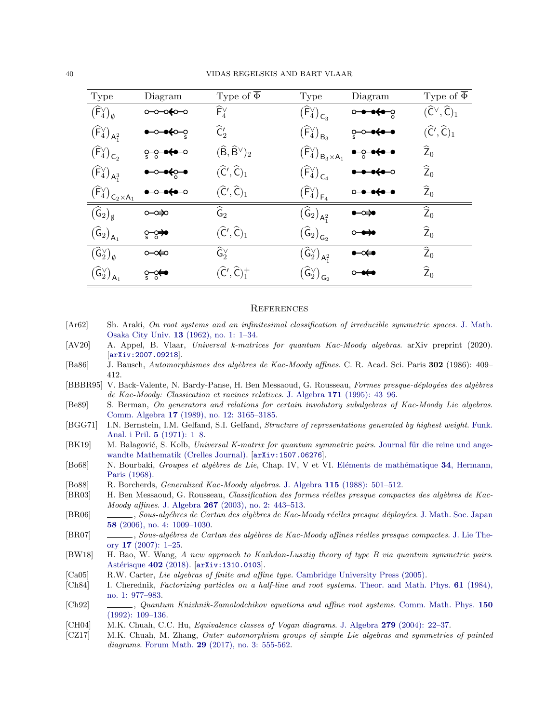| Type                                                                          | Diagram                | Type of $\overline{\Phi}$                            | Type                                                                       | Diagram                                 | Type of $\overline{\Phi}$                            |
|-------------------------------------------------------------------------------|------------------------|------------------------------------------------------|----------------------------------------------------------------------------|-----------------------------------------|------------------------------------------------------|
| $(\widehat{\mathsf{F}}_{4}^{\vee})_{\emptyset}$                               | ⊸∞≼๐⊸                  | $\widehat{\mathsf{F}}^\vee_\varDelta$                | $\left(\widehat{\mathsf{F}}_4^\vee\right)_{\mathsf{C}_3}$                  | ∙∙⇔⇔                                    | $(\widehat{\mathsf{C}}^\vee,\widehat{\mathsf{C}})_1$ |
| $(\widehat{\sf F}_4^\vee)_{\sf A_1^2}$                                        | <del>∙ೂ≼</del> ⊶       | $\widehat{\mathsf{C}}'_2$                            | $\left(\widehat{\mathsf{F}}_{4}^{\vee}\right)_{\mathsf{B}_{3}}$            | ⊶⊶⊶                                     | $(\widehat{\mathsf{C}}',\widehat{\mathsf{C}})_1$     |
| $\left(\widehat{\mathsf{F}}_{4}^{\vee}\right)_{\mathsf{C}_2}$                 | ့—ွ— <del>•≮•</del> –ಂ | $(\widehat{\mathsf{B}},\widehat{\mathsf{B}}^\vee)_2$ | $\bigl(\widehat{\mathsf{F}}_4^\vee\bigr)_{\mathsf{B}_3\times\mathsf{A}_1}$ | $-$ <del>0 o<o del="" o<=""></o></del>  | $\widehat{\mathsf{Z}}_0$                             |
| $\left(\widehat{\mathsf{F}}_{4}^{\vee}\right)_{\mathsf{A}_{1}^3}$             | ⊸⊷⊷                    | $(\widehat{\mathsf C}',\widehat{\mathsf C})_1$       | $(\widehat{\sf F}_4^\vee)_{{\sf C}_4}$                                     | $\bullet \bullet \leftrightarrow \circ$ | $\widehat{Z}_0$                                      |
| $(\widehat{\mathsf{F}}_4^\vee)_{\mathsf{C}_2\times \underline{\mathsf{A}}_1}$ | ⊸⊷⊷                    | $(\widehat{\mathsf{C}}',\widehat{\mathsf{C}})_1$     | $\left(\widehat{\mathsf{F}}_{4}^{\vee}\right)_{\mathsf{F}_4}$              | <del>- 040 - 0</del>                    | $\widehat{Z}_0$                                      |
| $\big(\widehat{\mathsf{G}}_{2}\big)_{\emptyset}$                              | ⊶∞                     | $\widehat{\mathsf{G}}_2$                             | $(\widehat{\mathsf{G}}_{2})_{\mathsf{A}^{2}_{1}}$                          | չ                                       | $\widehat{Z}_0$                                      |
| $\big(\widehat{\mathsf{G}}_{2}\big)_{\mathsf{A}_1}$                           | مجٽ⊲                   | $(\widehat{\mathsf C}',\widehat{\mathsf C})_1$       | $\big(\widehat{\mathsf G}_{2}\big)_{\mathsf G_2}$                          | ⊶⇔                                      | $\widehat{Z}_0$                                      |
| $(\widehat{\mathsf{G}}_{2}^{\vee})_{\emptyset}$                               | ⊶∞⇔                    | $\widehat{\mathsf{G}}_{2}^{\vee}$                    | $(\widehat{\mathsf{G}}_{2}^{\vee})_{\mathsf{A}_1^2}$                       | ⊷⇔                                      | $\widehat{Z}_0$                                      |
| $\big(\widehat{\mathsf{G}}_{2}^{\vee}\big)_{\mathsf{A}_{1}}$                  | ి≪                     | $(\widehat{C}', \widehat{C})^+_1$                    | $\big(\widehat{\mathsf{G}}_2^\vee\big)_{\mathsf{G}_2}$                     | ⊶⇔                                      | $\widehat{\text{\sf Z}}_0$                           |

#### <span id="page-41-0"></span>**REFERENCES**

- <span id="page-41-1"></span>[Ar62] Sh. Araki, On root systems and an infinitesimal classification of irreducible symmetric spaces. [J. Math.](https://projecteuclid.org/journals/osaka-journal-of-mathematics/volume-13/issue-1/On-root-systems-and-an-infinitesimal-classification-of-irreducible-symmetric/ojm/1353055009.full?tab=ArticleFirstPage) Osaka City Univ. 13 [\(1962\), no. 1: 1–34.](https://projecteuclid.org/journals/osaka-journal-of-mathematics/volume-13/issue-1/On-root-systems-and-an-infinitesimal-classification-of-irreducible-symmetric/ojm/1353055009.full?tab=ArticleFirstPage)
- <span id="page-41-15"></span>[AV20] A. Appel, B. Vlaar, Universal k-matrices for quantum Kac-Moody algebras. arXiv preprint (2020). [[arXiv:2007.09218](https://arxiv.org/abs/2007.09218)].
- <span id="page-41-4"></span>[Ba86] J. Bausch, Automorphismes des algèbres de Kac-Moody affines. C. R. Acad. Sci. Paris 302 (1986): 409– 412.
- <span id="page-41-6"></span>[BBBR95] V. Back-Valente, N. Bardy-Panse, H. Ben Messaoud, G. Rousseau, Formes presque-déployées des algèbres de Kac-Moody: Classication et racines relatives. J. Algebra 171 [\(1995\): 43–96.](https://doi.org/10.1006/jabr.1995.1004)
- <span id="page-41-5"></span>[Be89] S. Berman, On generators and relations for certain involutory subalgebras of Kac-Moody Lie algebras. Comm. Algebra 17 [\(1989\), no. 12: 3165–3185.](https://doi.org/10.1080/00927878908823899)
- <span id="page-41-10"></span>[BGG71] I.N. Bernstein, I.M. Gelfand, S.I. Gelfand, Structure of representations generated by highest weight. [Funk.](https://doi.org/10.1007/BF01075841) [Anal. i Pril.](https://doi.org/10.1007/BF01075841) 5 (1971): 1–8.
- <span id="page-41-11"></span>[BK19] M. Balagović, S. Kolb, Universal K-matrix for quantum symmetric pairs. Journal für die reine und ange[wandte Mathematik \(Crelles Journal\).](https://doi.org/10.1515/crelle-2016-0012) [[arXiv:1507.06276](https://arxiv.org/abs/1507.06276)].
- <span id="page-41-17"></span>[Bo68] N. Bourbaki, *Groupes et algèbres de Lie*, Chap. IV, V et VI. Eléments de mathématique 34, Hermann, [Paris \(1968\).](https://doi.org/10.1007/978-3-540-34491-9)
- <span id="page-41-18"></span>[Bo88] R. Borcherds, Generalized Kac-Moody algebras. J. Algebra 115 [\(1988\): 501–512.](https://doi.org/10.1016/0021-8693(88)90275-X)
- <span id="page-41-8"></span>[BR03] H. Ben Messaoud, G. Rousseau, Classification des formes réelles presque compactes des algèbres de Kac-Moody affines. J. Algebra 267 [\(2003\), no. 2: 443–513.](https://doi.org/10.1016/S0021-8693(03)00345-4)
- <span id="page-41-7"></span>[BR06] , Sous-algébres de Cartan des algèbres de Kac-Moody réelles presque déployées. [J. Math. Soc. Japan](https://doi.org/10.2969/jmsj/1179759535) 58 [\(2006\), no. 4: 1009–1030.](https://doi.org/10.2969/jmsj/1179759535)
- <span id="page-41-9"></span>[BR07] , Sous-algébres de Cartan des algèbres de Kac-Moody affines réelles presque compactes. [J. Lie The](https://www.heldermann.de/JLT/JLT17/JLT171/jlt17001.htm)ory 17 [\(2007\): 1–25.](https://www.heldermann.de/JLT/JLT17/JLT171/jlt17001.htm)
- <span id="page-41-12"></span>[BW18] H. Bao, W. Wang, A new approach to Kazhdan-Lusztig theory of type B via quantum symmetric pairs. Astérisque 402 (2018). [[arXiv:1310.0103](https://arxiv.org/abs/1310.0103)].
- <span id="page-41-16"></span>[Ca05] R.W. Carter, Lie algebras of finite and affine type. [Cambridge University Press \(2005\).](https://www.cambridge.org/us/academic/subjects/mathematics/algebra/lie-algebras-finite-and-affine-type?format=HB&isbn=9780521851381)
- <span id="page-41-13"></span>[Ch84] I. Cherednik, Factorizing particles on a half-line and root systems. [Theor. and Math. Phys.](https://doi.org/10.1007/BF01038545) 61 (1984), [no. 1: 977–983.](https://doi.org/10.1007/BF01038545)
- <span id="page-41-14"></span>[Ch92] , Quantum Knizhnik-Zamolodchikov equations and affine root systems. [Comm. Math. Phys.](https://doi.org/10.1007/BF02096568) 150 [\(1992\): 109–136.](https://doi.org/10.1007/BF02096568)
- <span id="page-41-2"></span>[CH04] M.K. Chuah, C.C. Hu, Equivalence classes of Vogan diagrams. J. Algebra 279 [\(2004\): 22–37.](https://doi.org/10.1016/j.jalgebra.2003.10.011)
- <span id="page-41-3"></span>[CZ17] M.K. Chuah, M. Zhang, Outer automorphism groups of simple Lie algebras and symmetries of painted diagrams. Forum Math. **29** [\(2017\), no. 3: 555-562.](https://doi.org/10.1515/forum-2016-0023)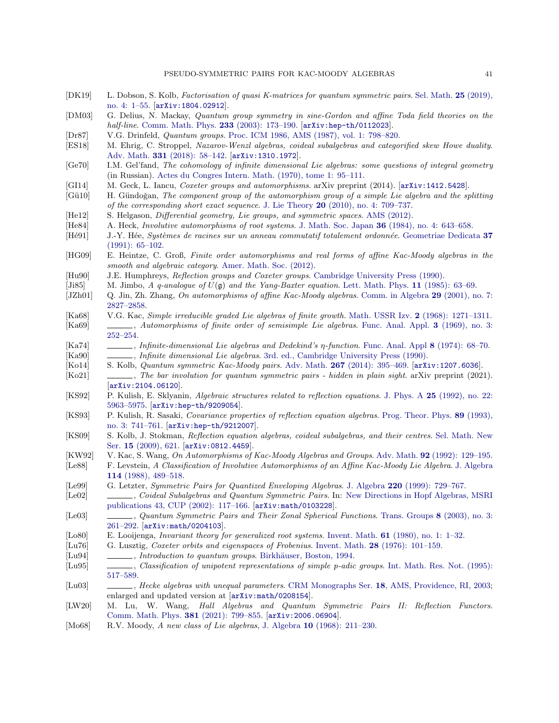- <span id="page-42-19"></span>[DK19] L. Dobson, S. Kolb, Factorisation of quasi K-matrices for quantum symmetric pairs. [Sel. Math.](https://doi.org/10.1007/s00029-019-0508-5) 25 (2019), [no. 4: 1–55.](https://doi.org/10.1007/s00029-019-0508-5) [[arXiv:1804.02912](https://arxiv.org/abs/1804.02912)].
- <span id="page-42-28"></span>[DM03] G. Delius, N. Mackay, Quantum group symmetry in sine-Gordon and affine Toda field theories on the half-line. [Comm. Math. Phys.](https://doi.org/10.1007/s00220-002-0758-4) 233 (2003): 173-190. [[arXiv:hep-th/0112023](https://arxiv.org/abs/hep-th/0112023)].
- <span id="page-42-21"></span>[Dr87] V.G. Drinfeld, Quantum groups. [Proc. ICM 1986, AMS \(1987\), vol. 1: 798–820.](https://www.mathunion.org/icm/proceedings)
- <span id="page-42-30"></span>[ES18] M. Ehrig, C. Stroppel, Nazarov-Wenzl algebras, coideal subalgebras and categorified skew Howe duality. Adv. Math. 331 [\(2018\): 58–142.](https://doi.org/10.1016/j.aim.2018.01.013) [[arXiv:1310.1972](https://arxiv.org/abs/1310.1972)].
- <span id="page-42-13"></span>[Ge70] I.M. Gel'fand, The cohomology of infinite dimensional Lie algebras: some questions of integral geometry (in Russian). [Actes du Congres Intern. Math. \(1970\), tome 1: 95–111.](https://www.mathunion.org/icm/proceedings)
- <span id="page-42-32"></span>[GI14] M. Geck, L. Iancu, *Coxeter groups and automorphisms*. arXiv preprint (2014). [[arXiv:1412.5428](https://arxiv.org/abs/1412.5428)].<br>[Gü10] H. Gündoğan, *The component group of the automorphism group of a simple Lie algebra and the sp*
- <span id="page-42-9"></span>H. Gündoğan, The component group of the automorphism group of a simple Lie algebra and the splitting of the corresponding short exact sequence. J. Lie Theory 20 [\(2010\), no. 4: 709–737.](https://www.heldermann.de/JLT/JLT20/JLT204/jlt20035.htm)
- <span id="page-42-0"></span>[He12] S. Helgason, Differential geometry, Lie groups, and symmetric spaces. [AMS \(2012\).](https://bookstore.ams.org/gsm-34)
- <span id="page-42-15"></span>[He84] A. Heck, Involutive automorphisms of root systems. J. Math. Soc. Japan 36 [\(1984\), no. 4: 643–658.](https://doi.org/10.2969/jmsj/03640643)
- <span id="page-42-16"></span>[Hé91] J.-Y. Hée, Systèmes de racines sur un anneau commutatif totalement ordonnée. [Geometriae Dedicata](https://doi.org/10.1007/BF00150405) 37 [\(1991\): 65–102.](https://doi.org/10.1007/BF00150405)
- <span id="page-42-11"></span>[HG09] E. Heintze, C. Groß, Finite order automorphisms and real forms of affine Kac-Moody algebras in the smooth and algebraic category. [Amer. Math. Soc. \(2012\).](https://bookstore.ams.org/memo-219-1030)
- <span id="page-42-34"></span>[Hu90] J.E. Humphreys, Reflection groups and Coxeter groups. [Cambridge University Press \(1990\).](https://doi.org/10.1017/CBO9780511623646)
- <span id="page-42-20"></span>[Ji85] M. Jimbo, A q-analogue of  $U(\mathfrak{g})$  and the Yang-Baxter equation. [Lett. Math. Phys.](https://doi.org/10.1142/9789812798336_0015) 11 (1985): 63–69.
- <span id="page-42-10"></span>[JZh01] Q. Jin, Zh. Zhang, On automorphisms of affine Kac-Moody algebras. [Comm. in Algebra](https://doi.org/10.1081/AGB-4989) 29 (2001), no. 7: [2827–2858.](https://doi.org/10.1081/AGB-4989)
- <span id="page-42-2"></span><span id="page-42-1"></span>[Ka68] V.G. Kac, Simple irreducible graded Lie algebras of finite growth. Math. USSR Izv. 2 [\(1968\): 1271–1311.](https://doi.org/10.1070/IM1968v002n06ABEH000729) [Ka69] , Automorphisms of finite order of semisimple Lie algebras. [Func. Anal. Appl.](https://doi.org/10.1007/BF01676631) 3 (1969), no. 3: [252–254.](https://doi.org/10.1007/BF01676631)
- <span id="page-42-5"></span><span id="page-42-4"></span>[Ka74] , Infinite-dimensional Lie algebras and Dedekind's η-function. [Func. Anal. Appl](https://doi.org/10.1007%2FBF02028313) 8 (1974): 68–70. [Ka90] , Infinite dimensional Lie algebras. [3rd. ed., Cambridge University Press \(1990\).](https://doi.org/10.1007/978-1-4757-1382-4)
- <span id="page-42-8"></span>[Ko14] S. Kolb, Quantum symmetric Kac-Moody pairs. Adv. Math. 267 [\(2014\): 395–469.](https://doi.org/10.1016/j.aim.2014.08.010) [[arXiv:1207.6036](https://arxiv.org/abs/1207.6036)].
- <span id="page-42-29"></span>[Ko21] , The bar involution for quantum symmetric pairs - hidden in plain sight. arXiv preprint (2021). [[arXiv:2104.06120](https://arxiv.org/abs/2104.06120)].
- <span id="page-42-25"></span>[KS92] P. Kulish, E. Sklyanin, Algebraic structures related to reflection equations. J. Phys. A 25 [\(1992\), no. 22:](https://doi.org/10.1088/0305-4470/25/22/022) [5963–5975.](https://doi.org/10.1088/0305-4470/25/22/022) [[arXiv:hep-th/9209054](https://arxiv.org/abs/hep-th/9209054)].
- <span id="page-42-26"></span>[KS93] P. Kulish, R. Sasaki, Covariance properties of reflection equation algebras. [Prog. Theor. Phys.](https://doi.org/10.1143/ptp/89.3.741) 89 (1993), [no. 3: 741–761.](https://doi.org/10.1143/ptp/89.3.741) [[arXiv:hep-th/9212007](https://arxiv.org/abs/hep-th/9212007)].
- <span id="page-42-27"></span>[KS09] S. Kolb, J. Stokman, Reflection equation algebras, coideal subalgebras, and their centres. [Sel. Math. New](https://doi.org/10.1007/s00029-009-0007-1) Ser. 15 [\(2009\), 621.](https://doi.org/10.1007/s00029-009-0007-1) [[arXiv:0812.4459](https://arxiv.org/abs/0812.4459)].
- <span id="page-42-7"></span>[KW92] V. Kac, S. Wang, On Automorphisms of Kac-Moody Algebras and Groups. Adv. Math. 92 [\(1992\): 129–195.](https://doi.org/10.1016/0001-8708(92)90063-Q)
- <span id="page-42-6"></span>[Le88] F. Levstein, A Classification of Involutive Automorphisms of an Affine Kac-Moody Lie Algebra. [J. Algebra](https://doi.org/10.1016/0021-8693(88)90308-0) 114 [\(1988\), 489–518.](https://doi.org/10.1016/0021-8693(88)90308-0)
- <span id="page-42-23"></span>[Le99] G. Letzter, Symmetric Pairs for Quantized Enveloping Algebras. J. Algebra 220 [\(1999\): 729–767.](https://doi.org/10.1006/jabr.1999.8015)
- <span id="page-42-12"></span>[Le02] , Coideal Subalgebras and Quantum Symmetric Pairs. In: [New Directions in Hopf Algebras, MSRI](http://library.msri.org/books/Book43/) [publications 43, CUP \(2002\): 117–166.](http://library.msri.org/books/Book43/) [[arXiv:math/0103228](https://arxiv.org/abs/math/0103228)].
- <span id="page-42-24"></span>[Le03] , Quantum Symmetric Pairs and Their Zonal Spherical Functions. [Trans. Groups](https://doi.org/10.1007/s00031-003-0719-9) 8 (2003), no. 3: [261–292.](https://doi.org/10.1007/s00031-003-0719-9) [[arXiv:math/0204103](https://arxiv.org/abs/math/0204103)].
- <span id="page-42-33"></span>[Lo80] E. Looijenga, Invariant theory for generalized root systems. Invent. Math. 61 [\(1980\), no. 1: 1–32.](https://doi.org/10.1007/BF01389892)
- <span id="page-42-14"></span>[Lu76] G. Lusztig, Coxeter orbits and eigenspaces of Frobenius. Invent. Math. 28 [\(1976\): 101–159.](https://doi.org/10.1007/bf01408569)
- <span id="page-42-22"></span>[Lu94] , *Introduction to quantum groups*. Birkhäuser, Boston, 1994.
- <span id="page-42-17"></span>[Lu95] , Classification of unipotent representations of simple p-adic groups. [Int. Math. Res. Not. \(1995\):](https://doi.org/10.1155/S1073792895000353) [517–589.](https://doi.org/10.1155/S1073792895000353)
- <span id="page-42-18"></span>[Lu03] , Hecke algebras with unequal parameters. CRM Monographs Ser. 18[, AMS, Providence, RI, 2003;](https://bookstore.ams.org/crmm-18) enlarged and updated version at [[arXiv:math/0208154](https://arxiv.org/abs/math/0208154)].
- <span id="page-42-31"></span>[LW20] M. Lu, W. Wang, Hall Algebras and Quantum Symmetric Pairs II: Reflection Functors. [Comm. Math. Phys.](https://doi.org/10.1007/s00220-021-03965-8) 381 (2021): 799–855. [[arXiv:2006.06904](https://arxiv.org/abs/2006.06904)].
- <span id="page-42-3"></span>[Mo68] R.V. Moody, A new class of Lie algebras, J. Algebra 10 [\(1968\): 211–230.](https://doi.org/10.1016/0021-8693(68)90096-3)